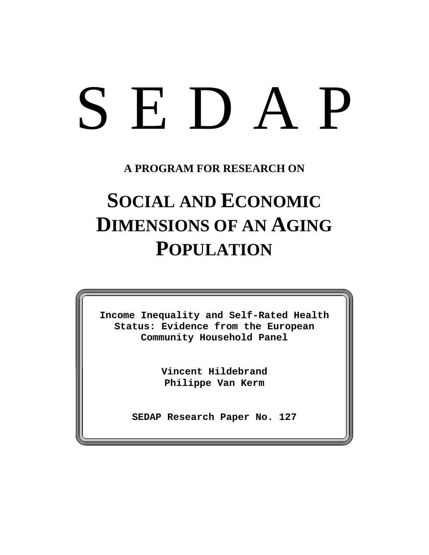# SEDAP

**A PROGRAM FOR RESEARCH ON**

# **SOCIAL AND ECONOMIC DIMENSIONS OF AN AGING POPULATION**

**Income Inequality and Self-Rated Health Status: Evidence from the European Community Household Panel**

> **Vincent Hildebrand Philippe Van Kerm**

**SEDAP Research Paper No. 127**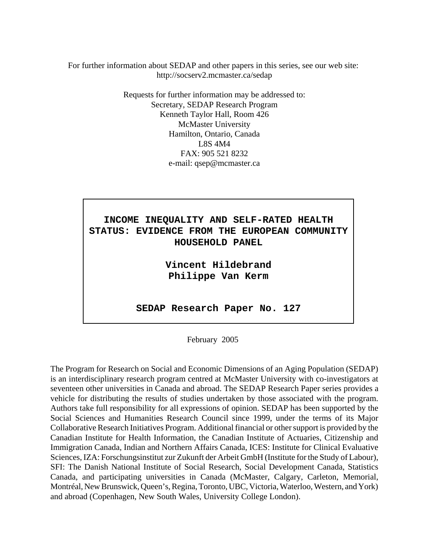For further information about SEDAP and other papers in this series, see our web site: http://socserv2.mcmaster.ca/sedap

> Requests for further information may be addressed to: Secretary, SEDAP Research Program Kenneth Taylor Hall, Room 426 McMaster University Hamilton, Ontario, Canada L8S 4M4 FAX: 905 521 8232 e-mail: qsep@mcmaster.ca



**Vincent Hildebrand Philippe Van Kerm**

**SEDAP Research Paper No. 127**

February 2005

The Program for Research on Social and Economic Dimensions of an Aging Population (SEDAP) is an interdisciplinary research program centred at McMaster University with co-investigators at seventeen other universities in Canada and abroad. The SEDAP Research Paper series provides a vehicle for distributing the results of studies undertaken by those associated with the program. Authors take full responsibility for all expressions of opinion. SEDAP has been supported by the Social Sciences and Humanities Research Council since 1999, under the terms of its Major Collaborative Research Initiatives Program. Additional financial or other support is provided by the Canadian Institute for Health Information, the Canadian Institute of Actuaries, Citizenship and Immigration Canada, Indian and Northern Affairs Canada, ICES: Institute for Clinical Evaluative Sciences, IZA: Forschungsinstitut zur Zukunft der Arbeit GmbH (Institute for the Study of Labour), SFI: The Danish National Institute of Social Research, Social Development Canada, Statistics Canada, and participating universities in Canada (McMaster, Calgary, Carleton, Memorial, Montréal, New Brunswick, Queen's, Regina, Toronto, UBC, Victoria, Waterloo, Western, and York) and abroad (Copenhagen, New South Wales, University College London).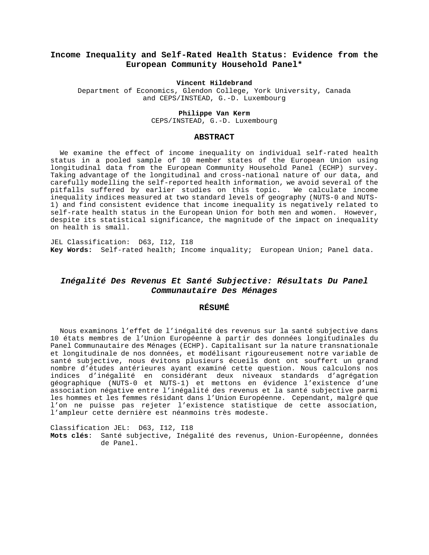#### **Income Inequality and Self-Rated Health Status: Evidence from the European Community Household Panel\***

#### **Vincent Hildebrand**

Department of Economics, Glendon College, York University, Canada and CEPS/INSTEAD, G.-D. Luxembourg

#### **Philippe Van Kerm**

CEPS/INSTEAD, G.-D. Luxembourg

#### **ABSTRACT**

We examine the effect of income inequality on individual self-rated health status in a pooled sample of 10 member states of the European Union using longitudinal data from the European Community Household Panel (ECHP) survey. Taking advantage of the longitudinal and cross-national nature of our data, and carefully modelling the self-reported health information, we avoid several of the pitfalls suffered by earlier studies on this topic. We calculate income inequality indices measured at two standard levels of geography (NUTS-0 and NUTS-1) and find consistent evidence that income inequality is negatively related to self-rate health status in the European Union for both men and women. However, despite its statistical significance, the magnitude of the impact on inequality on health is small.

JEL Classification: D63, I12, I18 **Key Words:** Self-rated health; Income inquality; European Union; Panel data.

#### *Inégalité Des Revenus Et Santé Subjective: Résultats Du Panel Communautaire Des Ménages*

#### **RÉSUMÉ**

Nous examinons l'effet de l'inégalité des revenus sur la santé subjective dans 10 états membres de l'Union Européenne à partir des données longitudinales du Panel Communautaire des Ménages (ECHP). Capitalisant sur la nature transnationale et longitudinale de nos données, et modélisant rigoureusement notre variable de santé subjective, nous évitons plusieurs écueils dont ont souffert un grand nombre d'études antérieures ayant examiné cette question. Nous calculons nos indices d'inégalité en considérant deux niveaux standards d'agrégation géographique (NUTS-0 et NUTS-1) et mettons en évidence l'existence d'une association négative entre l'inégalité des revenus et la santé subjective parmi les hommes et les femmes résidant dans l'Union Européenne. Cependant, malgré que l'on ne puisse pas rejeter l'existence statistique de cette association, l'ampleur cette dernière est néanmoins très modeste.

Classification JEL: D63, I12, I18 **Mots clés**: Santé subjective, Inégalité des revenus, Union-Européenne, données de Panel.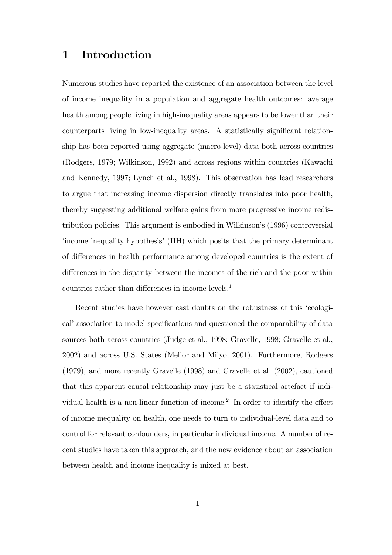## 1 Introduction

Numerous studies have reported the existence of an association between the level of income inequality in a population and aggregate health outcomes: average health among people living in high-inequality areas appears to be lower than their counterparts living in low-inequality areas. A statistically significant relationship has been reported using aggregate (macro-level) data both across countries (Rodgers, 1979; Wilkinson, 1992) and across regions within countries (Kawachi and Kennedy, 1997; Lynch et al., 1998). This observation has lead researchers to argue that increasing income dispersion directly translates into poor health, thereby suggesting additional welfare gains from more progressive income redistribution policies. This argument is embodied in Wilkinson's (1996) controversial ëincome inequality hypothesisí(IIH) which posits that the primary determinant of differences in health performance among developed countries is the extent of differences in the disparity between the incomes of the rich and the poor within countries rather than differences in income levels.<sup>1</sup>

Recent studies have however cast doubts on the robustness of this ëecological<sup>†</sup> association to model specifications and questioned the comparability of data sources both across countries (Judge et al., 1998; Gravelle, 1998; Gravelle et al., 2002) and across U.S. States (Mellor and Milyo, 2001). Furthermore, Rodgers (1979), and more recently Gravelle (1998) and Gravelle et al. (2002), cautioned that this apparent causal relationship may just be a statistical artefact if individual health is a non-linear function of income.<sup>2</sup> In order to identify the effect of income inequality on health, one needs to turn to individual-level data and to control for relevant confounders, in particular individual income. A number of recent studies have taken this approach, and the new evidence about an association between health and income inequality is mixed at best.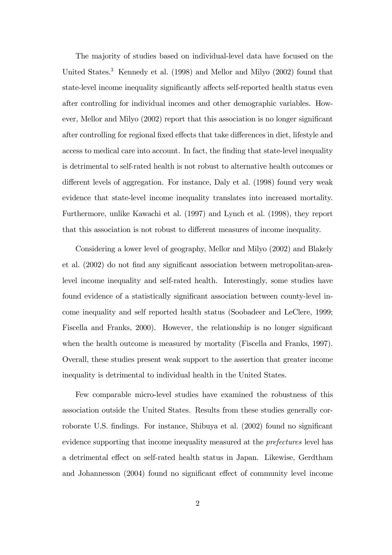The majority of studies based on individual-level data have focused on the United States.<sup>3</sup> Kennedy et al. (1998) and Mellor and Milyo (2002) found that state-level income inequality significantly affects self-reported health status even after controlling for individual incomes and other demographic variables. However, Mellor and Milyo (2002) report that this association is no longer significant after controlling for regional fixed effects that take differences in diet, lifestyle and access to medical care into account. In fact, the finding that state-level inequality is detrimental to self-rated health is not robust to alternative health outcomes or different levels of aggregation. For instance, Daly et al. (1998) found very weak evidence that state-level income inequality translates into increased mortality. Furthermore, unlike Kawachi et al. (1997) and Lynch et al. (1998), they report that this association is not robust to different measures of income inequality.

Considering a lower level of geography, Mellor and Milyo (2002) and Blakely et al. (2002) do not find any significant association between metropolitan-arealevel income inequality and self-rated health. Interestingly, some studies have found evidence of a statistically significant association between county-level income inequality and self reported health status (Soobadeer and LeClere, 1999; Fiscella and Franks, 2000). However, the relationship is no longer significant when the health outcome is measured by mortality (Fiscella and Franks, 1997). Overall, these studies present weak support to the assertion that greater income inequality is detrimental to individual health in the United States.

Few comparable micro-level studies have examined the robustness of this association outside the United States. Results from these studies generally corroborate U.S. findings. For instance, Shibuya et al. (2002) found no significant evidence supporting that income inequality measured at the *prefectures* level has a detrimental effect on self-rated health status in Japan. Likewise, Gerdtham and Johannesson  $(2004)$  found no significant effect of community level income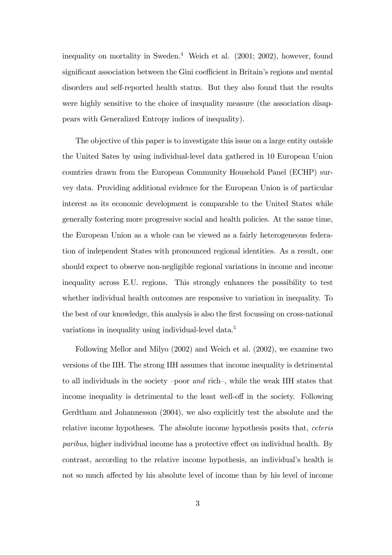inequality on mortality in Sweden.<sup>4</sup> Weich et al. (2001; 2002), however, found significant association between the Gini coefficient in Britain's regions and mental disorders and self-reported health status. But they also found that the results were highly sensitive to the choice of inequality measure (the association disappears with Generalized Entropy indices of inequality).

The objective of this paper is to investigate this issue on a large entity outside the United Sates by using individual-level data gathered in 10 European Union countries drawn from the European Community Household Panel (ECHP) survey data. Providing additional evidence for the European Union is of particular interest as its economic development is comparable to the United States while generally fostering more progressive social and health policies. At the same time, the European Union as a whole can be viewed as a fairly heterogeneous federation of independent States with pronounced regional identities. As a result, one should expect to observe non-negligible regional variations in income and income inequality across E.U. regions. This strongly enhances the possibility to test whether individual health outcomes are responsive to variation in inequality. To the best of our knowledge, this analysis is also the Örst focussing on cross-national variations in inequality using individual-level data.<sup>5</sup>

Following Mellor and Milyo (2002) and Weich et al. (2002), we examine two versions of the IIH. The strong IIH assumes that income inequality is detrimental to all individuals in the society  $-poor$  and rich $-$ , while the weak IIH states that income inequality is detrimental to the least well-off in the society. Following Gerdtham and Johannesson (2004), we also explicitly test the absolute and the relative income hypotheses. The absolute income hypothesis posits that, ceteris paribus, higher individual income has a protective effect on individual health. By contrast, according to the relative income hypothesis, an individual's health is not so much affected by his absolute level of income than by his level of income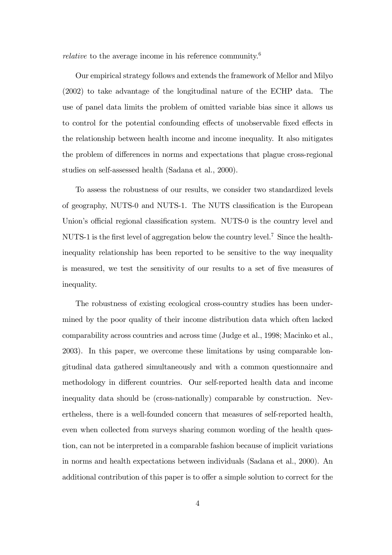relative to the average income in his reference community.<sup>6</sup>

Our empirical strategy follows and extends the framework of Mellor and Milyo (2002) to take advantage of the longitudinal nature of the ECHP data. The use of panel data limits the problem of omitted variable bias since it allows us to control for the potential confounding effects of unobservable fixed effects in the relationship between health income and income inequality. It also mitigates the problem of differences in norms and expectations that plague cross-regional studies on self-assessed health (Sadana et al., 2000).

To assess the robustness of our results, we consider two standardized levels of geography, NUTS-0 and NUTS-1. The NUTS classification is the European Union's official regional classification system. NUTS-0 is the country level and NUTS-1 is the first level of aggregation below the country level.<sup>7</sup> Since the healthinequality relationship has been reported to be sensitive to the way inequality is measured, we test the sensitivity of our results to a set of five measures of inequality.

The robustness of existing ecological cross-country studies has been undermined by the poor quality of their income distribution data which often lacked comparability across countries and across time (Judge et al., 1998; Macinko et al., 2003). In this paper, we overcome these limitations by using comparable longitudinal data gathered simultaneously and with a common questionnaire and methodology in different countries. Our self-reported health data and income inequality data should be (cross-nationally) comparable by construction. Nevertheless, there is a well-founded concern that measures of self-reported health, even when collected from surveys sharing common wording of the health question, can not be interpreted in a comparable fashion because of implicit variations in norms and health expectations between individuals (Sadana et al., 2000). An additional contribution of this paper is to offer a simple solution to correct for the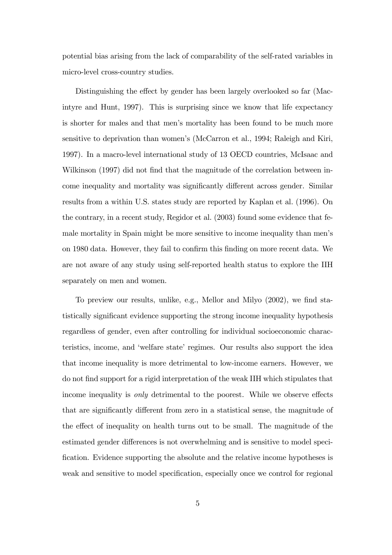potential bias arising from the lack of comparability of the self-rated variables in micro-level cross-country studies.

Distinguishing the effect by gender has been largely overlooked so far (Macintyre and Hunt, 1997). This is surprising since we know that life expectancy is shorter for males and that men's mortality has been found to be much more sensitive to deprivation than women's (McCarron et al., 1994; Raleigh and Kiri, 1997). In a macro-level international study of 13 OECD countries, McIsaac and Wilkinson (1997) did not find that the magnitude of the correlation between income inequality and mortality was significantly different across gender. Similar results from a within U.S. states study are reported by Kaplan et al. (1996). On the contrary, in a recent study, Regidor et al. (2003) found some evidence that female mortality in Spain might be more sensitive to income inequality than menís on 1980 data. However, they fail to confirm this finding on more recent data. We are not aware of any study using self-reported health status to explore the IIH separately on men and women.

To preview our results, unlike, e.g., Mellor and Milyo (2002), we find statistically significant evidence supporting the strong income inequality hypothesis regardless of gender, even after controlling for individual socioeconomic characteristics, income, and 'welfare state' regimes. Our results also support the idea that income inequality is more detrimental to low-income earners. However, we do not Önd support for a rigid interpretation of the weak IIH which stipulates that income inequality is *only* detrimental to the poorest. While we observe effects that are significantly different from zero in a statistical sense, the magnitude of the effect of inequality on health turns out to be small. The magnitude of the estimated gender differences is not overwhelming and is sensitive to model speci-Öcation. Evidence supporting the absolute and the relative income hypotheses is weak and sensitive to model specification, especially once we control for regional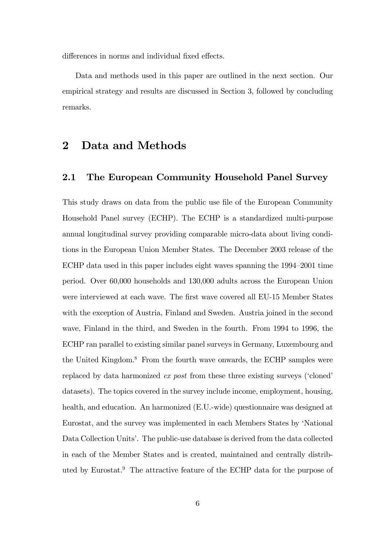differences in norms and individual fixed effects.

Data and methods used in this paper are outlined in the next section. Our empirical strategy and results are discussed in Section 3, followed by concluding remarks.

## 2 Data and Methods

#### 2.1 The European Community Household Panel Survey

This study draws on data from the public use file of the European Community Household Panel survey (ECHP). The ECHP is a standardized multi-purpose annual longitudinal survey providing comparable micro-data about living conditions in the European Union Member States. The December 2003 release of the ECHP data used in this paper includes eight waves spanning the  $1994-2001$  time period. Over 60,000 households and 130,000 adults across the European Union were interviewed at each wave. The first wave covered all EU-15 Member States with the exception of Austria, Finland and Sweden. Austria joined in the second wave, Finland in the third, and Sweden in the fourth. From 1994 to 1996, the ECHP ran parallel to existing similar panel surveys in Germany, Luxembourg and the United Kingdom.<sup>8</sup> From the fourth wave onwards, the ECHP samples were replaced by data harmonized  $ex$  post from these three existing surveys ('cloned' datasets). The topics covered in the survey include income, employment, housing, health, and education. An harmonized (E.U.-wide) questionnaire was designed at Eurostat, and the survey was implemented in each Members States by 'National Data Collection Units<sup>2</sup>. The public-use database is derived from the data collected in each of the Member States and is created, maintained and centrally distributed by Eurostat.<sup>9</sup> The attractive feature of the ECHP data for the purpose of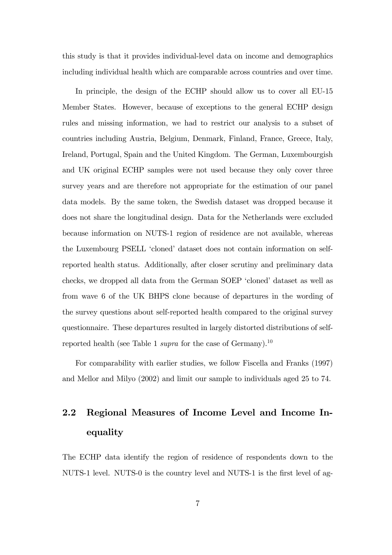this study is that it provides individual-level data on income and demographics including individual health which are comparable across countries and over time.

In principle, the design of the ECHP should allow us to cover all EU-15 Member States. However, because of exceptions to the general ECHP design rules and missing information, we had to restrict our analysis to a subset of countries including Austria, Belgium, Denmark, Finland, France, Greece, Italy, Ireland, Portugal, Spain and the United Kingdom. The German, Luxembourgish and UK original ECHP samples were not used because they only cover three survey years and are therefore not appropriate for the estimation of our panel data models. By the same token, the Swedish dataset was dropped because it does not share the longitudinal design. Data for the Netherlands were excluded because information on NUTS-1 region of residence are not available, whereas the Luxembourg PSELL 'cloned' dataset does not contain information on selfreported health status. Additionally, after closer scrutiny and preliminary data checks, we dropped all data from the German SOEP 'cloned' dataset as well as from wave 6 of the UK BHPS clone because of departures in the wording of the survey questions about self-reported health compared to the original survey questionnaire. These departures resulted in largely distorted distributions of selfreported health (see Table 1 *supra* for the case of Germany).<sup>10</sup>

For comparability with earlier studies, we follow Fiscella and Franks (1997) and Mellor and Milyo (2002) and limit our sample to individuals aged 25 to 74.

## 2.2 Regional Measures of Income Level and Income Inequality

The ECHP data identify the region of residence of respondents down to the NUTS-1 level. NUTS-0 is the country level and NUTS-1 is the first level of ag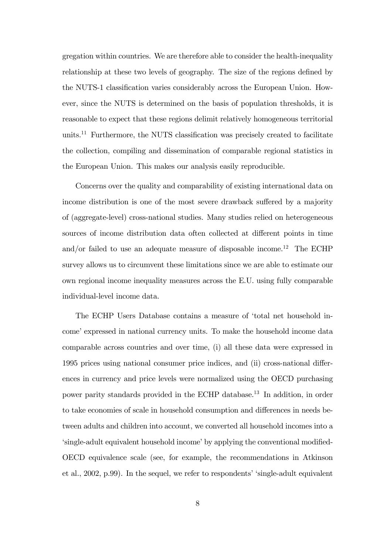gregation within countries. We are therefore able to consider the health-inequality relationship at these two levels of geography. The size of the regions defined by the NUTS-1 classification varies considerably across the European Union. However, since the NUTS is determined on the basis of population thresholds, it is reasonable to expect that these regions delimit relatively homogeneous territorial units.<sup>11</sup> Furthermore, the NUTS classification was precisely created to facilitate the collection, compiling and dissemination of comparable regional statistics in the European Union. This makes our analysis easily reproducible.

Concerns over the quality and comparability of existing international data on income distribution is one of the most severe drawback suffered by a majority of (aggregate-level) cross-national studies. Many studies relied on heterogeneous sources of income distribution data often collected at different points in time and/or failed to use an adequate measure of disposable income.<sup>12</sup> The ECHP survey allows us to circumvent these limitations since we are able to estimate our own regional income inequality measures across the E.U. using fully comparable individual-level income data.

The ECHP Users Database contains a measure of ëtotal net household income' expressed in national currency units. To make the household income data comparable across countries and over time, (i) all these data were expressed in 1995 prices using national consumer price indices, and (ii) cross-national differences in currency and price levels were normalized using the OECD purchasing power parity standards provided in the ECHP database.<sup>13</sup> In addition, in order to take economies of scale in household consumption and differences in needs between adults and children into account, we converted all household incomes into a 'single-adult equivalent household income' by applying the conventional modified-OECD equivalence scale (see, for example, the recommendations in Atkinson et al.,  $2002$ , p.99). In the sequel, we refer to respondents' 'single-adult equivalent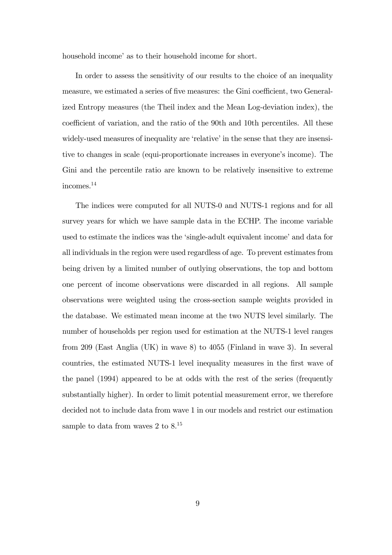household income' as to their household income for short.

In order to assess the sensitivity of our results to the choice of an inequality measure, we estimated a series of five measures: the Gini coefficient, two Generalized Entropy measures (the Theil index and the Mean Log-deviation index), the coefficient of variation, and the ratio of the 90th and 10th percentiles. All these widely-used measures of inequality are 'relative' in the sense that they are insensitive to changes in scale (equi-proportionate increases in everyone's income). The Gini and the percentile ratio are known to be relatively insensitive to extreme incomes.<sup>14</sup>

The indices were computed for all NUTS-0 and NUTS-1 regions and for all survey years for which we have sample data in the ECHP. The income variable used to estimate the indices was the 'single-adult equivalent income' and data for all individuals in the region were used regardless of age. To prevent estimates from being driven by a limited number of outlying observations, the top and bottom one percent of income observations were discarded in all regions. All sample observations were weighted using the cross-section sample weights provided in the database. We estimated mean income at the two NUTS level similarly. The number of households per region used for estimation at the NUTS-1 level ranges from 209 (East Anglia (UK) in wave 8) to 4055 (Finland in wave 3). In several countries, the estimated NUTS-1 level inequality measures in the first wave of the panel (1994) appeared to be at odds with the rest of the series (frequently substantially higher). In order to limit potential measurement error, we therefore decided not to include data from wave 1 in our models and restrict our estimation sample to data from waves 2 to  $8^{15}$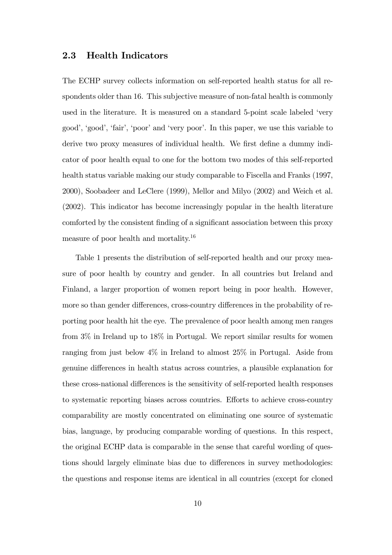#### 2.3 Health Indicators

The ECHP survey collects information on self-reported health status for all respondents older than 16. This subjective measure of non-fatal health is commonly used in the literature. It is measured on a standard 5-point scale labeled 'very goodí, ëgoodí, ëfairí, ëpooríand ëvery poorí. In this paper, we use this variable to derive two proxy measures of individual health. We first define a dummy indicator of poor health equal to one for the bottom two modes of this self-reported health status variable making our study comparable to Fiscella and Franks (1997, 2000), Soobadeer and LeClere (1999), Mellor and Milyo (2002) and Weich et al. (2002). This indicator has become increasingly popular in the health literature comforted by the consistent finding of a significant association between this proxy measure of poor health and mortality.<sup>16</sup>

Table 1 presents the distribution of self-reported health and our proxy measure of poor health by country and gender. In all countries but Ireland and Finland, a larger proportion of women report being in poor health. However, more so than gender differences, cross-country differences in the probability of reporting poor health hit the eye. The prevalence of poor health among men ranges from 3% in Ireland up to 18% in Portugal. We report similar results for women ranging from just below 4% in Ireland to almost 25% in Portugal. Aside from genuine differences in health status across countries, a plausible explanation for these cross-national differences is the sensitivity of self-reported health responses to systematic reporting biases across countries. Efforts to achieve cross-country comparability are mostly concentrated on eliminating one source of systematic bias, language, by producing comparable wording of questions. In this respect, the original ECHP data is comparable in the sense that careful wording of questions should largely eliminate bias due to differences in survey methodologies: the questions and response items are identical in all countries (except for cloned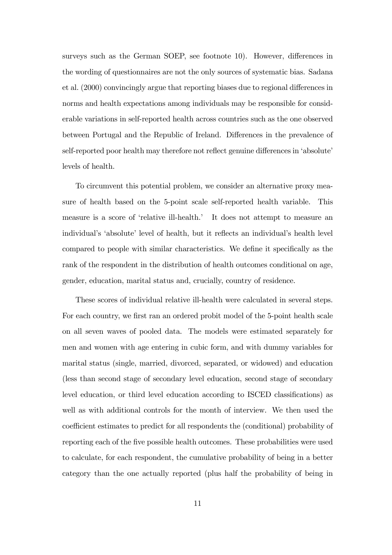surveys such as the German SOEP, see footnote 10). However, differences in the wording of questionnaires are not the only sources of systematic bias. Sadana et al. (2000) convincingly argue that reporting biases due to regional differences in norms and health expectations among individuals may be responsible for considerable variations in self-reported health across countries such as the one observed between Portugal and the Republic of Ireland. Differences in the prevalence of self-reported poor health may therefore not reflect genuine differences in 'absolute' levels of health.

To circumvent this potential problem, we consider an alternative proxy measure of health based on the 5-point scale self-reported health variable. This measure is a score of 'relative ill-health.' It does not attempt to measure an individual's 'absolute' level of health, but it reflects an individual's health level compared to people with similar characteristics. We define it specifically as the rank of the respondent in the distribution of health outcomes conditional on age, gender, education, marital status and, crucially, country of residence.

These scores of individual relative ill-health were calculated in several steps. For each country, we first ran an ordered probit model of the 5-point health scale on all seven waves of pooled data. The models were estimated separately for men and women with age entering in cubic form, and with dummy variables for marital status (single, married, divorced, separated, or widowed) and education (less than second stage of secondary level education, second stage of secondary level education, or third level education according to ISCED classifications) as well as with additional controls for the month of interview. We then used the coefficient estimates to predict for all respondents the (conditional) probability of reporting each of the Öve possible health outcomes. These probabilities were used to calculate, for each respondent, the cumulative probability of being in a better category than the one actually reported (plus half the probability of being in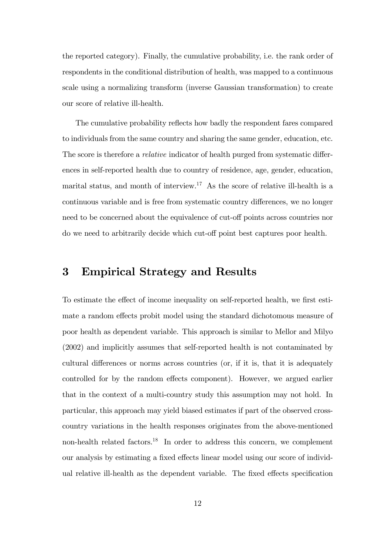the reported category). Finally, the cumulative probability, i.e. the rank order of respondents in the conditional distribution of health, was mapped to a continuous scale using a normalizing transform (inverse Gaussian transformation) to create our score of relative ill-health.

The cumulative probability reflects how badly the respondent fares compared to individuals from the same country and sharing the same gender, education, etc. The score is therefore a *relative* indicator of health purged from systematic differences in self-reported health due to country of residence, age, gender, education, marital status, and month of interview.<sup>17</sup> As the score of relative ill-health is a continuous variable and is free from systematic country differences, we no longer need to be concerned about the equivalence of cut-off points across countries nor do we need to arbitrarily decide which cut-off point best captures poor health.

## 3 Empirical Strategy and Results

To estimate the effect of income inequality on self-reported health, we first estimate a random effects probit model using the standard dichotomous measure of poor health as dependent variable. This approach is similar to Mellor and Milyo (2002) and implicitly assumes that self-reported health is not contaminated by cultural differences or norms across countries (or, if it is, that it is adequately controlled for by the random effects component). However, we argued earlier that in the context of a multi-country study this assumption may not hold. In particular, this approach may yield biased estimates if part of the observed crosscountry variations in the health responses originates from the above-mentioned non-health related factors.<sup>18</sup> In order to address this concern, we complement our analysis by estimating a fixed effects linear model using our score of individual relative ill-health as the dependent variable. The fixed effects specification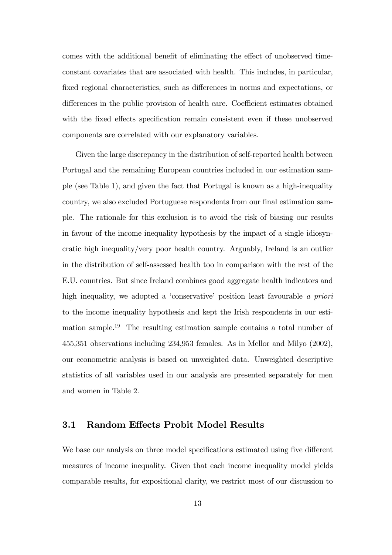comes with the additional benefit of eliminating the effect of unobserved timeconstant covariates that are associated with health. This includes, in particular, fixed regional characteristics, such as differences in norms and expectations, or differences in the public provision of health care. Coefficient estimates obtained with the fixed effects specification remain consistent even if these unobserved components are correlated with our explanatory variables.

Given the large discrepancy in the distribution of self-reported health between Portugal and the remaining European countries included in our estimation sample (see Table 1), and given the fact that Portugal is known as a high-inequality country, we also excluded Portuguese respondents from our final estimation sample. The rationale for this exclusion is to avoid the risk of biasing our results in favour of the income inequality hypothesis by the impact of a single idiosyncratic high inequality/very poor health country. Arguably, Ireland is an outlier in the distribution of self-assessed health too in comparison with the rest of the E.U. countries. But since Ireland combines good aggregate health indicators and high inequality, we adopted a 'conservative' position least favourable a priori to the income inequality hypothesis and kept the Irish respondents in our estimation sample.<sup>19</sup> The resulting estimation sample contains a total number of 455,351 observations including 234,953 females. As in Mellor and Milyo (2002), our econometric analysis is based on unweighted data. Unweighted descriptive statistics of all variables used in our analysis are presented separately for men and women in Table 2.

#### 3.1 Random Effects Probit Model Results

We base our analysis on three model specifications estimated using five different measures of income inequality. Given that each income inequality model yields comparable results, for expositional clarity, we restrict most of our discussion to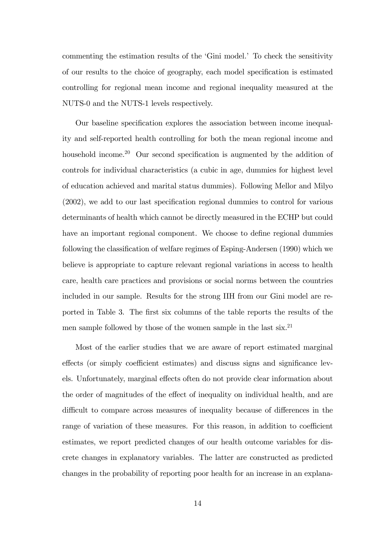commenting the estimation results of the 'Gini model.' To check the sensitivity of our results to the choice of geography, each model specification is estimated controlling for regional mean income and regional inequality measured at the NUTS-0 and the NUTS-1 levels respectively.

Our baseline specification explores the association between income inequality and self-reported health controlling for both the mean regional income and household income.<sup>20</sup> Our second specification is augmented by the addition of controls for individual characteristics (a cubic in age, dummies for highest level of education achieved and marital status dummies). Following Mellor and Milyo  $(2002)$ , we add to our last specification regional dummies to control for various determinants of health which cannot be directly measured in the ECHP but could have an important regional component. We choose to define regional dummies following the classification of welfare regimes of Esping-Andersen (1990) which we believe is appropriate to capture relevant regional variations in access to health care, health care practices and provisions or social norms between the countries included in our sample. Results for the strong IIH from our Gini model are reported in Table 3. The first six columns of the table reports the results of the men sample followed by those of the women sample in the last six.<sup>21</sup>

Most of the earlier studies that we are aware of report estimated marginal effects (or simply coefficient estimates) and discuss signs and significance levels. Unfortunately, marginal effects often do not provide clear information about the order of magnitudes of the effect of inequality on individual health, and are difficult to compare across measures of inequality because of differences in the range of variation of these measures. For this reason, in addition to coefficient estimates, we report predicted changes of our health outcome variables for discrete changes in explanatory variables. The latter are constructed as predicted changes in the probability of reporting poor health for an increase in an explana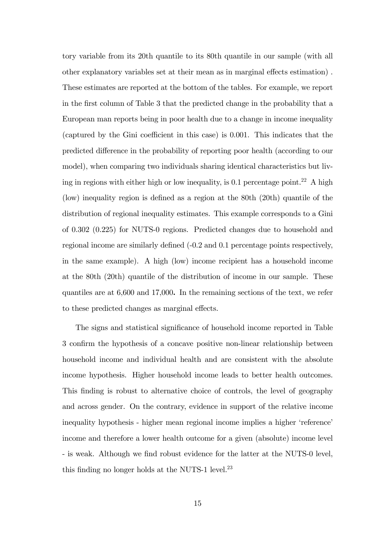tory variable from its 20th quantile to its 80th quantile in our sample (with all other explanatory variables set at their mean as in marginal effects estimation). These estimates are reported at the bottom of the tables. For example, we report in the Örst column of Table 3 that the predicted change in the probability that a European man reports being in poor health due to a change in income inequality (captured by the Gini coefficient in this case) is  $0.001$ . This indicates that the predicted difference in the probability of reporting poor health (according to our model), when comparing two individuals sharing identical characteristics but living in regions with either high or low inequality, is  $0.1$  percentage point.<sup>22</sup> A high (low) inequality region is defined as a region at the  $80th$  (20th) quantile of the distribution of regional inequality estimates. This example corresponds to a Gini of 0.302 (0.225) for NUTS-0 regions. Predicted changes due to household and regional income are similarly defined  $(-0.2 \text{ and } 0.1 \text{ percentage points respectively, }$ in the same example). A high (low) income recipient has a household income at the 80th (20th) quantile of the distribution of income in our sample. These quantiles are at 6,600 and 17,000. In the remaining sections of the text, we refer to these predicted changes as marginal effects.

The signs and statistical significance of household income reported in Table 3 confirm the hypothesis of a concave positive non-linear relationship between household income and individual health and are consistent with the absolute income hypothesis. Higher household income leads to better health outcomes. This finding is robust to alternative choice of controls, the level of geography and across gender. On the contrary, evidence in support of the relative income inequality hypothesis - higher mean regional income implies a higher 'reference' income and therefore a lower health outcome for a given (absolute) income level - is weak. Although we find robust evidence for the latter at the NUTS-0 level, this finding no longer holds at the NUTS-1 level.<sup>23</sup>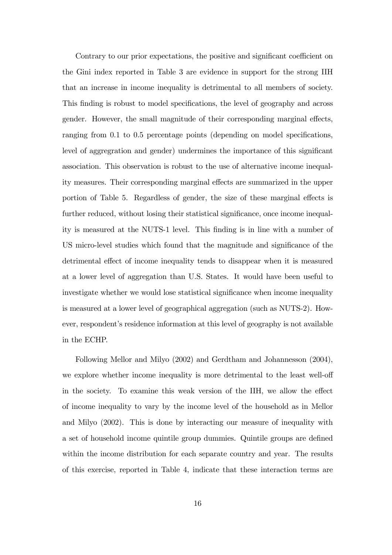Contrary to our prior expectations, the positive and significant coefficient on the Gini index reported in Table 3 are evidence in support for the strong IIH that an increase in income inequality is detrimental to all members of society. This finding is robust to model specifications, the level of geography and across gender. However, the small magnitude of their corresponding marginal effects, ranging from 0.1 to 0.5 percentage points (depending on model specifications, level of aggregration and gender) undermines the importance of this significant association. This observation is robust to the use of alternative income inequality measures. Their corresponding marginal effects are summarized in the upper portion of Table 5. Regardless of gender, the size of these marginal effects is further reduced, without losing their statistical significance, once income inequality is measured at the NUTS-1 level. This finding is in line with a number of US micro-level studies which found that the magnitude and significance of the detrimental effect of income inequality tends to disappear when it is measured at a lower level of aggregation than U.S. States. It would have been useful to investigate whether we would lose statistical significance when income inequality is measured at a lower level of geographical aggregation (such as NUTS-2). However, respondent's residence information at this level of geography is not available in the ECHP.

Following Mellor and Milyo (2002) and Gerdtham and Johannesson (2004), we explore whether income inequality is more detrimental to the least well-off in the society. To examine this weak version of the IIH, we allow the effect of income inequality to vary by the income level of the household as in Mellor and Milyo (2002). This is done by interacting our measure of inequality with a set of household income quintile group dummies. Quintile groups are defined within the income distribution for each separate country and year. The results of this exercise, reported in Table 4, indicate that these interaction terms are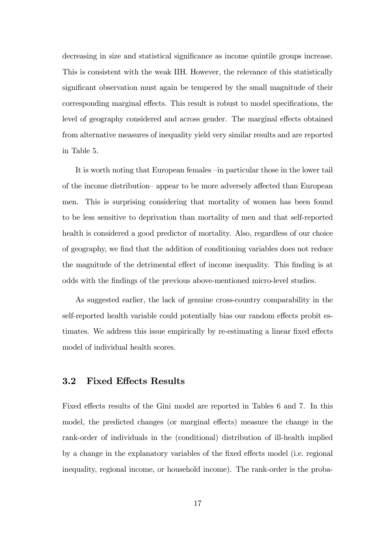decreasing in size and statistical significance as income quintile groups increase. This is consistent with the weak IIH. However, the relevance of this statistically significant observation must again be tempered by the small magnitude of their corresponding marginal effects. This result is robust to model specifications, the level of geography considered and across gender. The marginal effects obtained from alternative measures of inequality yield very similar results and are reported in Table 5.

It is worth noting that European females  $\overline{-}$  in particular those in the lower tail of the income distribution–appear to be more adversely affected than European men. This is surprising considering that mortality of women has been found to be less sensitive to deprivation than mortality of men and that self-reported health is considered a good predictor of mortality. Also, regardless of our choice of geography, we Önd that the addition of conditioning variables does not reduce the magnitude of the detrimental effect of income inequality. This finding is at odds with the Öndings of the previous above-mentioned micro-level studies.

As suggested earlier, the lack of genuine cross-country comparability in the self-reported health variable could potentially bias our random effects probit estimates. We address this issue empirically by re-estimating a linear fixed effects model of individual health scores.

#### 3.2 Fixed Effects Results

Fixed effects results of the Gini model are reported in Tables 6 and 7. In this model, the predicted changes (or marginal effects) measure the change in the rank-order of individuals in the (conditional) distribution of ill-health implied by a change in the explanatory variables of the fixed effects model (i.e. regional inequality, regional income, or household income). The rank-order is the proba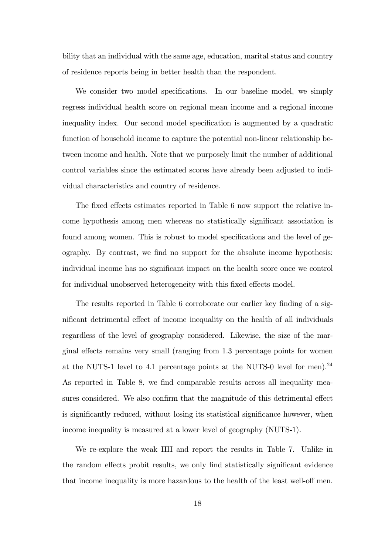bility that an individual with the same age, education, marital status and country of residence reports being in better health than the respondent.

We consider two model specifications. In our baseline model, we simply regress individual health score on regional mean income and a regional income inequality index. Our second model specification is augmented by a quadratic function of household income to capture the potential non-linear relationship between income and health. Note that we purposely limit the number of additional control variables since the estimated scores have already been adjusted to individual characteristics and country of residence.

The fixed effects estimates reported in Table 6 now support the relative income hypothesis among men whereas no statistically significant association is found among women. This is robust to model specifications and the level of geography. By contrast, we find no support for the absolute income hypothesis: individual income has no significant impact on the health score once we control for individual unobserved heterogeneity with this fixed effects model.

The results reported in Table 6 corroborate our earlier key finding of a significant detrimental effect of income inequality on the health of all individuals regardless of the level of geography considered. Likewise, the size of the marginal effects remains very small (ranging from 1.3 percentage points for women at the NUTS-1 level to 4.1 percentage points at the NUTS-0 level for men).<sup>24</sup> As reported in Table 8, we find comparable results across all inequality measures considered. We also confirm that the magnitude of this detrimental effect is significantly reduced, without losing its statistical significance however, when income inequality is measured at a lower level of geography (NUTS-1).

We re-explore the weak IIH and report the results in Table 7. Unlike in the random effects probit results, we only find statistically significant evidence that income inequality is more hazardous to the health of the least well-off men.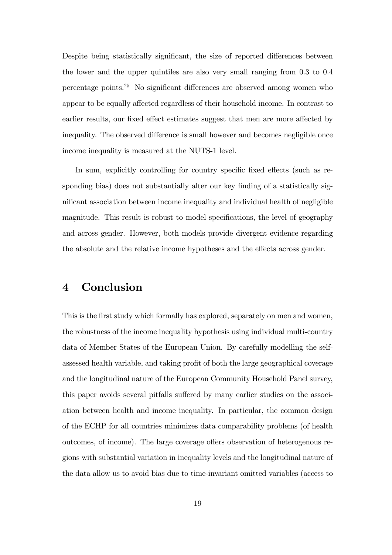Despite being statistically significant, the size of reported differences between the lower and the upper quintiles are also very small ranging from 0.3 to 0.4 percentage points.<sup>25</sup> No significant differences are observed among women who appear to be equally affected regardless of their household income. In contrast to earlier results, our fixed effect estimates suggest that men are more affected by inequality. The observed difference is small however and becomes negligible once income inequality is measured at the NUTS-1 level.

In sum, explicitly controlling for country specific fixed effects (such as responding bias) does not substantially alter our key finding of a statistically significant association between income inequality and individual health of negligible magnitude. This result is robust to model specifications, the level of geography and across gender. However, both models provide divergent evidence regarding the absolute and the relative income hypotheses and the effects across gender.

## 4 Conclusion

This is the first study which formally has explored, separately on men and women, the robustness of the income inequality hypothesis using individual multi-country data of Member States of the European Union. By carefully modelling the selfassessed health variable, and taking profit of both the large geographical coverage and the longitudinal nature of the European Community Household Panel survey, this paper avoids several pitfalls suffered by many earlier studies on the association between health and income inequality. In particular, the common design of the ECHP for all countries minimizes data comparability problems (of health outcomes, of income). The large coverage offers observation of heterogenous regions with substantial variation in inequality levels and the longitudinal nature of the data allow us to avoid bias due to time-invariant omitted variables (access to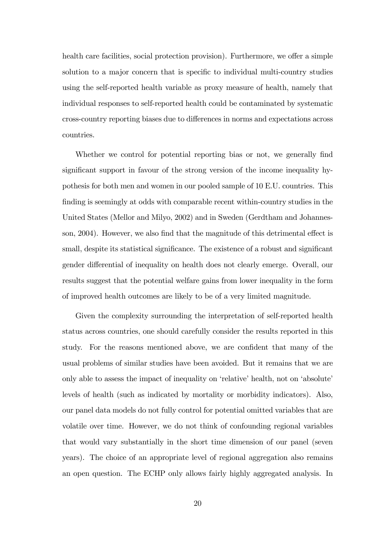health care facilities, social protection provision). Furthermore, we offer a simple solution to a major concern that is specific to individual multi-country studies using the self-reported health variable as proxy measure of health, namely that individual responses to self-reported health could be contaminated by systematic cross-country reporting biases due to differences in norms and expectations across countries.

Whether we control for potential reporting bias or not, we generally find significant support in favour of the strong version of the income inequality hypothesis for both men and women in our pooled sample of 10 E.U. countries. This finding is seemingly at odds with comparable recent within-country studies in the United States (Mellor and Milyo, 2002) and in Sweden (Gerdtham and Johannesson,  $2004$ ). However, we also find that the magnitude of this detrimental effect is small, despite its statistical significance. The existence of a robust and significant gender differential of inequality on health does not clearly emerge. Overall, our results suggest that the potential welfare gains from lower inequality in the form of improved health outcomes are likely to be of a very limited magnitude.

Given the complexity surrounding the interpretation of self-reported health status across countries, one should carefully consider the results reported in this study. For the reasons mentioned above, we are confident that many of the usual problems of similar studies have been avoided. But it remains that we are only able to assess the impact of inequality on 'relative' health, not on 'absolute' levels of health (such as indicated by mortality or morbidity indicators). Also, our panel data models do not fully control for potential omitted variables that are volatile over time. However, we do not think of confounding regional variables that would vary substantially in the short time dimension of our panel (seven years). The choice of an appropriate level of regional aggregation also remains an open question. The ECHP only allows fairly highly aggregated analysis. In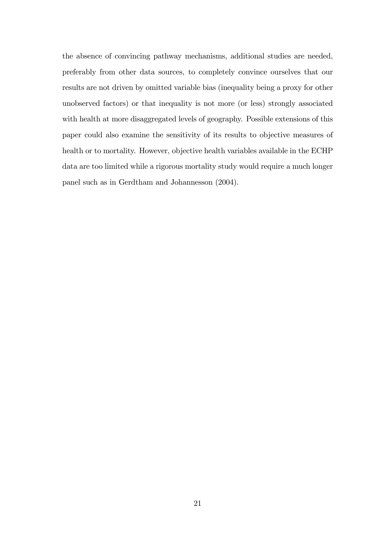the absence of convincing pathway mechanisms, additional studies are needed, preferably from other data sources, to completely convince ourselves that our results are not driven by omitted variable bias (inequality being a proxy for other unobserved factors) or that inequality is not more (or less) strongly associated with health at more disaggregated levels of geography. Possible extensions of this paper could also examine the sensitivity of its results to objective measures of health or to mortality. However, objective health variables available in the ECHP data are too limited while a rigorous mortality study would require a much longer panel such as in Gerdtham and Johannesson (2004).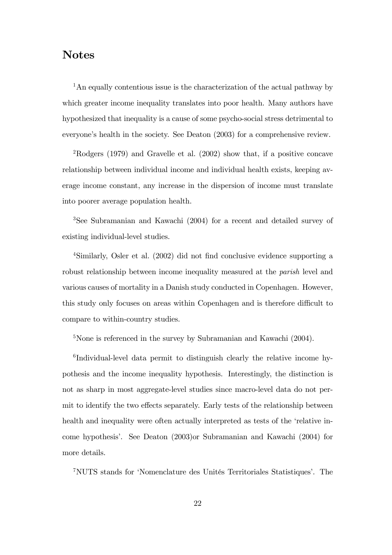## Notes

<sup>1</sup>An equally contentious issue is the characterization of the actual pathway by which greater income inequality translates into poor health. Many authors have hypothesized that inequality is a cause of some psycho-social stress detrimental to everyone's health in the society. See Deaton (2003) for a comprehensive review.

<sup>2</sup>Rodgers (1979) and Gravelle et al. (2002) show that, if a positive concave relationship between individual income and individual health exists, keeping average income constant, any increase in the dispersion of income must translate into poorer average population health.

<sup>3</sup>See Subramanian and Kawachi (2004) for a recent and detailed survey of existing individual-level studies.

<sup>4</sup>Similarly, Osler et al. (2002) did not find conclusive evidence supporting a robust relationship between income inequality measured at the *parish* level and various causes of mortality in a Danish study conducted in Copenhagen. However, this study only focuses on areas within Copenhagen and is therefore difficult to compare to within-country studies.

 $5$ None is referenced in the survey by Subramanian and Kawachi (2004).

6 Individual-level data permit to distinguish clearly the relative income hypothesis and the income inequality hypothesis. Interestingly, the distinction is not as sharp in most aggregate-level studies since macro-level data do not permit to identify the two effects separately. Early tests of the relationship between health and inequality were often actually interpreted as tests of the 'relative income hypothesis'. See Deaton (2003)or Subramanian and Kawachi (2004) for more details.

<sup>7</sup>NUTS stands for 'Nomenclature des Unités Territoriales Statistiques'. The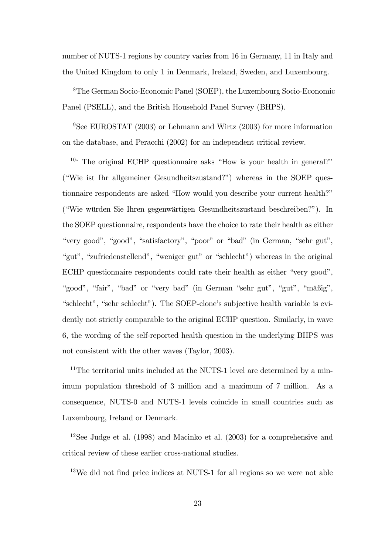number of NUTS-1 regions by country varies from 16 in Germany, 11 in Italy and the United Kingdom to only 1 in Denmark, Ireland, Sweden, and Luxembourg.

<sup>8</sup>The German Socio-Economic Panel (SOEP), the Luxembourg Socio-Economic Panel (PSELL), and the British Household Panel Survey (BHPS).

<sup>9</sup>See EUROSTAT (2003) or Lehmann and Wirtz (2003) for more information on the database, and Peracchi (2002) for an independent critical review.

 $10<sup>i</sup>$  The original ECHP questionnaire asks "How is your health in general?" ("Wie ist Ihr allgemeiner Gesundheitszustand?") whereas in the SOEP questionnaire respondents are asked "How would you describe your current health?" ("Wie würden Sie Ihren gegenwärtigen Gesundheitszustand beschreiben?"). In the SOEP questionnaire, respondents have the choice to rate their health as either "very good", "good", "satisfactory", "poor" or "bad" (in German, "sehr gut", "gut", "zufriedenstellend", "weniger gut" or "schlecht") whereas in the original ECHP questionnaire respondents could rate their health as either "very good", "good", "fair", "bad" or "very bad" (in German "sehr gut", "gut", "mäßig", "schlecht", "sehr schlecht"). The SOEP-clone's subjective health variable is evidently not strictly comparable to the original ECHP question. Similarly, in wave 6, the wording of the self-reported health question in the underlying BHPS was not consistent with the other waves (Taylor, 2003).

 $11$ The territorial units included at the NUTS-1 level are determined by a minimum population threshold of 3 million and a maximum of 7 million. As a consequence, NUTS-0 and NUTS-1 levels coincide in small countries such as Luxembourg, Ireland or Denmark.

<sup>12</sup>See Judge et al. (1998) and Macinko et al. (2003) for a comprehensive and critical review of these earlier cross-national studies.

 $13$ We did not find price indices at NUTS-1 for all regions so we were not able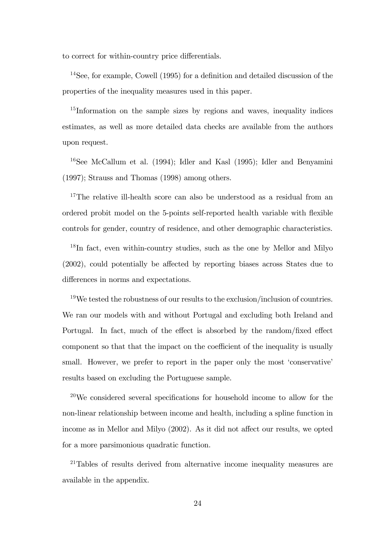to correct for within-country price differentials.

 $14$ See, for example, Cowell (1995) for a definition and detailed discussion of the properties of the inequality measures used in this paper.

<sup>15</sup>Information on the sample sizes by regions and waves, inequality indices estimates, as well as more detailed data checks are available from the authors upon request.

 $16$ See McCallum et al. (1994); Idler and Kasl (1995); Idler and Benyamini (1997); Strauss and Thomas (1998) among others.

<sup>17</sup>The relative ill-health score can also be understood as a residual from an ordered probit model on the 5-points self-reported health variable with flexible controls for gender, country of residence, and other demographic characteristics.

 $18$ In fact, even within-country studies, such as the one by Mellor and Milyo  $(2002)$ , could potentially be affected by reporting biases across States due to differences in norms and expectations.

<sup>19</sup>We tested the robustness of our results to the exclusion/inclusion of countries. We ran our models with and without Portugal and excluding both Ireland and Portugal. In fact, much of the effect is absorbed by the random/fixed effect component so that that the impact on the coefficient of the inequality is usually small. However, we prefer to report in the paper only the most 'conservative' results based on excluding the Portuguese sample.

 $20$ We considered several specifications for household income to allow for the non-linear relationship between income and health, including a spline function in income as in Mellor and Milyo  $(2002)$ . As it did not affect our results, we opted for a more parsimonious quadratic function.

 $21$ Tables of results derived from alternative income inequality measures are available in the appendix.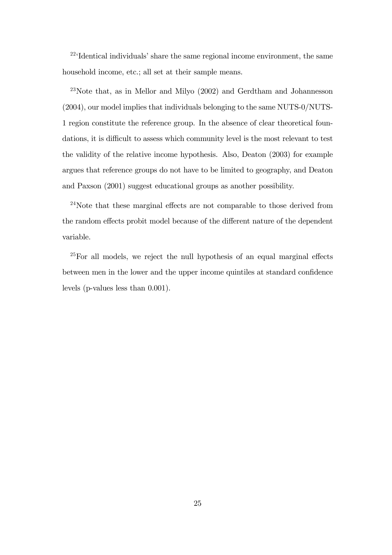$224$ <sup>22</sup> Identical individuals' share the same regional income environment, the same household income, etc.; all set at their sample means.

 $23$ Note that, as in Mellor and Milyo  $(2002)$  and Gerdtham and Johannesson (2004), our model implies that individuals belonging to the same NUTS-0/NUTS-1 region constitute the reference group. In the absence of clear theoretical foundations, it is difficult to assess which community level is the most relevant to test the validity of the relative income hypothesis. Also, Deaton (2003) for example argues that reference groups do not have to be limited to geography, and Deaton and Paxson (2001) suggest educational groups as another possibility.

 $24$ Note that these marginal effects are not comparable to those derived from the random effects probit model because of the different nature of the dependent variable.

 $25$  For all models, we reject the null hypothesis of an equal marginal effects between men in the lower and the upper income quintiles at standard confidence levels (p-values less than 0.001).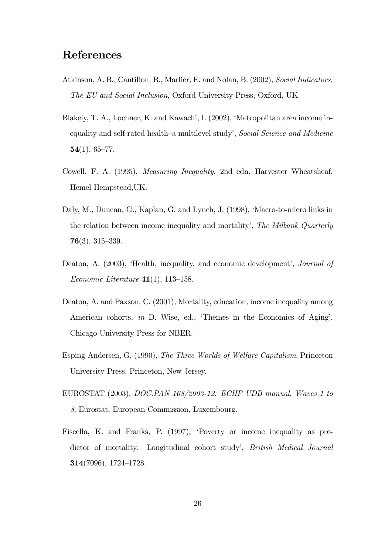## References

- Atkinson, A. B., Cantillon, B., Marlier, E. and Nolan, B. (2002), Social Indicators. The EU and Social Inclusion, Oxford University Press, Oxford, UK.
- Blakely, T. A., Lochner, K. and Kawachi, I. (2002), 'Metropolitan area income inequality and self-rated health-a multilevel study', Social Science and Medicine  $54(1), 65–77.$
- Cowell, F. A. (1995), Measuring Inequality, 2nd edn, Harvester Wheatsheaf, Hemel Hempstead,UK.
- Daly, M., Duncan, G., Kaplan, G. and Lynch, J. (1998), 'Macro-to-micro links in the relation between income inequality and mortality', The Milbank Quarterly  $76(3)$ , 315-339.
- Deaton, A. (2003), 'Health, inequality, and economic development', *Journal of* Economic Literature  $41(1)$ , 113–158.
- Deaton, A. and Paxson, C. (2001), Mortality, education, income inequality among American cohorts, in D. Wise, ed., Themes in the Economics of Aging', Chicago University Press for NBER.
- Esping-Andersen, G. (1990), The Three Worlds of Welfare Capitalism, Princeton University Press, Princeton, New Jersey.
- EUROSTAT (2003), DOC.PAN 168/2003-12: ECHP UDB manual, Waves 1 to 8, Eurostat, European Commission, Luxembourg.
- Fiscella, K. and Franks, P. (1997), ëPoverty or income inequality as predictor of mortality: Longitudinal cohort study', British Medical Journal 314(7096), 1724–1728.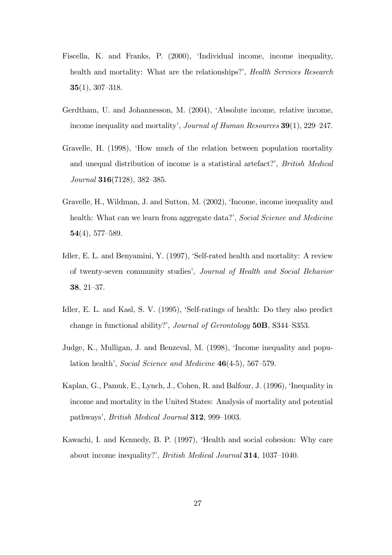- Fiscella, K. and Franks, P. (2000), ëIndividual income, income inequality, health and mortality: What are the relationships?', *Health Services Research*  $35(1), 307-318.$
- Gerdtham, U. and Johannesson, M. (2004), ëAbsolute income, relative income, income inequality and mortality', Journal of Human Resources  $39(1)$ , 229–247.
- Gravelle, H. (1998), ëHow much of the relation between population mortality and unequal distribution of income is a statistical artefact?', British Medical Journal 316 $(7128)$ , 382–385.
- Gravelle, H., Wildman, J. and Sutton, M. (2002), 'Income, income inequality and health: What can we learn from aggregate data?', Social Science and Medicine  $\mathbf{54}(4), 577 - 589.$
- Idler, E. L. and Benyamini, Y. (1997), 'Self-rated health and mortality: A review of twenty-seven community studies', Journal of Health and Social Behavior 38,  $21-37$ .
- Idler, E. L. and Kasl, S. V. (1995), 'Self-ratings of health: Do they also predict change in functional ability?', Journal of Gerontology 50B, S344–S353.
- Judge, K., Mulligan, J. and Benzeval, M. (1998), ëIncome inequality and population health', Social Science and Medicine  $46(4-5)$ , 567-579.
- Kaplan, G., Pamuk, E., Lynch, J., Cohen, R. and Balfour, J. (1996), 'Inequality in income and mortality in the United States: Analysis of mortality and potential pathways', *British Medical Journal* **312**, 999–1003.
- Kawachi, I. and Kennedy, B. P. (1997), ëHealth and social cohesion: Why care about income inequality?', *British Medical Journal* **314**, 1037–1040.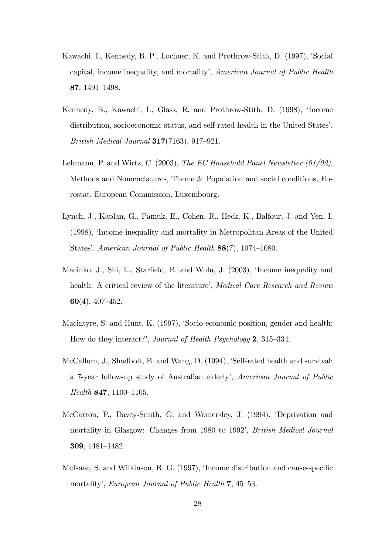- Kawachi, I., Kennedy, B. P., Lochner, K. and Prothrow-Stith, D. (1997), ëSocial capital, income inequality, and mortality', American Journal of Public Health 87, 1491–1498.
- Kennedy, B., Kawachi, I., Glass, R. and Prothrow-Stith, D. (1998), 'Income distribution, socioeconomic status, and self-rated health in the United States', British Medical Journal  $317(7163)$ , 917-921.
- Lehmann, P. and Wirtz, C. (2003), The EC Household Panel Newsletter  $(01/02)$ , Methods and Nomenclatures, Theme 3: Population and social conditions, Eurostat, European Commission, Luxembourg.
- Lynch, J., Kaplan, G., Pamuk, E., Cohen, R., Heck, K., Balfour, J. and Yen, I. (1998), ëIncome inequality and mortality in Metropolitan Areas of the United States', American Journal of Public Health  $88(7)$ , 1074–1080.
- Macinko, J., Shi, L., Starfield, B. and Wulu, J. (2003), 'Income inequality and health: A critical review of the literature', Medical Care Research and Review 60(4),  $407-452$ .
- Macintyre, S. and Hunt, K. (1997), 'Socio-economic position, gender and health: How do they interact?', Journal of Health Psychology  $2$ , 315–334.
- McCallum, J., Shadbolt, B. and Wang, D. (1994), 'Self-rated health and survival: a 7-year follow-up study of Australian elderly', American Journal of Public Health  $847, 1100-1105.$
- McCarron, P., Davey-Smith, G. and Womersley, J. (1994), ëDeprivation and mortality in Glasgow: Changes from 1980 to 1992', *British Medical Journal* 309, 1481-1482.
- McIsaac, S. and Wilkinson, R. G. (1997), 'Income distribution and cause-specific mortality', European Journal of Public Health 7, 45–53.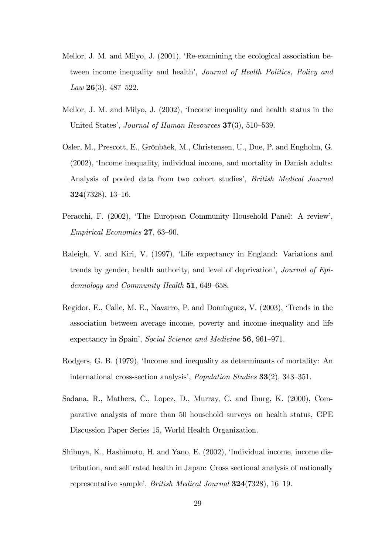- Mellor, J. M. and Milyo, J. (2001), ëRe-examining the ecological association between income inequality and health<sup>†</sup>, Journal of Health Politics, Policy and Law  $26(3)$ , 487–522.
- Mellor, J. M. and Milyo, J. (2002), ëIncome inequality and health status in the United States', Journal of Human Resources  $37(3)$ , 510–539.
- Osler, M., Prescott, E., Grönbäek, M., Christensen, U., Due, P. and Engholm, G. (2002), ëIncome inequality, individual income, and mortality in Danish adults: Analysis of pooled data from two cohort studies', *British Medical Journal*  $324(7328), 13-16.$
- Peracchi, F. (2002), 'The European Community Household Panel: A review',  $Empirical Economics$  27, 63–90.
- Raleigh, V. and Kiri, V. (1997), ëLife expectancy in England: Variations and trends by gender, health authority, and level of deprivation', *Journal of Epi*demiology and Community Health  $51,649-658$ .
- Regidor, E., Calle, M. E., Navarro, P. and Domínguez, V. (2003), 'Trends in the association between average income, poverty and income inequality and life expectancy in Spain<sup>'</sup>, Social Science and Medicine **56**, 961–971.
- Rodgers, G. B. (1979), 'Income and inequality as determinants of mortality: An international cross-section analysis', *Population Studies*  $33(2)$ ,  $343-351$ .
- Sadana, R., Mathers, C., Lopez, D., Murray, C. and Iburg, K. (2000), Comparative analysis of more than 50 household surveys on health status, GPE Discussion Paper Series 15, World Health Organization.
- Shibuya, K., Hashimoto, H. and Yano, E. (2002), 'Individual income, income distribution, and self rated health in Japan: Cross sectional analysis of nationally representative sample', *British Medical Journal*  $324(7328)$ , 16–19.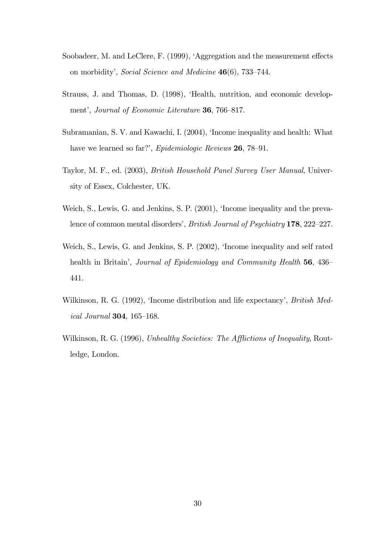- Soobadeer, M. and LeClere, F.  $(1999)$ , 'Aggregation and the measurement effects on morbidity', Social Science and Medicine  $46(6)$ , 733–744.
- Strauss, J. and Thomas, D. (1998), ëHealth, nutrition, and economic development', Journal of Economic Literature 36, 766-817.
- Subramanian, S. V. and Kawachi, I. (2004), ëIncome inequality and health: What have we learned so far?', Epidemiologic Reviews 26, 78–91.
- Taylor, M. F., ed. (2003), British Household Panel Survey User Manual, University of Essex, Colchester, UK.
- Weich, S., Lewis, G. and Jenkins, S. P. (2001), 'Income inequality and the prevalence of common mental disorders', British Journal of Psychiatry 178, 222-227.
- Weich, S., Lewis, G. and Jenkins, S. P. (2002), 'Income inequality and self rated health in Britain<sup>'</sup>, Journal of Epidemiology and Community Health 56, 436 441.
- Wilkinson, R. G. (1992), 'Income distribution and life expectancy', *British Med*ical Journal  $304, 165-168$ .
- Wilkinson, R. G. (1996), Unhealthy Societies: The Afflictions of Inequality, Routledge, London.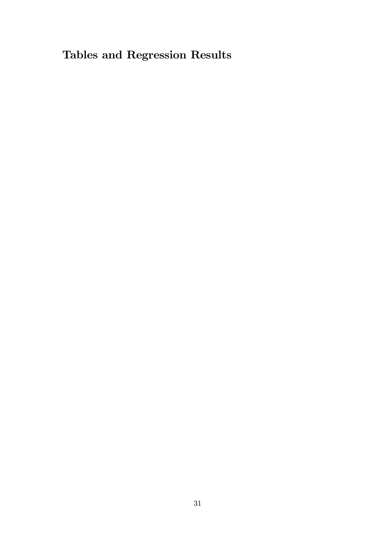# Tables and Regression Results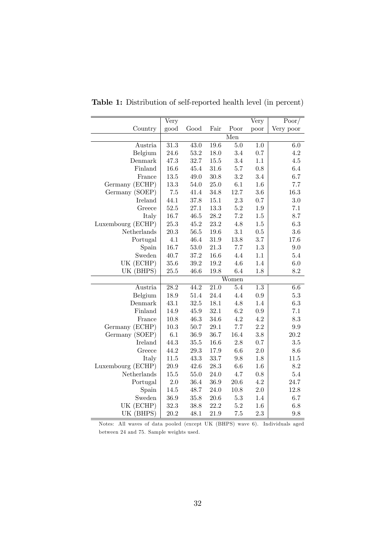|                   | Very              |          |                   |                         | Very             | Poor/     |
|-------------------|-------------------|----------|-------------------|-------------------------|------------------|-----------|
| Country           | good              | Good     | Fair              | Poor                    | poor             | Very poor |
|                   |                   |          |                   | $\overline{\text{Men}}$ |                  |           |
| Austria           | 31.3              | 43.0     | $\overline{19.6}$ | $5.0\,$                 | $1.0\,$          | $6.0\,$   |
| Belgium           | 24.6              | $53.2\,$ | 18.0              | 3.4                     | $0.7\,$          | $4.2\,$   |
| Denmark           | 47.3              | 32.7     | $15.5\,$          | 3.4                     | $1.1\,$          | $4.5\,$   |
| Finland           | 16.6              | 45.4     | 31.6              | 5.7                     | $0.8\,$          | $6.4\,$   |
| France            | $13.5\,$          | 49.0     | 30.8              | $3.2\,$                 | 3.4              | 6.7       |
| Germany (ECHP)    | 13.3              | 54.0     | $25.0\,$          | $6.1\,$                 | 1.6              | 7.7       |
| Germany (SOEP)    | $7.5\,$           | 41.4     | 34.8              | 12.7                    | 3.6              | 16.3      |
| <b>Ireland</b>    | 44.1              | 37.8     | 15.1              | $2.3\,$                 | 0.7              | $3.0\,$   |
| Greece            | 52.5              | 27.1     | $13.3\,$          | $5.2\,$                 | 1.9              | 7.1       |
| Italy             | 16.7              | 46.5     | 28.2              | 7.2                     | $1.5\,$          | 8.7       |
| Luxembourg (ECHP) | 25.3              | 45.2     | 23.2              | 4.8                     | $1.5\,$          | $6.3\,$   |
| Netherlands       | 20.3              | $56.5\,$ | 19.6              | 3.1                     | $0.5\,$          | $3.6\,$   |
| Portugal          | 4.1               | 46.4     | $31.9\,$          | 13.8                    | 3.7              | 17.6      |
| Spain             | 16.7              | 53.0     | 21.3              | 7.7                     | $1.3\,$          | 9.0       |
| Sweden            | 40.7              | $37.2\,$ | 16.6              | 4.4                     | $1.1\,$          | $5.4\,$   |
| UK (ECHP)         | 35.6              | 39.2     | 19.2              | 4.6                     | 1.4              | 6.0       |
| UK (BHPS)         | 25.5              | 46.6     | 19.8              | 6.4                     | 1.8              | $8.2\,$   |
|                   |                   |          |                   | Women                   |                  |           |
| Austria           | $\overline{28.2}$ | 44.2     | $\overline{21.0}$ | 5.4                     | $\overline{1.3}$ | 6.6       |
| Belgium           | 18.9              | 51.4     | 24.4              | 4.4                     | $\rm 0.9$        | $5.3\,$   |
| Denmark           | 43.1              | 32.5     | 18.1              | 4.8                     | $1.4\,$          | $6.3\,$   |
| Finland           | 14.9              | 45.9     | $32.1\,$          | 6.2                     | $\rm 0.9$        | $7.1\,$   |
| France            | 10.8              | 46.3     | 34.6              | 4.2                     | 4.2              | 8.3       |
| Germany (ECHP)    | $10.3\,$          | 50.7     | $29.1\,$          | 7.7                     | 2.2              | $\rm 9.9$ |
| Germany (SOEP)    | $6.1\,$           | 36.9     | 36.7              | 16.4                    | $\!.8$           | $20.2\,$  |
| Ireland           | 44.3              | 35.5     | 16.6              | $2.8\,$                 | 0.7              | $3.5\,$   |
| Greece            | 44.2              | 29.3     | 17.9              | $6.6\,$                 | $2.0\,$          | $8.6\,$   |
| Italy             | 11.5              | 43.3     | 33.7              | 9.8                     | 1.8              | $11.5\,$  |
| Luxembourg (ECHP) | 20.9              | 42.6     | 28.3              | 6.6                     | 1.6              | $8.2\,$   |
| Netherlands       | $15.5\,$          | 55.0     | 24.0              | 4.7                     | $0.8\,$          | $5.4\,$   |
| Portugal          | 2.0               | 36.4     | 36.9              | $20.6\,$                | $4.2\,$          | 24.7      |
| Spain             | 14.5              | 48.7     | 24.0              | 10.8                    | $2.0\,$          | 12.8      |
| Sweden            | 36.9              | $35.8\,$ | $20.6\,$          | $5.3\,$                 | $1.4\,$          | 6.7       |
| UK (ECHP)         | 32.3              | 38.8     | 22.2              | $5.2\,$                 | 1.6              | 6.8       |
| UK (BHPS)         | 20.2              | 48.1     | 21.9              | $7.5\,$                 | 2.3              | 9.8       |

Table 1: Distribution of self-reported health level (in percent)

Notes: All waves of data pooled (except UK (BHPS) wave 6). Individuals aged between 24 and 75. Sample weights used.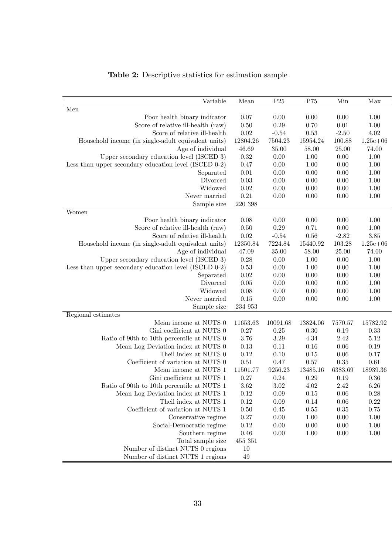| Variable                                              | Mean       | P25      | P75      | Min      | Max          |
|-------------------------------------------------------|------------|----------|----------|----------|--------------|
| Men                                                   |            |          |          |          |              |
| Poor health binary indicator                          | 0.07       | 0.00     | 0.00     | 0.00     | 1.00         |
| Score of relative ill-health (raw)                    | 0.50       | 0.29     | 0.70     | $0.01\,$ | 1.00         |
| Score of relative ill-health                          | 0.02       | $-0.54$  | 0.53     | $-2.50$  | 4.02         |
| Household income (in single-adult equivalent units)   | 12804.26   | 7504.23  | 15954.24 | 100.88   | $1.25e + 06$ |
| Age of individual                                     | 46.69      | 35.00    | 58.00    | 25.00    | 74.00        |
| Upper secondary education level (ISCED 3)             | 0.32       | 0.00     | 1.00     | 0.00     | 1.00         |
| Less than upper secondary education level (ISCED 0-2) | 0.47       | 0.00     | 1.00     | 0.00     | 1.00         |
| Separated                                             | 0.01       | 0.00     | 0.00     | 0.00     | 1.00         |
| Divorced                                              | 0.03       | 0.00     | 0.00     | 0.00     | 1.00         |
| Widowed                                               | 0.02       | 0.00     | 0.00     | 0.00     | 1.00         |
| Never married                                         | $\rm 0.21$ | 0.00     | 0.00     | 0.00     | 1.00         |
| Sample size                                           | 220 398    |          |          |          |              |
| Women                                                 |            |          |          |          |              |
| Poor health binary indicator                          | 0.08       | 0.00     | 0.00     | 0.00     | 1.00         |
| Score of relative ill-health (raw)                    | 0.50       | 0.29     | 0.71     | 0.00     | 1.00         |
| Score of relative ill-health                          | 0.02       | $-0.54$  | 0.56     | $-2.82$  | 3.85         |
| Household income (in single-adult equivalent units)   | 12350.84   | 7224.84  | 15440.92 | 103.28   | $1.25e + 06$ |
| Age of individual                                     | 47.09      | 35.00    | 58.00    | 25.00    | 74.00        |
| Upper secondary education level (ISCED 3)             | 0.28       | 0.00     | 1.00     | 0.00     | 1.00         |
| Less than upper secondary education level (ISCED 0-2) | 0.53       | 0.00     | 1.00     | 0.00     | 1.00         |
| Separated                                             | 0.02       | 0.00     | 0.00     | 0.00     | 1.00         |
| Divorced                                              | 0.05       | 0.00     | 0.00     | 0.00     | 1.00         |
| Widowed                                               | 0.08       | 0.00     | 0.00     | 0.00     | 1.00         |
| Never married                                         | 0.15       | 0.00     | 0.00     | 0.00     | 1.00         |
| Sample size                                           | 234 953    |          |          |          |              |
| Regional estimates                                    |            |          |          |          |              |
| Mean income at NUTS 0                                 | 11653.63   | 10091.68 | 13824.06 | 7570.57  | 15782.92     |
| Gini coefficient at NUTS 0                            | 0.27       | 0.25     | 0.30     | 0.19     | 0.33         |
| Ratio of 90th to 10th percentile at NUTS 0            | 3.76       | 3.29     | 4.34     | 2.42     | 5.12         |
| Mean Log Deviation index at NUTS 0                    | 0.13       | 0.11     | 0.16     | 0.06     | 0.19         |
| Theil index at NUTS 0                                 | 0.12       | 0.10     | 0.15     | 0.06     | 0.17         |
| Coefficient of variation at NUTS 0                    | 0.51       | 0.47     | 0.57     | 0.35     | 0.61         |
| Mean income at NUTS 1                                 | 11501.77   | 9256.23  | 13485.16 | 6383.69  | 18939.36     |
| Gini coefficient at NUTS 1                            | 0.27       | $0.24\,$ | 0.29     | 0.19     | 0.36         |
| Ratio of 90th to 10th percentile at NUTS 1            | 3.62       | 3.02     | 4.02     | 2.42     | 6.26         |
| Mean Log Deviation index at NUTS 1                    | $0.12\,$   | 0.09     | $0.15\,$ | 0.06     | 0.28         |
| Theil index at NUTS 1                                 | $0.12\,$   | 0.09     | $0.14\,$ | 0.06     | 0.22         |
| Coefficient of variation at NUTS 1                    | 0.50       | 0.45     | 0.55     | 0.35     | 0.75         |
| Conservative regime                                   | 0.27       | $0.00\,$ | 1.00     | 0.00     | $1.00\,$     |
| Social-Democratic regime                              | $0.12\,$   | $0.00\,$ | 0.00     | 0.00     | 1.00         |
| Southern regime                                       | $0.46\,$   | 0.00     | 1.00     | 0.00     | 1.00         |
| Total sample size                                     | 455 351    |          |          |          |              |
| Number of distinct NUTS 0 regions                     | 10         |          |          |          |              |
| Number of distinct NUTS 1 regions                     | 49         |          |          |          |              |

## Table 2: Descriptive statistics for estimation sample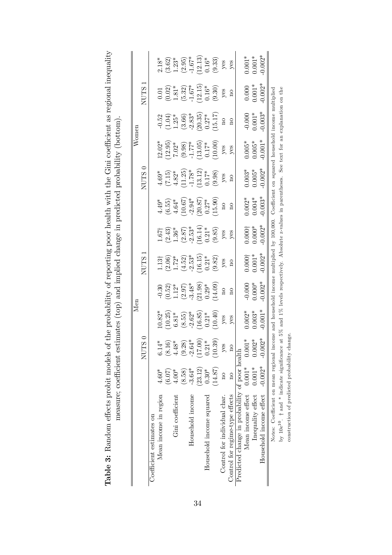|                                                |           |                                                                                      | Men                                                                       |                                                                                                                                                                                            |                                                                                |                                                                                                                                                                                |                                                                                                                     |                                                                                                      | Womer                                                                                          |                                                                                                              |                                                                                                          |                                                                                                                                                             |
|------------------------------------------------|-----------|--------------------------------------------------------------------------------------|---------------------------------------------------------------------------|--------------------------------------------------------------------------------------------------------------------------------------------------------------------------------------------|--------------------------------------------------------------------------------|--------------------------------------------------------------------------------------------------------------------------------------------------------------------------------|---------------------------------------------------------------------------------------------------------------------|------------------------------------------------------------------------------------------------------|------------------------------------------------------------------------------------------------|--------------------------------------------------------------------------------------------------------------|----------------------------------------------------------------------------------------------------------|-------------------------------------------------------------------------------------------------------------------------------------------------------------|
|                                                |           | NUTS 0                                                                               |                                                                           |                                                                                                                                                                                            | <b>NUTS</b>                                                                    |                                                                                                                                                                                |                                                                                                                     | NUTS <sub>0</sub>                                                                                    |                                                                                                |                                                                                                              | <b>NUTS</b>                                                                                              |                                                                                                                                                             |
| Coefficient estimates on                       |           |                                                                                      |                                                                           |                                                                                                                                                                                            |                                                                                |                                                                                                                                                                                |                                                                                                                     |                                                                                                      |                                                                                                |                                                                                                              |                                                                                                          |                                                                                                                                                             |
| Mean income in region                          | $4.60*$   | $6.14*$                                                                              |                                                                           |                                                                                                                                                                                            |                                                                                |                                                                                                                                                                                |                                                                                                                     |                                                                                                      |                                                                                                |                                                                                                              |                                                                                                          |                                                                                                                                                             |
|                                                | (6.07)    | $(8.16)$<br>4.48*                                                                    |                                                                           |                                                                                                                                                                                            |                                                                                |                                                                                                                                                                                |                                                                                                                     |                                                                                                      |                                                                                                |                                                                                                              |                                                                                                          |                                                                                                                                                             |
| Gini coefficient                               | $4.00*$   |                                                                                      |                                                                           |                                                                                                                                                                                            |                                                                                |                                                                                                                                                                                |                                                                                                                     |                                                                                                      |                                                                                                |                                                                                                              |                                                                                                          |                                                                                                                                                             |
|                                                | (8.58)    | $\begin{array}{c} (9.28) \\ -2.64^{*} \\ (17.00) \\ 0.21^{*} \\ (10.39) \end{array}$ |                                                                           |                                                                                                                                                                                            |                                                                                |                                                                                                                                                                                |                                                                                                                     |                                                                                                      |                                                                                                |                                                                                                              |                                                                                                          |                                                                                                                                                             |
| Household income                               | $-3.64*$  |                                                                                      |                                                                           |                                                                                                                                                                                            |                                                                                |                                                                                                                                                                                |                                                                                                                     |                                                                                                      |                                                                                                |                                                                                                              |                                                                                                          |                                                                                                                                                             |
|                                                | (23.12)   |                                                                                      |                                                                           |                                                                                                                                                                                            |                                                                                |                                                                                                                                                                                |                                                                                                                     |                                                                                                      |                                                                                                |                                                                                                              |                                                                                                          |                                                                                                                                                             |
| Household income squared                       | $0.30*$   |                                                                                      |                                                                           |                                                                                                                                                                                            |                                                                                |                                                                                                                                                                                |                                                                                                                     |                                                                                                      |                                                                                                |                                                                                                              |                                                                                                          |                                                                                                                                                             |
|                                                | (14.87)   |                                                                                      | 10.82*<br>(10.25)<br>6.81*<br>6.55)<br>(8.55)<br>10.40)<br>(10.40)<br>yes | $-0.30$<br>$(0.52)$<br>$1.12$ <sup>*</sup><br>$2.97$<br>$3.48$ <sup>*</sup><br>$(2.97)$<br>$2.9$ <sup>*</sup><br>$(2.9)$ <sup>*</sup><br>$(2.10)$<br>$1.2$ <sup>*</sup><br>$(14.09)$<br>no | 1.13†<br>(2.06)<br>1.72*<br>1.6.15)<br>(4.52)<br>(3.82)<br>9.82)<br>yes<br>yes | $\begin{array}{l} 1.67 \uparrow \\ (2.43) \\ 1.36^* \\ (2.87) \\ (2.81^*) \\ (1.614) \\ (1.614) \\ (9.85) \\ \text{yes} \\ \text{yes} \\ \text{yes} \\ \text{yes} \end{array}$ | $4.49^*$<br>$(6.55)$<br>$(6.55)$<br>$4.64^*$<br>$4.64^*$<br>$(10.67)$<br>$(20.87)$<br>$(20.27^*$<br>$(15.90)$<br>no | 4.69*<br>$(7.15)$<br>$(4.82^*$<br>$4.82^*$<br>$(11.25)$<br>$(13.12)$<br>$(13.12)$<br>$(9.98)$<br>yes | $12.02*$<br>$(12.95)$<br>$(0.98)$<br>$(0.98)$<br>$(1.77*)$<br>$(13.05)$<br>$(10.00)$<br>$y$ es | $-0.52$<br>$(1.04)$<br>$1.25^*$<br>$1.25^*$<br>$(3.66)$<br>$(2.0.35)$<br>$(2.0.35)$<br>$(15.17)$<br>no<br>no | 0.01<br>$(0.02)$<br>$1.81^*$<br>$1.67^*$<br>$1.67^*$<br>$1.67^*$<br>$1.67^*$<br>$0.16^*$<br>$0.9$<br>yes | 2.18*<br>$(3.62)$<br>$(1.23)$ *<br>$(2.95)$<br>$(1.67)$ *<br>$(1.67)$ *<br>$(1.63)$<br>$(1.63)$<br>$(1.63)$<br>$(1.63)$<br>$(1.63)$<br>$(1.63)$<br>$(1.63)$ |
| Control for individual char.                   | $\Xi$     | $y$ es                                                                               |                                                                           |                                                                                                                                                                                            |                                                                                |                                                                                                                                                                                |                                                                                                                     |                                                                                                      |                                                                                                |                                                                                                              |                                                                                                          |                                                                                                                                                             |
| Control for regime-type effects                | $\beta$   | $\overline{\Omega}$                                                                  |                                                                           |                                                                                                                                                                                            |                                                                                |                                                                                                                                                                                |                                                                                                                     |                                                                                                      |                                                                                                |                                                                                                              |                                                                                                          |                                                                                                                                                             |
| Predicted change in probability of poor health |           |                                                                                      |                                                                           |                                                                                                                                                                                            |                                                                                |                                                                                                                                                                                |                                                                                                                     |                                                                                                      |                                                                                                |                                                                                                              |                                                                                                          |                                                                                                                                                             |
| Mean income effect $0.001*$                    |           |                                                                                      |                                                                           |                                                                                                                                                                                            |                                                                                |                                                                                                                                                                                |                                                                                                                     |                                                                                                      |                                                                                                |                                                                                                              |                                                                                                          |                                                                                                                                                             |
| Inequality effect                              | $0.001*$  |                                                                                      | $0.002$ *<br>0.003*<br>0.001*                                             | $-0.000$<br>$0.000*$<br>$0.002*$                                                                                                                                                           | $0.000$ †<br>$0.001*$<br>$0.002*$                                              | $0.000^+$<br>$0.000^{*}$<br>$0.002^*$                                                                                                                                          |                                                                                                                     |                                                                                                      | $\begin{array}{c} 0.005^* \ 0.005^* \ 0.001^* \end{array}$                                     | $-0.000$<br>$0.001*$<br>$0.003*$                                                                             |                                                                                                          |                                                                                                                                                             |
| Household income effect                        | $-0.002*$ | $0.001*$<br>0.002*<br>0.002*                                                         |                                                                           |                                                                                                                                                                                            |                                                                                |                                                                                                                                                                                | $0.002$ *<br>0.004*<br>0.003*                                                                                       | $\begin{array}{c} 0.003^* \\ 0.005^* \\ 0.002^* \end{array}$                                         |                                                                                                |                                                                                                              | $0.000$<br>$0.001*$<br>$0.002*$                                                                          | $0.001*$<br>$0.001*$<br>$0.002*$                                                                                                                            |

Notes: Coefficient on mean regional income and household income multiplied by 100,000. Coefficient on squared household income multiplied by  $10e^{10}$ .  $\dagger$  and  $*$  indicate significance at 5% and 1% levels respectively. Absolute z-values in parentheses. See text for an explanation on the

Notes: Coefficient on mean regional income and household income multiplied by 100,000. Coefficient on squared household income multiplied<br>by 10e<sup>10</sup>. † and \* indicate significance at 5% and 1% levels respectively. Absolut

construction of predicted probability change.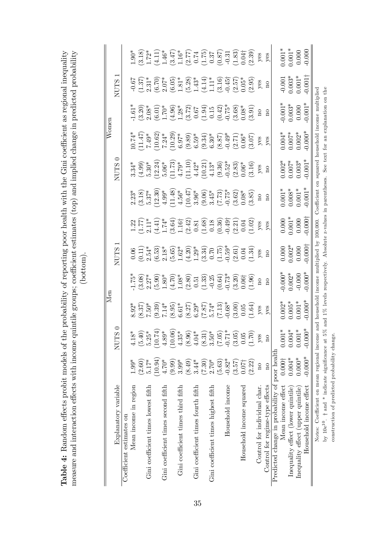|                                                                                        |                    |                                                                                         | Men                                                                                                                                                                                          |                                                                                                                                                                                                                                                                                              |                                                                                                                                                                                                                                                                                                               |                                                                                                                                                                                                                                                                                                               |                                                                                                                                                                                                                                                                                                |                                                                                                                                                                                                                                                                                                                        | Women                                                                                                                                                                                                                                                                                         |                                                                                                                                                                                                                                                                           |                                                                                                                                                                                                                                                                                              |                                                                                                                                                                                                                                                                                                                                      |
|----------------------------------------------------------------------------------------|--------------------|-----------------------------------------------------------------------------------------|----------------------------------------------------------------------------------------------------------------------------------------------------------------------------------------------|----------------------------------------------------------------------------------------------------------------------------------------------------------------------------------------------------------------------------------------------------------------------------------------------|---------------------------------------------------------------------------------------------------------------------------------------------------------------------------------------------------------------------------------------------------------------------------------------------------------------|---------------------------------------------------------------------------------------------------------------------------------------------------------------------------------------------------------------------------------------------------------------------------------------------------------------|------------------------------------------------------------------------------------------------------------------------------------------------------------------------------------------------------------------------------------------------------------------------------------------------|------------------------------------------------------------------------------------------------------------------------------------------------------------------------------------------------------------------------------------------------------------------------------------------------------------------------|-----------------------------------------------------------------------------------------------------------------------------------------------------------------------------------------------------------------------------------------------------------------------------------------------|---------------------------------------------------------------------------------------------------------------------------------------------------------------------------------------------------------------------------------------------------------------------------|----------------------------------------------------------------------------------------------------------------------------------------------------------------------------------------------------------------------------------------------------------------------------------------------|--------------------------------------------------------------------------------------------------------------------------------------------------------------------------------------------------------------------------------------------------------------------------------------------------------------------------------------|
| Explanatory variable                                                                   |                    | NUTS <sub>0</sub>                                                                       |                                                                                                                                                                                              |                                                                                                                                                                                                                                                                                              | ↽<br><b>NUTS</b>                                                                                                                                                                                                                                                                                              |                                                                                                                                                                                                                                                                                                               |                                                                                                                                                                                                                                                                                                | c<br><b>NUTS</b>                                                                                                                                                                                                                                                                                                       |                                                                                                                                                                                                                                                                                               |                                                                                                                                                                                                                                                                           | <b>NUTS</b>                                                                                                                                                                                                                                                                                  |                                                                                                                                                                                                                                                                                                                                      |
| Coefficient estimates on                                                               |                    |                                                                                         |                                                                                                                                                                                              |                                                                                                                                                                                                                                                                                              |                                                                                                                                                                                                                                                                                                               |                                                                                                                                                                                                                                                                                                               |                                                                                                                                                                                                                                                                                                |                                                                                                                                                                                                                                                                                                                        |                                                                                                                                                                                                                                                                                               |                                                                                                                                                                                                                                                                           |                                                                                                                                                                                                                                                                                              |                                                                                                                                                                                                                                                                                                                                      |
| Mean income in region                                                                  | $1.99*$            | $18*$                                                                                   | $8.92*$                                                                                                                                                                                      |                                                                                                                                                                                                                                                                                              |                                                                                                                                                                                                                                                                                                               |                                                                                                                                                                                                                                                                                                               |                                                                                                                                                                                                                                                                                                |                                                                                                                                                                                                                                                                                                                        |                                                                                                                                                                                                                                                                                               |                                                                                                                                                                                                                                                                           |                                                                                                                                                                                                                                                                                              |                                                                                                                                                                                                                                                                                                                                      |
|                                                                                        | (2.60)             |                                                                                         |                                                                                                                                                                                              |                                                                                                                                                                                                                                                                                              |                                                                                                                                                                                                                                                                                                               |                                                                                                                                                                                                                                                                                                               |                                                                                                                                                                                                                                                                                                |                                                                                                                                                                                                                                                                                                                        |                                                                                                                                                                                                                                                                                               |                                                                                                                                                                                                                                                                           |                                                                                                                                                                                                                                                                                              |                                                                                                                                                                                                                                                                                                                                      |
| Gini coefficient times lowest fifth                                                    | $5.17*$            |                                                                                         |                                                                                                                                                                                              |                                                                                                                                                                                                                                                                                              |                                                                                                                                                                                                                                                                                                               |                                                                                                                                                                                                                                                                                                               |                                                                                                                                                                                                                                                                                                |                                                                                                                                                                                                                                                                                                                        |                                                                                                                                                                                                                                                                                               |                                                                                                                                                                                                                                                                           |                                                                                                                                                                                                                                                                                              |                                                                                                                                                                                                                                                                                                                                      |
|                                                                                        | (10.94)            | $(5.40)$<br>$5.25*$<br>$(10.74)$<br>$4.89*$<br>$(10.06)$<br>$(10.06)$                   |                                                                                                                                                                                              |                                                                                                                                                                                                                                                                                              |                                                                                                                                                                                                                                                                                                               |                                                                                                                                                                                                                                                                                                               |                                                                                                                                                                                                                                                                                                |                                                                                                                                                                                                                                                                                                                        |                                                                                                                                                                                                                                                                                               |                                                                                                                                                                                                                                                                           |                                                                                                                                                                                                                                                                                              |                                                                                                                                                                                                                                                                                                                                      |
| Gini coefficient times second fifth                                                    | $4.70*$            |                                                                                         |                                                                                                                                                                                              |                                                                                                                                                                                                                                                                                              |                                                                                                                                                                                                                                                                                                               |                                                                                                                                                                                                                                                                                                               |                                                                                                                                                                                                                                                                                                |                                                                                                                                                                                                                                                                                                                        |                                                                                                                                                                                                                                                                                               |                                                                                                                                                                                                                                                                           |                                                                                                                                                                                                                                                                                              |                                                                                                                                                                                                                                                                                                                                      |
|                                                                                        | (9.99)             | $\Xi$                                                                                   |                                                                                                                                                                                              |                                                                                                                                                                                                                                                                                              |                                                                                                                                                                                                                                                                                                               |                                                                                                                                                                                                                                                                                                               |                                                                                                                                                                                                                                                                                                |                                                                                                                                                                                                                                                                                                                        |                                                                                                                                                                                                                                                                                               |                                                                                                                                                                                                                                                                           |                                                                                                                                                                                                                                                                                              |                                                                                                                                                                                                                                                                                                                                      |
| Gini coefficient times third fifth                                                     | $3.99*$            |                                                                                         |                                                                                                                                                                                              |                                                                                                                                                                                                                                                                                              |                                                                                                                                                                                                                                                                                                               |                                                                                                                                                                                                                                                                                                               |                                                                                                                                                                                                                                                                                                |                                                                                                                                                                                                                                                                                                                        |                                                                                                                                                                                                                                                                                               |                                                                                                                                                                                                                                                                           |                                                                                                                                                                                                                                                                                              |                                                                                                                                                                                                                                                                                                                                      |
|                                                                                        | (8.49)             |                                                                                         |                                                                                                                                                                                              |                                                                                                                                                                                                                                                                                              |                                                                                                                                                                                                                                                                                                               |                                                                                                                                                                                                                                                                                                               |                                                                                                                                                                                                                                                                                                |                                                                                                                                                                                                                                                                                                                        |                                                                                                                                                                                                                                                                                               |                                                                                                                                                                                                                                                                           |                                                                                                                                                                                                                                                                                              |                                                                                                                                                                                                                                                                                                                                      |
| Gini coefficient times fourth fifth                                                    | $3.44*$            |                                                                                         |                                                                                                                                                                                              |                                                                                                                                                                                                                                                                                              |                                                                                                                                                                                                                                                                                                               |                                                                                                                                                                                                                                                                                                               |                                                                                                                                                                                                                                                                                                |                                                                                                                                                                                                                                                                                                                        |                                                                                                                                                                                                                                                                                               |                                                                                                                                                                                                                                                                           |                                                                                                                                                                                                                                                                                              |                                                                                                                                                                                                                                                                                                                                      |
|                                                                                        | (7.30)             |                                                                                         |                                                                                                                                                                                              |                                                                                                                                                                                                                                                                                              |                                                                                                                                                                                                                                                                                                               |                                                                                                                                                                                                                                                                                                               |                                                                                                                                                                                                                                                                                                |                                                                                                                                                                                                                                                                                                                        |                                                                                                                                                                                                                                                                                               |                                                                                                                                                                                                                                                                           |                                                                                                                                                                                                                                                                                              |                                                                                                                                                                                                                                                                                                                                      |
| Gini coefficient times highest fifth                                                   | $2.70*$            |                                                                                         |                                                                                                                                                                                              |                                                                                                                                                                                                                                                                                              |                                                                                                                                                                                                                                                                                                               |                                                                                                                                                                                                                                                                                                               |                                                                                                                                                                                                                                                                                                |                                                                                                                                                                                                                                                                                                                        |                                                                                                                                                                                                                                                                                               |                                                                                                                                                                                                                                                                           |                                                                                                                                                                                                                                                                                              |                                                                                                                                                                                                                                                                                                                                      |
|                                                                                        | (5.63)             | $\begin{array}{c} (8.96) \\ 4.04^* \\ (8.31) \\ 3.50^* \\ (7.05) \\ (-1)^* \end{array}$ |                                                                                                                                                                                              |                                                                                                                                                                                                                                                                                              |                                                                                                                                                                                                                                                                                                               |                                                                                                                                                                                                                                                                                                               | $\begin{array}{l} 2.23^*\\[-1.2ex] 2.37^*\\[-1.2ex] 3.7^*\\[-1.2ex] -1.49^*\\[-1.2ex] -4.56^*\\[-1.2ex] -1.456^*\\[-1.2ex] -1.456^*\\[-1.2ex] -1.456^*\\[-1.2ex] -1.456^*\\[-1.2ex] -1.456^*\\[-1.2ex] -1.456^*\\[-1.2ex] -1.456^*\\[-1.2ex] -1.456^*\\[-1.2ex] -1.456^*\\[-1.2ex] -1.456^*\\$ |                                                                                                                                                                                                                                                                                                                        |                                                                                                                                                                                                                                                                                               | $\begin{array}{l} 1.61^*\\ 1.20\\ 2.80\\ 2.61\\ 2.70^*\\ 2.81\\ 2.81\\ 2.81\\ 2.81\\ 2.81\\ 2.81\\ 2.82\\ 2.83\\ 2.84\\ 2.81\\ 2.81\\ 2.82\\ 2.81\\ 2.81\\ 2.82\\ 2.83\\ 2.83\\ 2.84\\ 2.85\\ 2.83\\ 2.85\\ 2.87\\ 2.88\\ 2.89\\ 2.81\\ 2.83\\ 2.83\\ 2.83\\ 2.83\\ 2.83$ | $\begin{array}{l} 0.67 \\ -0.31^* \\ 2.31^* \\ 2.61^* \\ 2.70^* \\ 2.81^* \\ 2.81^* \\ 2.81^* \\ 2.81^* \\ 2.81^* \\ 2.81^* \\ 2.81^* \\ 2.81^* \\ 2.81^* \\ 2.81^* \\ 2.81^* \\ 2.81^* \\ 2.81^* \\ 2.81^* \\ 2.81^* \\ 2.81^* \\ 2.81^* \\ 2.81^* \\ 2.81^* \\ 2.81^* \\ 2.81^* \\ 2.81^*$ |                                                                                                                                                                                                                                                                                                                                      |
| Household income                                                                       | $-0.82*$           | $\overline{Q}$                                                                          |                                                                                                                                                                                              |                                                                                                                                                                                                                                                                                              |                                                                                                                                                                                                                                                                                                               |                                                                                                                                                                                                                                                                                                               |                                                                                                                                                                                                                                                                                                |                                                                                                                                                                                                                                                                                                                        |                                                                                                                                                                                                                                                                                               |                                                                                                                                                                                                                                                                           |                                                                                                                                                                                                                                                                                              |                                                                                                                                                                                                                                                                                                                                      |
|                                                                                        | (3.57)             | $\overleftrightarrow{B}$<br>್ರ ೦                                                        |                                                                                                                                                                                              |                                                                                                                                                                                                                                                                                              |                                                                                                                                                                                                                                                                                                               |                                                                                                                                                                                                                                                                                                               |                                                                                                                                                                                                                                                                                                |                                                                                                                                                                                                                                                                                                                        |                                                                                                                                                                                                                                                                                               |                                                                                                                                                                                                                                                                           |                                                                                                                                                                                                                                                                                              |                                                                                                                                                                                                                                                                                                                                      |
| Household income squared                                                               | $0.07\dagger$      |                                                                                         |                                                                                                                                                                                              |                                                                                                                                                                                                                                                                                              |                                                                                                                                                                                                                                                                                                               |                                                                                                                                                                                                                                                                                                               |                                                                                                                                                                                                                                                                                                |                                                                                                                                                                                                                                                                                                                        |                                                                                                                                                                                                                                                                                               |                                                                                                                                                                                                                                                                           |                                                                                                                                                                                                                                                                                              |                                                                                                                                                                                                                                                                                                                                      |
|                                                                                        | (2.22)             | $\overline{\mathcal{L}}$                                                                | $(8.37)$<br>$7.50$<br>$7.50$<br>$7.50$<br>$7.50$<br>$7.50$<br>$7.50$<br>$7.50$<br>$7.50$<br>$8.50$<br>$8.50$<br>$8.50$<br>$7.50$<br>$8.50$<br>$7.50$<br>$9.50$<br>$1.50$<br>$1.50$<br>$1.50$ | $\begin{array}{l} 7.75^* \\ -1.75^* \\ 2.27^* \\ 2.37^* \\ 3.80^* \\ 4.70^* \\ 5.80^* \\ 6.80^* \\ 7.80^* \\ 8.80^* \\ 9.80^* \\ 1.33^* \\ 1.33^* \\ 1.33^* \\ 1.33^* \\ 1.33^* \\ 1.33^* \\ 1.33^* \\ 1.33^* \\ 1.33^* \\ 1.33^* \\ 1.33^* \\ 1.33^* \\ 1.33^* \\ 1.33^* \\ 1.33^* \\ 1.33$ | $\begin{array}{l} 0.06 \\ 0.11 \\ 0.41 \\ 0.54 \\ 0.65 \\ 0.04 \\ 0.04 \\ 0.04 \\ 0.04 \\ 0.04 \\ 0.04 \\ 0.04 \\ 0.04 \\ 0.04 \\ 0.04 \\ 0.04 \\ 0.04 \\ 0.04 \\ 0.04 \\ 0.04 \\ 0.04 \\ 0.04 \\ 0.04 \\ 0.04 \\ 0.04 \\ 0.04 \\ 0.04 \\ 0.04 \\ 0.04 \\ 0.04 \\ 0.04 \\ 0.04 \\ 0.04 \\ 0.04 \\ 0.04 \\ 0.$ | $\begin{array}{l} 1.22 \\ 1.77 \\ 1.11 \\ 2.11 \\ 3.14 \\ 4.11 \\ 5.12 \\ 5.13 \\ 6.16 \\ 7.17 \\ 7.17 \\ 8.19 \\ 1.13 \\ 1.13 \\ 1.14 \\ 1.15 \\ 1.16 \\ 1.17 \\ 1.18 \\ 1.19 \\ 1.19 \\ 1.10 \\ 1.10 \\ 1.10 \\ 1.10 \\ 1.10 \\ 1.10 \\ 1.10 \\ 1.10 \\ 1.10 \\ 1.10 \\ 1.10 \\ 1.10 \\ 1.10 \\ 1.11 \\ 1.$ |                                                                                                                                                                                                                                                                                                | $\begin{array}{l} 3.34^{*} \\ (4.99) \\ 5.30^{*} \\ 5.06^{*} \\ (11.73) \\ 5.06^{*} \\ (11.10) \\ (11.10) \\ (11.11) \\ (11.12) \\ (11.13) \\ (11.14) \\ (11.15) \\ (11.16) \\ (10.11) \\ (10.11) \\ (10.10) \\ (10.10) \\ (10.10) \\ (10.10) \\ (10.10) \\ (11.10) \\ (12.11) \\ (12.12) \\ (12.13) \\ (12.14) \\ (1$ | $\begin{array}{l} 10.74* \\ 11.47) \\ 11.49* \\ 7.49* \\ 7.49* \\ 7.49* \\ 8.30* \\ 10.02* \\ 11.47) \\ 12.49* \\ 12.49* \\ 13.40* \\ 14.40* \\ 15.40* \\ 16.40* \\ 17.40* \\ 18.40* \\ 19.40* \\ 10.40* \\ 17.40* \\ 19.40* \\ 10.00* \\ 10.00* \\ 10.00* \\ 10.00* \\ 10.00* \\ 10.00* \\ $ |                                                                                                                                                                                                                                                                           | (2.95)                                                                                                                                                                                                                                                                                       | $\begin{array}{l} (3.18)\\[-1.72^{*}$\\[-1.72^{*}$\\[-1.46^{*}$\\[-1.46^{*}$\\[-1.46^{*}$\\[-1.46^{*}$\\[-1.46^{*}$\\[-1.46^{*}$\\[-1.46^{*}$\\[-1.46^{*}$\\[-1.46^{*}$\\[-1.46^{*}$\\[-1.46^{*}$\\[-1.46^{*}$\\[-1.46^{*}$\\[-1.46^{*}$\\[-1.46^{*}$\\[-1.46^{*}$\\[-1.46^{*}$\\[-1.46^{*}$\\[-1.46^{*}$\\[-1.46^{*}$\\[-1.46^{*}$$ |
| Control for individual char.                                                           | $\overline{\rm n}$ | 89                                                                                      | yes                                                                                                                                                                                          | $\rm ^{o}$                                                                                                                                                                                                                                                                                   | $_{\rm {res}}^{\rm {ves}}$                                                                                                                                                                                                                                                                                    | $y$ es                                                                                                                                                                                                                                                                                                        | $\rm ^{10}$                                                                                                                                                                                                                                                                                    | yes                                                                                                                                                                                                                                                                                                                    | yes                                                                                                                                                                                                                                                                                           | $_{\rm no}$                                                                                                                                                                                                                                                               | yes                                                                                                                                                                                                                                                                                          | yes                                                                                                                                                                                                                                                                                                                                  |
| Control for regime-type effects                                                        | $\overline{a}$     | $\overline{a}$                                                                          | yes                                                                                                                                                                                          | $\overline{\mathbf{n}}$                                                                                                                                                                                                                                                                      |                                                                                                                                                                                                                                                                                                               | yes                                                                                                                                                                                                                                                                                                           | $\overline{\mathbf{n}}$                                                                                                                                                                                                                                                                        | $\overline{\mathbf{n}}$                                                                                                                                                                                                                                                                                                | yes                                                                                                                                                                                                                                                                                           | $\overline{\mathrm{n}}$                                                                                                                                                                                                                                                   | $\overline{\mathbf{n}}$                                                                                                                                                                                                                                                                      | yes                                                                                                                                                                                                                                                                                                                                  |
| Predicted change in probability of poor health                                         |                    |                                                                                         |                                                                                                                                                                                              |                                                                                                                                                                                                                                                                                              |                                                                                                                                                                                                                                                                                                               |                                                                                                                                                                                                                                                                                                               |                                                                                                                                                                                                                                                                                                |                                                                                                                                                                                                                                                                                                                        |                                                                                                                                                                                                                                                                                               |                                                                                                                                                                                                                                                                           |                                                                                                                                                                                                                                                                                              |                                                                                                                                                                                                                                                                                                                                      |
| Mean income effect                                                                     | 0.0001             | $0.001*$                                                                                | $0.002*$                                                                                                                                                                                     | $-0.000*$                                                                                                                                                                                                                                                                                    | $0.000$<br>$0.002*$                                                                                                                                                                                                                                                                                           | $0.000$<br>$0.001*$                                                                                                                                                                                                                                                                                           |                                                                                                                                                                                                                                                                                                | $0.002*$                                                                                                                                                                                                                                                                                                               |                                                                                                                                                                                                                                                                                               |                                                                                                                                                                                                                                                                           |                                                                                                                                                                                                                                                                                              |                                                                                                                                                                                                                                                                                                                                      |
| Inequality effect (lower quintile)                                                     | $0.004*$           | $304*$<br>$\overline{0}$ .                                                              | $0.005*$                                                                                                                                                                                     |                                                                                                                                                                                                                                                                                              |                                                                                                                                                                                                                                                                                                               |                                                                                                                                                                                                                                                                                                               | $\begin{array}{c} 0.001^{*} \\ 0.008^{*} \\ 0.001^{*} \end{array}$                                                                                                                                                                                                                             | $0.007*$<br>0.003*                                                                                                                                                                                                                                                                                                     | $0.004$ *<br>$0.007$ *<br>$0.002$ *                                                                                                                                                                                                                                                           | $0.001*000000$                                                                                                                                                                                                                                                            | $-0.001$<br>$0.003*$<br>$0.001*$                                                                                                                                                                                                                                                             | $0.001*$<br>$0.001*$<br>$0.000$                                                                                                                                                                                                                                                                                                      |
| Inequality effect (upper quintile)                                                     | $0.000*$           | $0.001*$                                                                                | $0.001*$                                                                                                                                                                                     | $-0.000$                                                                                                                                                                                                                                                                                     | $0.000$                                                                                                                                                                                                                                                                                                       | $0.000\,$                                                                                                                                                                                                                                                                                                     |                                                                                                                                                                                                                                                                                                |                                                                                                                                                                                                                                                                                                                        |                                                                                                                                                                                                                                                                                               | 0.000                                                                                                                                                                                                                                                                     |                                                                                                                                                                                                                                                                                              |                                                                                                                                                                                                                                                                                                                                      |
| Household income effect                                                                | $-0.000*$          | $-0.000*$                                                                               | $0.000*$                                                                                                                                                                                     | $-0.000*$                                                                                                                                                                                                                                                                                    | $-0.000$                                                                                                                                                                                                                                                                                                      | $-0.000$                                                                                                                                                                                                                                                                                                      | $-0.001*$                                                                                                                                                                                                                                                                                      | $0.001*$                                                                                                                                                                                                                                                                                                               | $0.000*$                                                                                                                                                                                                                                                                                      | $0.001*$                                                                                                                                                                                                                                                                  | $0.001\dagger$                                                                                                                                                                                                                                                                               | 0.000                                                                                                                                                                                                                                                                                                                                |
| Notes: Coefficient on mean regional income and household income multiplied by 100,000. |                    |                                                                                         |                                                                                                                                                                                              |                                                                                                                                                                                                                                                                                              |                                                                                                                                                                                                                                                                                                               |                                                                                                                                                                                                                                                                                                               |                                                                                                                                                                                                                                                                                                |                                                                                                                                                                                                                                                                                                                        | Coefficient on squared household income multiplied                                                                                                                                                                                                                                            |                                                                                                                                                                                                                                                                           |                                                                                                                                                                                                                                                                                              |                                                                                                                                                                                                                                                                                                                                      |
| by 10 $e^{10}$ . $\dagger$ and $*$ indicate significance at                            |                    |                                                                                         |                                                                                                                                                                                              |                                                                                                                                                                                                                                                                                              |                                                                                                                                                                                                                                                                                                               |                                                                                                                                                                                                                                                                                                               |                                                                                                                                                                                                                                                                                                |                                                                                                                                                                                                                                                                                                                        | 5% and 1% levels respectively. Absolute z-values in parentheses. See text for an explanation on the                                                                                                                                                                                           |                                                                                                                                                                                                                                                                           |                                                                                                                                                                                                                                                                                              |                                                                                                                                                                                                                                                                                                                                      |
|                                                                                        |                    |                                                                                         |                                                                                                                                                                                              |                                                                                                                                                                                                                                                                                              |                                                                                                                                                                                                                                                                                                               |                                                                                                                                                                                                                                                                                                               |                                                                                                                                                                                                                                                                                                |                                                                                                                                                                                                                                                                                                                        |                                                                                                                                                                                                                                                                                               |                                                                                                                                                                                                                                                                           |                                                                                                                                                                                                                                                                                              |                                                                                                                                                                                                                                                                                                                                      |
| construction of predicted probability change.                                          |                    |                                                                                         |                                                                                                                                                                                              |                                                                                                                                                                                                                                                                                              |                                                                                                                                                                                                                                                                                                               |                                                                                                                                                                                                                                                                                                               |                                                                                                                                                                                                                                                                                                |                                                                                                                                                                                                                                                                                                                        |                                                                                                                                                                                                                                                                                               |                                                                                                                                                                                                                                                                           |                                                                                                                                                                                                                                                                                              |                                                                                                                                                                                                                                                                                                                                      |

measure and interaction effects with income quintile groups; coefficient estimates (top) and implied change in predicted probability Table 4: Random effects probit models of the probability of reporting poor health with the Gini coefficient as regional inequality **Table 4:** Random effects probit models of the probability of reporting poor health with the Gini coefficient as regional inequality measure and interaction effects with income quintile groups; coefficient estimates (top) and implied change in predicted probability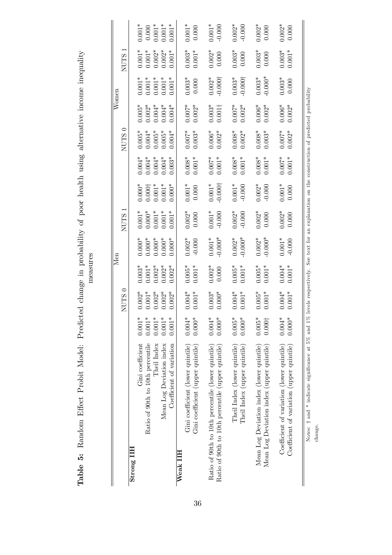| Table 5: Random Effect Probit Model: Predicted change in probability of poor health using alternative income inequality<br>neasures | $N$ omen<br>Men | NUTS <sub>1</sub><br>NUTS <sub>0</sub><br>NUTS <sub>1</sub><br>NUTS <sub>0</sub> |            |
|-------------------------------------------------------------------------------------------------------------------------------------|-----------------|----------------------------------------------------------------------------------|------------|
|                                                                                                                                     |                 |                                                                                  | Strong IIH |

|                                                           |                 | $\subset$<br><b>NUTS</b> |                      | NЫ                                                                       | <b>NUTS</b>                                |                             |                                  | ⊂<br><b>NUTS</b>                 | məurom                                 |                                  | <b>NUTS</b>                      |                                                          |
|-----------------------------------------------------------|-----------------|--------------------------|----------------------|--------------------------------------------------------------------------|--------------------------------------------|-----------------------------|----------------------------------|----------------------------------|----------------------------------------|----------------------------------|----------------------------------|----------------------------------------------------------|
| Strong IIIH                                               |                 |                          |                      |                                                                          |                                            |                             |                                  |                                  |                                        |                                  |                                  |                                                          |
| Gini coefficient                                          | $0.001*$        | $0.002*$                 | $0.003*$             | $0.000*$                                                                 | $0.001*$                                   | $0.000*$                    | $0.004*$                         | $0.005*$                         |                                        | $0.001*$                         | $0.001*$                         | $0.001*$                                                 |
| Ratio of 90th to 10th percentile                          | $0.001*$        | $0.001*$                 | $0.001*$             |                                                                          |                                            |                             |                                  |                                  |                                        |                                  |                                  |                                                          |
| Theil Index                                               | $0.001*$        | $0.002*$                 | $0.002*$             | $0.000*0.000*0.000*0.000*$                                               | $0.000$ <sup>*</sup><br>0.001 <sup>*</sup> | $0.000\substack{+\\0.001*}$ | $0.004*$<br>$0.004*$<br>$0.004*$ | $0.004*$<br>$0.005*$<br>$0.005*$ | $0.005*$<br>0.002*<br>0.004*<br>0.004* | $0.001*$<br>$0.001*$<br>$0.001*$ | $0.001*$<br>$0.002*$<br>$0.002*$ | $\begin{array}{c} 0.000 \\ 0.001* \\ 0.001* \end{array}$ |
| Mean Log Deviation index                                  | $0.001*$        | $0.002*$                 | $0.002*$             |                                                                          |                                            |                             |                                  |                                  |                                        |                                  |                                  |                                                          |
| Coefficient of variation                                  | $0.001*$        | $0.002*$                 | $0.002*$             | $0.000*$                                                                 | $0.001*$                                   | $0.000*$                    | $0.003*$                         | $0.004*$                         | $0.004*$                               | $0.001*$                         | $0.001*$                         | $0.001*$                                                 |
| Weak IIH                                                  |                 |                          |                      |                                                                          |                                            |                             |                                  |                                  |                                        |                                  |                                  |                                                          |
| Gini coefficient (lower quintile)                         | $0.004*$        | $0.004*$                 | $0.005*$<br>$0.001*$ | $0.002*$                                                                 | $0.002*$                                   | $0.001*$                    | $0.008*$<br>0.001*               | $0.007*$<br>0.003*               | $0.007*$                               | $0.003*$                         | $0.003*$                         | $0.001*$                                                 |
| Gini coefficient (upper quintile)                         | $0.000*$        | $0.001*$                 |                      |                                                                          |                                            |                             |                                  |                                  |                                        |                                  |                                  |                                                          |
|                                                           | $0.004*$        |                          |                      |                                                                          |                                            | $0.001*$                    |                                  |                                  |                                        |                                  | $0.002*$                         |                                                          |
| Ratio of 90th to 10th percentile (lower quintile)         |                 | $0.000*$<br>$0.003*$     | $0.002*$             | $0.001*$<br>$-0.000*$                                                    | $0.001*$<br>$-0.000$                       | $-0.000\dagger$             | $0.007*$<br>0.001*               | $0.006*$<br>$0.002*$             | $0.003*$                               | $-0.000\dagger$<br>$0.002*$      | 0.000                            | $0.001*$                                                 |
| Ratio of 90th to 10th percentile (upper quintile)         | $0.000*$        |                          | 0.000                |                                                                          |                                            |                             |                                  |                                  |                                        |                                  |                                  | $-0.000$                                                 |
| Theil Index (lower quintile)                              | $0.005*$        | $0.004*$                 | $0.005*$             | $0.002*$                                                                 | $0.002*$                                   | $0.001*$                    |                                  | $0.008*$                         |                                        | $0.003*$                         | $0.003*$                         | $0.002*$                                                 |
| Theil Index (upper quintile)                              | $0.000*$        | $0.001*$                 | $0.001*$             | $-0.000*$                                                                | $-0.000$                                   | $-0.000$                    | $0.008*$<br>$0.001*$             | $0.002*$                         | $0.007*$<br>0.002*                     | $-0.000$ †                       | 0.000                            | $-0.000$                                                 |
|                                                           |                 |                          |                      |                                                                          |                                            |                             |                                  |                                  |                                        |                                  |                                  |                                                          |
| Mean Log Deviation index (lower quintile)                 | $0.005*$        | $0.005*$                 | $0.005*$             | $0.002*$                                                                 | $0.002*$                                   | $0.002*$                    | $0.008*$<br>0.001*               | $0.008*$<br>0.003*               | $0.006*$                               | $0.003*$                         | $0.003*$                         | $0.002*$                                                 |
| Mean Log Deviation index (upper quintile)                 | $0.000 \dagger$ | $0.001*$                 | $0.001*$             | $-0.000*$                                                                | $0.000\,$                                  | $-0.000$                    |                                  |                                  | $0.002*$                               | $0.000*$                         | 0.000                            | 0.000                                                    |
|                                                           |                 |                          |                      |                                                                          |                                            |                             |                                  |                                  |                                        |                                  |                                  |                                                          |
| Coefficient of variation (lower quintile)                 | $0.004*$        | $0.004*$                 | $0.004*$             | $0.001*$                                                                 | $0.002*$                                   | $0.001*$                    | $0.007*$<br>0.001*               | $0.007*$                         | $0.006*$<br>$0.002*$                   | $0.003*$                         | $0.003*$                         | $0.002*$                                                 |
| Coefficient of variation (upper quintile)                 | $0.000*$        | $0.001*$                 | $0.001*$             |                                                                          | 0.000                                      | 0.000                       |                                  | $0.002*$                         |                                        | 0.000                            | $0.001*$                         | 0.000                                                    |
|                                                           |                 |                          |                      |                                                                          |                                            |                             |                                  |                                  |                                        |                                  |                                  |                                                          |
| Notes: $\dagger$ and * indicate significance at 5% and 1% |                 | levels respectively.     |                      | See text for an explanation on the construction of predicted probability |                                            |                             |                                  |                                  |                                        |                                  |                                  |                                                          |
|                                                           |                 |                          |                      |                                                                          |                                            |                             |                                  |                                  |                                        |                                  |                                  |                                                          |
| change.                                                   |                 |                          |                      |                                                                          |                                            |                             |                                  |                                  |                                        |                                  |                                  |                                                          |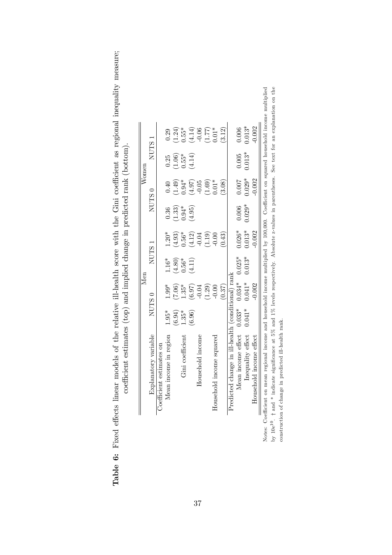| the relative ill-health score with the Gini coefficient as regional inequality meas | mates (top) and implied change in predicted raph (hot-<br>/ WIRTHOUT JAN (AND LAND IS NOT LAND IN CHAIRD IN LAND IS NOT LAND IN LAND IS NOT LAND IN LAND IS NOT LAND IN LAND IS NOT LAND IN LAND IN LAND IS NOT LAND IN LAND IN LAND IN LAND IS NOT LAND IN LAND IN LAND IN LAND IS NOT |
|-------------------------------------------------------------------------------------|-----------------------------------------------------------------------------------------------------------------------------------------------------------------------------------------------------------------------------------------------------------------------------------------|
| no attacti stoch a                                                                  |                                                                                                                                                                                                                                                                                         |
| ri i<br>able 6:                                                                     |                                                                                                                                                                                                                                                                                         |

|                                                                                                                                                      |                   |          | Men          |                     |                     |          | $\rm{Women}$        |                                                                                                                                                                                                                                                                                                                                                            |  |
|------------------------------------------------------------------------------------------------------------------------------------------------------|-------------------|----------|--------------|---------------------|---------------------|----------|---------------------|------------------------------------------------------------------------------------------------------------------------------------------------------------------------------------------------------------------------------------------------------------------------------------------------------------------------------------------------------------|--|
| Explanatory variable                                                                                                                                 | NUTS <sub>0</sub> |          | $\rm NUTS$ 1 |                     |                     | $NUTS$ 0 |                     | NUTS <sub>1</sub>                                                                                                                                                                                                                                                                                                                                          |  |
| Coefficient estimates on                                                                                                                             |                   |          |              |                     |                     |          |                     |                                                                                                                                                                                                                                                                                                                                                            |  |
| Mean income in region                                                                                                                                | $1.95*$           | $1.99*$  | 1.16*        | $1.20*$             | 0.36                | 0.40     | $0.25\,$            | 0.29                                                                                                                                                                                                                                                                                                                                                       |  |
|                                                                                                                                                      | (6.94)            | (7.06)   | (4.80)       | $(4.93)$<br>$0.56*$ | $(1.33)$<br>$0.94*$ | (1.49)   | $(1.06)$<br>$0.55*$ | (1.24)                                                                                                                                                                                                                                                                                                                                                     |  |
| Gini coefficient                                                                                                                                     | $1.35*$           | $1.35*$  | $0.56*$      |                     |                     | $0.94*$  |                     | $0.55*$                                                                                                                                                                                                                                                                                                                                                    |  |
|                                                                                                                                                      | (6.96)            | $(6.97)$ | (4.11)       | $(4.12)$<br>-0.04   | (4.95)              | (4.97)   | (4.14)              |                                                                                                                                                                                                                                                                                                                                                            |  |
| Household income                                                                                                                                     |                   | $-0.04$  |              |                     |                     | $-0.05$  |                     |                                                                                                                                                                                                                                                                                                                                                            |  |
|                                                                                                                                                      |                   | (1.29)   |              | (1.19)              |                     | (1.69)   |                     | $\begin{array}{c} (4.14) \\[-4pt] (-0.06) \\[-4pt] (-0.07) \\[-4pt] (-0.07) \\[-4pt] (-0.01) \\[-4pt] (-0.01) \\[-4pt] (-0.01) \\[-4pt] (-0.01) \\[-4pt] (-0.01) \\[-4pt] (-0.01) \\[-4pt] (-0.01) \\[-4pt] (-0.01) \\[-4pt] (-0.01) \\[-4pt] (-0.01) \\[-4pt] (-0.01) \\[-4pt] (-0.01) \\[-4pt] (-0.01) \\[-4pt] (-0.01) \\[-4pt] (-0.01) \\[-4pt] (-0.0$ |  |
| Household income squared                                                                                                                             |                   | $-0.00$  |              | $-0.00$             |                     | $0.01*$  |                     |                                                                                                                                                                                                                                                                                                                                                            |  |
|                                                                                                                                                      |                   | (0.37)   |              | (0.43)              |                     | (3.08)   |                     | (3.12)                                                                                                                                                                                                                                                                                                                                                     |  |
| Predicted change in ill-health (conditional) rank                                                                                                    |                   |          |              |                     |                     |          |                     |                                                                                                                                                                                                                                                                                                                                                            |  |
| Mean income effect $0.033*$                                                                                                                          |                   | $0.034*$ | $0.025*$     | $0.026*$            | 0.006               | 0.007    |                     | 0.006                                                                                                                                                                                                                                                                                                                                                      |  |
| nequality effect                                                                                                                                     | $0.041*$          | $0.041*$ | $0.013*$     | $0.013*$            | $0.029*$            | $0.029*$ | $0.005$<br>$0.013*$ | $0.013*$                                                                                                                                                                                                                                                                                                                                                   |  |
| Household income effect                                                                                                                              |                   | $-0.002$ |              | $-0.002$            |                     | $-0.002$ |                     | $-0.002$                                                                                                                                                                                                                                                                                                                                                   |  |
| Notes: Coefficient on mean regional income and household income multiplied by 100,000. Coefficient on squared household income multiplied            |                   |          |              |                     |                     |          |                     |                                                                                                                                                                                                                                                                                                                                                            |  |
| by $10e^{10}$ . † and * indicate significance at 5% and 1% levels respectively. Absolute z-values in parentheses. See text for an explanation on the |                   |          |              |                     |                     |          |                     |                                                                                                                                                                                                                                                                                                                                                            |  |
| predicted ill-health rank.<br>construction of change in                                                                                              |                   |          |              |                     |                     |          |                     |                                                                                                                                                                                                                                                                                                                                                            |  |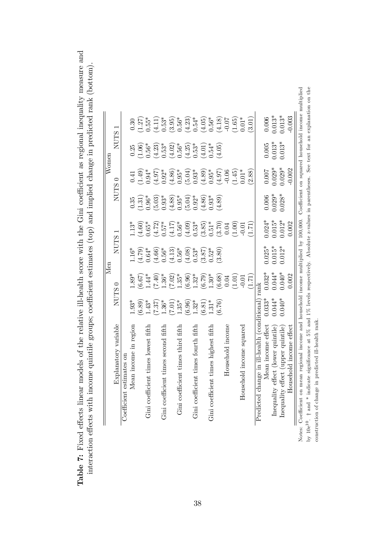| us auresment utilen<br>$5 - 2$<br>e ill-health score with the Gini coefficient as regional ineor-<br>$-1$ | to (too) and implied change in predicted rank (bottom)<br>$-1.24$<br>ì<br>$\sum_{i=1}^{n}$ |
|-----------------------------------------------------------------------------------------------------------|--------------------------------------------------------------------------------------------|
|                                                                                                           |                                                                                            |
|                                                                                                           |                                                                                            |
|                                                                                                           |                                                                                            |
|                                                                                                           |                                                                                            |
| اصد صما<br>י<br>ל                                                                                         | こ こくこくし<br>ことり しし                                                                          |
|                                                                                                           |                                                                                            |
| : Fixed effects linear models of the                                                                      | action affacts with income quint<br>j                                                      |
|                                                                                                           |                                                                                            |
|                                                                                                           |                                                                                            |
| Table 7:                                                                                                  |                                                                                            |

|                                             |                   |                                                                                                                            | Men                                                    |                                                                                                                        |                                                       |          | $\rm{Women}$                                                                                  |                                                                                                                                                                                                                                                                                           |
|---------------------------------------------|-------------------|----------------------------------------------------------------------------------------------------------------------------|--------------------------------------------------------|------------------------------------------------------------------------------------------------------------------------|-------------------------------------------------------|----------|-----------------------------------------------------------------------------------------------|-------------------------------------------------------------------------------------------------------------------------------------------------------------------------------------------------------------------------------------------------------------------------------------------|
| Explanatory variable                        |                   | NUTS <sub>0</sub>                                                                                                          | NUTS:                                                  |                                                                                                                        | NUTS <sub>0</sub>                                     |          | <b>NUTS</b>                                                                                   |                                                                                                                                                                                                                                                                                           |
| Coefficient estimates or                    |                   |                                                                                                                            |                                                        |                                                                                                                        |                                                       |          |                                                                                               |                                                                                                                                                                                                                                                                                           |
| Mean income in region                       | $1.93*$           | $1.89*$                                                                                                                    |                                                        | $1.13*$                                                                                                                | 0.35                                                  |          | 0.25                                                                                          | 0.30                                                                                                                                                                                                                                                                                      |
|                                             |                   |                                                                                                                            | $1.16^*$<br>$(4.79)$<br>$0.64^*$                       | $(1.60)$<br>0.65*                                                                                                      |                                                       |          |                                                                                               | $1.27$<br>$0.55*$                                                                                                                                                                                                                                                                         |
| Gini coefficient times lowest fifth         | $(6.89)$<br>1.43* |                                                                                                                            |                                                        |                                                                                                                        | $\binom{1.31}{0.96^*}$                                |          | $1.06$ )<br>$.56*$                                                                            |                                                                                                                                                                                                                                                                                           |
|                                             |                   | $(6.67)$<br>$1.44$ $(7.49)$<br>$1.36$ $(7.02)$<br>$1.35$ $(7.02)$<br>$1.35$ $(6.79)$<br>$1.30$ $(6.68)$<br>$1.30$ $(6.68)$ |                                                        | $(4.72)$<br>0.57*                                                                                                      |                                                       |          |                                                                                               |                                                                                                                                                                                                                                                                                           |
| Gini coefficient times second fifth         | $(7.37)$<br>1.36* |                                                                                                                            |                                                        |                                                                                                                        |                                                       |          |                                                                                               |                                                                                                                                                                                                                                                                                           |
|                                             | $(7.01)$<br>1.35* |                                                                                                                            | $(4.66)$<br>0.56*<br>0.56*<br>0.56*<br>(4.08)<br>0.53* |                                                                                                                        |                                                       |          |                                                                                               |                                                                                                                                                                                                                                                                                           |
| Gini coefficient times third fifth          |                   |                                                                                                                            |                                                        |                                                                                                                        |                                                       |          |                                                                                               |                                                                                                                                                                                                                                                                                           |
|                                             | (6.96)            |                                                                                                                            |                                                        |                                                                                                                        |                                                       |          |                                                                                               |                                                                                                                                                                                                                                                                                           |
| Gini coefficient times fourth fifth         |                   |                                                                                                                            |                                                        |                                                                                                                        |                                                       |          |                                                                                               |                                                                                                                                                                                                                                                                                           |
|                                             | $1.32*$<br>(6.81) |                                                                                                                            | $(3.87)$<br>0.52*                                      | $\begin{array}{l} (4.17)\\0.56^{*}\\ 0.63^{*}\\ 0.53^{*}\\ 0.53^{*}\\ 0.51^{*}\\ 0.51^{*}\\ (3.70)\\ 0.04 \end{array}$ | $(5.03)$<br>0.93*<br>0.95*<br>0.93*<br>0.93*<br>0.93* |          | $\begin{array}{l} (4.23)\\0.53^*\\0.63^*\\0.56^*\\0.56^*\\0.53^*\\0.53^*\\0.54^* \end{array}$ | $\begin{array}{l} (4.11)\\[-4.5em] 0.53^*\\[-4.5em] 0.56^*\\[-4.5em] 0.56^*\\[-4.5em] 0.54^*\\[-4.5em] 0.56^*\\[-4.5em] 0.56^*\\[-4.5em] 0.56^*\\[-4.5em] 0.07\\[-4.5em] 0.07\\[-4.5em] 0.07\\[-4.5em] 0.07\\[-4.5em] 0.07\\[-4.5em] 0.07\\[-4.5em] 0.07\\[-4.5em] 0.07\\[-4.5em] 0.07\\$ |
| Gini coefficient times highest fifth        | $1.31*$           |                                                                                                                            |                                                        |                                                                                                                        |                                                       |          |                                                                                               |                                                                                                                                                                                                                                                                                           |
|                                             | (6.76)            |                                                                                                                            | (3.80)                                                 |                                                                                                                        | (684)                                                 |          | (4.05)                                                                                        |                                                                                                                                                                                                                                                                                           |
| Household income                            |                   |                                                                                                                            |                                                        |                                                                                                                        |                                                       |          |                                                                                               |                                                                                                                                                                                                                                                                                           |
|                                             |                   | (1.01)                                                                                                                     |                                                        | (1.00)                                                                                                                 |                                                       | (1.45)   |                                                                                               | $1.65$ )<br>0.01*                                                                                                                                                                                                                                                                         |
| Household income squared                    |                   |                                                                                                                            |                                                        | $-0.01$                                                                                                                |                                                       | $0.01*$  |                                                                                               |                                                                                                                                                                                                                                                                                           |
|                                             |                   | (1.71)                                                                                                                     |                                                        | 1.71                                                                                                                   |                                                       | (2.88)   |                                                                                               | (3.01)                                                                                                                                                                                                                                                                                    |
| Predicted change in ill-health (conditional |                   | rank                                                                                                                       |                                                        |                                                                                                                        |                                                       |          |                                                                                               |                                                                                                                                                                                                                                                                                           |
| Mean income effect                          | $0.033*$          | $0.032*$                                                                                                                   | $0.025*$                                               | $0.024*$                                                                                                               |                                                       | $0.007$  |                                                                                               | 0.006                                                                                                                                                                                                                                                                                     |
| Inequality effect (lower quintile)          | $0.044*$          | $0.044*$                                                                                                                   | $0.015*$                                               | $0.015*$                                                                                                               | $0.006$<br>$0.029*$                                   | $0.029*$ | $0.005$<br>$0.013*$                                                                           | $0.013*$                                                                                                                                                                                                                                                                                  |
| Inequality effect (upper quintile)          | $0.040*$          | $0.040*$                                                                                                                   | $0.012*$                                               | $0.012*$                                                                                                               | $0.028*$                                              | $0.029*$ | $0.013*$                                                                                      | $0.013*$                                                                                                                                                                                                                                                                                  |
| Household income effect                     |                   | 0.002                                                                                                                      |                                                        | 0.002                                                                                                                  |                                                       | 0.002    |                                                                                               | 0.003                                                                                                                                                                                                                                                                                     |

Notes: Coefficient on mean regional income and household income multiplied by 100,000. Coefficient on squared household income multiplied<br>by 10e<sup>10</sup>. † and \* indicate significance at 5% and 1% levels respectively. Absolut Notes: Coefficient on mean regional income and household income multiplied by 100,000. Coefficient on squared household income multiplied by  $10e^{10}$ .  $\dagger$  and  $*$  indicate significance at 5% and 1% levels respectively. Absolute z-values in parentheses. See text for an explanation on the construction of change in predicted ill-health rank.  $\frac{1}{\text{Notes: Co}}$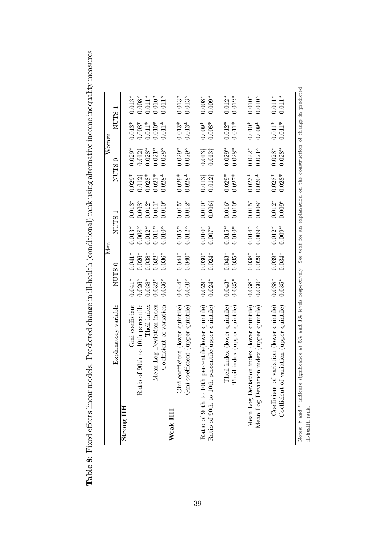Table 8: Fixed effects linear models: Predicted change in ill-health (conditional) rank using alternative income inequality measures Table 8: Fixed effects linear models: Predicted change in ill-health (conditional) rank using alternative income inequality measures

|                                                                                   |             |          | Men         |                          |                | $\rm{Women}$       |             |                                                                        |
|-----------------------------------------------------------------------------------|-------------|----------|-------------|--------------------------|----------------|--------------------|-------------|------------------------------------------------------------------------|
| Explanatory variable                                                              | <b>NUTS</b> | ⊂        | <b>NUTS</b> | $\overline{\phantom{0}}$ | <b>NUTS</b>    | $\circ$            | <b>NUTS</b> |                                                                        |
| Strong IIH                                                                        |             |          |             |                          |                |                    |             |                                                                        |
| Gini coefficient                                                                  | $0.041*$    | $0.041*$ | $0.013*$    | $0.013*$                 | $0.029*$       | $0.029*$           | $0.013*$    | $0.013*$                                                               |
| of 90th to 10th percentile<br>Ratio                                               | $0.026*$    | $0.026*$ | $0.008*$    | $0.008*$                 | $0.012\dagger$ | $0.012\dagger$     | $0.008*$    | $0.008*$                                                               |
| Theil index                                                                       | $0.038*$    | $0.038*$ | $0.012*$    | $0.012*$                 | $0.028*$       | $0.028*$           | $0.011*$    | $0.011*$                                                               |
| Mean Log Deviation index                                                          | $0.032*$    | $0.032*$ | $0.011*$    | $0.011*$                 | $0.021*$       | $0.021*$           | $0.010*$    | $0.010*$                                                               |
| Coefficient of variation                                                          | $0.036*$    | $0.036*$ | $0.010*$    | $0.010^{*}$              | $0.028*$       | $0.028*$           | $0.011*$    | $0.011*$                                                               |
| Weak IIH                                                                          |             |          |             |                          |                |                    |             |                                                                        |
| coefficient (lower quintile)<br>$\dim$                                            | $0.044*$    | $0.044*$ | $0.015*$    | $0.015*$                 | $0.029*$       | $0.029*$           | $0.013*$    | $0.013*$                                                               |
| coefficient (upper quintile<br>$\dim$                                             | $0.040*$    | $0.040*$ | $0.012*$    | $0.012*$                 | $0.028*$       | $0.029*$           | $0.013*$    | $0.013*$                                                               |
|                                                                                   |             |          |             |                          |                |                    |             |                                                                        |
| Ratio of 90th to 10th percentile (lower quintile)                                 | $0.029*$    | $0.030*$ | $0.010*$    | $0.010*$                 | $0.013\dagger$ | 0.013 <sup>†</sup> | $0.009*$    | $0.008*$                                                               |
| percentile(upper quintile)<br>Ratio of 90th to 10th                               | $0.024*$    | $0.024*$ | $0.007*$    | $0.006\dagger$           | $0.012\dagger$ | $0.013\dagger$     | $0.008*$    | $0.009*$                                                               |
|                                                                                   |             |          |             |                          |                |                    |             |                                                                        |
| [heil index (lower quintile)                                                      | $0.043*$    | $0.043*$ | $0.015*$    | $0.016^{\ast}$           | $0.029*$       | $0.029*$           | $0.012*$    | $0.012*$                                                               |
| Theil index (upper quintile)                                                      | $0.035*$    | $0.035*$ | $0.010*$    | $0.010*$                 | $0.027*$       | $0.028*$           | $0.011*$    | $0.012*$                                                               |
|                                                                                   |             |          |             |                          |                |                    |             |                                                                        |
| Mean Log Deviation index (lower quintile)                                         | $0.038*$    | $0.038*$ | $0.014*$    | $0.015*$                 | $0.023*$       | $0.022*$           | $0.010*$    | $0.010*$                                                               |
| Mean Log Deviation index (upper quintile                                          | $0.030*$    | $0.029*$ | $0.009*$    | $0.008*$                 | $0.020*$       | $0.021*$           | $0.009*$    | $0.010*$                                                               |
|                                                                                   |             |          |             |                          |                |                    |             |                                                                        |
| Coefficient of variation (lower quintile)                                         | $0.038*$    | $0.039*$ | $0.012*$    | $0.012*$                 | $0.028*$       | $0.028*$           | $0.011*$    | $0.011*$                                                               |
| variation (upper quintile)<br>Coefficient of                                      | $0.035*$    | $0.034*$ | $0.009*$    | $0.009*$                 | $0.028*$       | $0.028*$           | $0.011*$    | $0.011*$                                                               |
|                                                                                   |             |          |             |                          |                |                    |             |                                                                        |
| significance at 5% and 1% levels respectively.<br>Notes: $\dagger$ and * indicate |             |          |             |                          |                |                    |             | See text for an explanation on the construction of change in predicted |
| ill-health rank.                                                                  |             |          |             |                          |                |                    |             |                                                                        |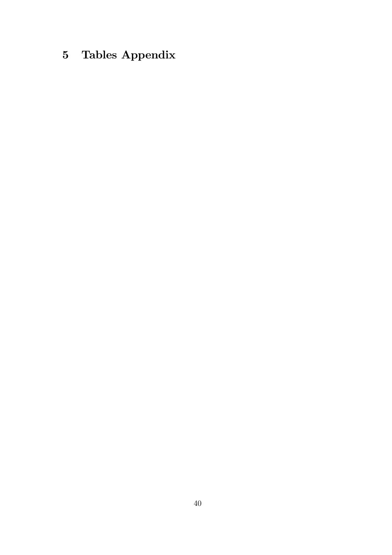# 5 Tables Appendix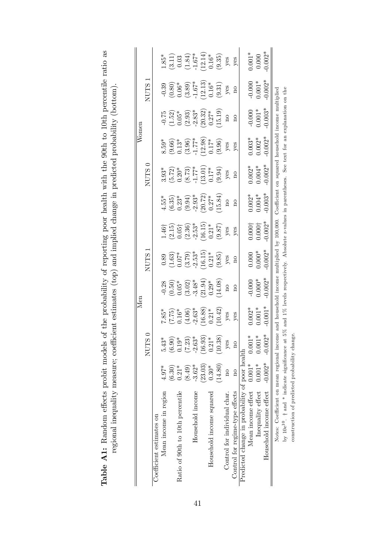| 'els of the probability of reporting poor health with the 90th to 10th percentile ratio as |                                                                          |
|--------------------------------------------------------------------------------------------|--------------------------------------------------------------------------|
|                                                                                            | $\cdots$ $\cdots$                                                        |
|                                                                                            |                                                                          |
|                                                                                            |                                                                          |
|                                                                                            |                                                                          |
|                                                                                            |                                                                          |
|                                                                                            |                                                                          |
|                                                                                            |                                                                          |
|                                                                                            |                                                                          |
|                                                                                            | efficient estimates (top) and implied change in predicted probability (r |
|                                                                                            |                                                                          |
|                                                                                            | .<br>.                                                                   |
|                                                                                            |                                                                          |
| )<br>1                                                                                     |                                                                          |
| andom offorte mobit mi<br>j<br>$\sim$ $\sim$ $\sim$ $\sim$ $\sim$ $\sim$                   | COCCEPTED THE CHARGE TO SECT                                             |
|                                                                                            |                                                                          |
| Ę                                                                                          |                                                                          |

|                                                                                                                                                                 |                         |                                                                       | $\mathbb{N}^{\text{en}}$                                           |                                                                      |                                                                                                         |                                                                                                                                         |                                                                                    |                                                                                                                                | Womer                                                                                                                |                                                                                   |                                                                                                                                                                                  |                                                                                                      |
|-----------------------------------------------------------------------------------------------------------------------------------------------------------------|-------------------------|-----------------------------------------------------------------------|--------------------------------------------------------------------|----------------------------------------------------------------------|---------------------------------------------------------------------------------------------------------|-----------------------------------------------------------------------------------------------------------------------------------------|------------------------------------------------------------------------------------|--------------------------------------------------------------------------------------------------------------------------------|----------------------------------------------------------------------------------------------------------------------|-----------------------------------------------------------------------------------|----------------------------------------------------------------------------------------------------------------------------------------------------------------------------------|------------------------------------------------------------------------------------------------------|
|                                                                                                                                                                 |                         | NUTS <sub>0</sub>                                                     |                                                                    |                                                                      | <b>NUTS</b>                                                                                             |                                                                                                                                         |                                                                                    | NUTS <sub>0</sub>                                                                                                              |                                                                                                                      |                                                                                   | <b>NUTS</b>                                                                                                                                                                      |                                                                                                      |
| Coefficient estimates on                                                                                                                                        |                         |                                                                       |                                                                    |                                                                      |                                                                                                         |                                                                                                                                         |                                                                                    |                                                                                                                                |                                                                                                                      |                                                                                   |                                                                                                                                                                                  |                                                                                                      |
| Mean income in region                                                                                                                                           | $4.97*$                 | $5.43*$                                                               | $7.85*$                                                            |                                                                      |                                                                                                         |                                                                                                                                         |                                                                                    |                                                                                                                                |                                                                                                                      |                                                                                   |                                                                                                                                                                                  | $1.85*$                                                                                              |
|                                                                                                                                                                 | (6.30)                  | $(6.90)$<br>$0.19*$                                                   |                                                                    | $-0.28$<br>$(0.50)$<br>$0.05*$<br>$-3.48*$<br>$-3.494)$<br>$-3.194)$ |                                                                                                         |                                                                                                                                         |                                                                                    |                                                                                                                                |                                                                                                                      |                                                                                   |                                                                                                                                                                                  |                                                                                                      |
| Ratio of 90th to 10th percentile                                                                                                                                | $0.21*$                 |                                                                       |                                                                    |                                                                      |                                                                                                         |                                                                                                                                         |                                                                                    |                                                                                                                                |                                                                                                                      |                                                                                   |                                                                                                                                                                                  |                                                                                                      |
|                                                                                                                                                                 | $(6+8)$                 | $\begin{array}{c} (7.23) \\ -2.63^* \\ (16.93) \\ 0.21^* \end{array}$ |                                                                    |                                                                      |                                                                                                         |                                                                                                                                         |                                                                                    |                                                                                                                                |                                                                                                                      |                                                                                   |                                                                                                                                                                                  |                                                                                                      |
| Household income                                                                                                                                                | $-3.62*$                |                                                                       |                                                                    |                                                                      |                                                                                                         |                                                                                                                                         |                                                                                    |                                                                                                                                |                                                                                                                      |                                                                                   |                                                                                                                                                                                  |                                                                                                      |
|                                                                                                                                                                 | (23.03)                 |                                                                       |                                                                    |                                                                      |                                                                                                         |                                                                                                                                         |                                                                                    |                                                                                                                                |                                                                                                                      |                                                                                   |                                                                                                                                                                                  |                                                                                                      |
| Household income squared                                                                                                                                        | $0.30*$                 |                                                                       |                                                                    |                                                                      |                                                                                                         |                                                                                                                                         |                                                                                    |                                                                                                                                |                                                                                                                      |                                                                                   |                                                                                                                                                                                  |                                                                                                      |
|                                                                                                                                                                 | (14.80)                 | (10.38)                                                               | $(7.75)$<br>0.16*<br>0.16*<br>(4.06)<br>-2.63*<br>10.42)<br>10.42) | $\frac{14.08}{\text{no}}$                                            | 0.89<br>$(1.63)$<br>$0.07^*$<br>$(3.79)$<br>$-2.53^*$<br>$(16.15)$<br>$(16.15)$<br>$(9.85)$<br>$(9.85)$ | $\begin{array}{l} 1.46 \dagger \\ (2.15) \\ (0.05 \dagger \\ (2.36) \\ (2.36) \\ (16.15) \\ (0.21^* \\ (0.87) \\ (9.87) \\ \end{array}$ | $(6.35)$<br>$(6.35)$<br>$(9.94)$<br>$(9.94)$<br>$-2.93*$<br>$(20.72)$<br>$(15.84)$ | $\begin{array}{l} 3.93^* \\ (5.72) \\ (0.20^* \\ (8.73) \\ (-1.77^* \\ (13.01) \\ (-9.94) \\ (9.94) \\ \text{yes} \end{array}$ | 8.59*<br>$(9.66)$<br>$(0.13*)$<br>$(1.17*)$<br>$(1.03)$<br>$(1.03)$<br>$(1.03)$<br>$(0.17*)$<br>$(0.05)$<br>$(0.05)$ | $-0.75$<br>$(1.52)$<br>$0.05*$<br>$(2.93)$<br>$-2.83*$<br>$(2.0.32)$<br>$(15.19)$ | $\begin{array}{c} -0.39 \\ (0.80) \\ 0.06^* \\ 0.06^* \\ (3.89) \\ -1.67^* \\ 1.2.13 \end{array}$<br>$\begin{array}{c} -0.39 \\ (0.80) \\ -1.67^* \\ 0.16^* \\ 0.31 \end{array}$ | $\begin{array}{c} (3.11) \\ 0.03 \\ (1.84) \\ -1.67^* \\ 12.14) \\ (9.35) \\ \text{yes} \end{array}$ |
| Control for individual char.                                                                                                                                    | $\overline{\mathbf{u}}$ | yes                                                                   |                                                                    |                                                                      |                                                                                                         |                                                                                                                                         |                                                                                    |                                                                                                                                |                                                                                                                      |                                                                                   |                                                                                                                                                                                  |                                                                                                      |
| Control for regime-type effects                                                                                                                                 | $\overline{\mathbf{a}}$ | $\overline{\Omega}$                                                   | yes                                                                | $\overline{\Omega}$                                                  | $\mathbf{a}$                                                                                            | yes                                                                                                                                     | $\mathbf{a}$                                                                       | $\frac{1}{2}$                                                                                                                  | yeg                                                                                                                  | $\frac{1}{2}$                                                                     | $\overline{\mathbf{n}}$                                                                                                                                                          | yes                                                                                                  |
| Predicted change in probability of poor health                                                                                                                  |                         |                                                                       |                                                                    |                                                                      |                                                                                                         |                                                                                                                                         |                                                                                    |                                                                                                                                |                                                                                                                      |                                                                                   |                                                                                                                                                                                  |                                                                                                      |
| Mean income effect $0.001*$                                                                                                                                     |                         |                                                                       | $0.002*$                                                           |                                                                      |                                                                                                         |                                                                                                                                         |                                                                                    |                                                                                                                                | $0.003*$                                                                                                             | $-0.000$                                                                          |                                                                                                                                                                                  | $0.001*$                                                                                             |
| Inequality effect                                                                                                                                               | $0.001*$                | $0.001*$<br>$0.001*$<br>$-0.002*$                                     | $0.001*$                                                           | $-0.000*000*000*$                                                    | $0.000$<br>$0.000*$                                                                                     | $0.0001$<br>$0.0001$                                                                                                                    | $0.002*$<br>0.004*                                                                 | $0.002*$<br>0.004*                                                                                                             | $0.002*$                                                                                                             | $0.001*$                                                                          | $-0.000$<br>$0.001*$                                                                                                                                                             | $0.000\,$                                                                                            |
| Household income effect                                                                                                                                         | $-0.002*$               |                                                                       | $0.001*$                                                           | $0.002*$                                                             | $0.002*$                                                                                                | $-0.002*$                                                                                                                               | $0.003*$                                                                           | $-0.002*$                                                                                                                      | $0.002*$                                                                                                             | $0.003*$                                                                          | $0.002*$                                                                                                                                                                         | $0.002*$                                                                                             |
| Notes: Coefficient on mean regional income and household income multiplied by 100,000. Coefficient on squared household income multiplied                       |                         |                                                                       |                                                                    |                                                                      |                                                                                                         |                                                                                                                                         |                                                                                    |                                                                                                                                |                                                                                                                      |                                                                                   |                                                                                                                                                                                  |                                                                                                      |
|                                                                                                                                                                 |                         |                                                                       |                                                                    |                                                                      |                                                                                                         |                                                                                                                                         |                                                                                    |                                                                                                                                |                                                                                                                      |                                                                                   |                                                                                                                                                                                  |                                                                                                      |
| by $10e^{10}$ . $\uparrow$ and $*$ indicate significance at 5% and 1% levels respectively. Absolute z-values in parentheses. See text for an explanation on the |                         |                                                                       |                                                                    |                                                                      |                                                                                                         |                                                                                                                                         |                                                                                    |                                                                                                                                |                                                                                                                      |                                                                                   |                                                                                                                                                                                  |                                                                                                      |

construction of predicted probability change. construction of predicted probability change.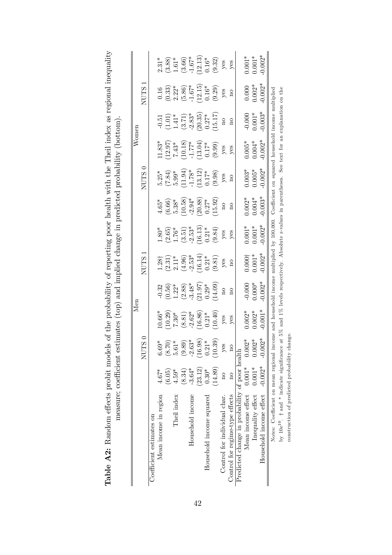| measure; coefficient estimates (top) and implied change in predicted probability (bottom).<br>Table A2: Random effects probit models |          |          | Men                                                                              |                                                                                                        |                                                                      |                                                                                 |                                                                                  | of the probability of reporting poor health with the Theil index as regional inequality | Womer                                                                             |                                                                                 |                                                                                 |                                                                                 |
|--------------------------------------------------------------------------------------------------------------------------------------|----------|----------|----------------------------------------------------------------------------------|--------------------------------------------------------------------------------------------------------|----------------------------------------------------------------------|---------------------------------------------------------------------------------|----------------------------------------------------------------------------------|-----------------------------------------------------------------------------------------|-----------------------------------------------------------------------------------|---------------------------------------------------------------------------------|---------------------------------------------------------------------------------|---------------------------------------------------------------------------------|
|                                                                                                                                      |          | NUTS 0   |                                                                                  |                                                                                                        | <b>NUTS</b>                                                          |                                                                                 |                                                                                  | NUTS <sub>0</sub>                                                                       |                                                                                   |                                                                                 | <b>NUTS</b>                                                                     |                                                                                 |
| Coefficient estimates on                                                                                                             |          |          |                                                                                  |                                                                                                        |                                                                      |                                                                                 |                                                                                  |                                                                                         |                                                                                   |                                                                                 |                                                                                 |                                                                                 |
| Mean income in region                                                                                                                | $4.67*$  | $6.69*$  | $10.66*$                                                                         |                                                                                                        |                                                                      | $1.80*$                                                                         | $4.65*$                                                                          | $5.25*$                                                                                 | $11.83*$                                                                          | $-0.51$                                                                         | 0.16                                                                            | $2.31*$                                                                         |
|                                                                                                                                      | (6.05)   | (8.70)   |                                                                                  |                                                                                                        |                                                                      |                                                                                 |                                                                                  |                                                                                         |                                                                                   |                                                                                 |                                                                                 |                                                                                 |
| Theil index                                                                                                                          | $4.59*$  | $5.61*$  |                                                                                  |                                                                                                        |                                                                      |                                                                                 |                                                                                  |                                                                                         |                                                                                   |                                                                                 |                                                                                 |                                                                                 |
|                                                                                                                                      | (8.34)   | (9.89)   | $\begin{array}{c} (10.29) \\ 7.30^* \\ (8.81) \\ -2.62^* \\ (16.86) \end{array}$ | $-0.32$<br>$(0.56)$<br>$1.22$ <sup>*</sup><br>$(2.88)$<br>$-3.48$ <sup>*</sup><br>$-3.49$ <sup>*</sup> | $1.28$ <sup>†</sup><br>$(2.31)$<br>$2.11$ *<br>$(4.96)$<br>$(16.14)$ | $\begin{array}{c} (2.65) \\ 1.76^* \\ (3.51) \\ -2.53^* \\ (16.13) \end{array}$ | $\begin{array}{c} (6.66) \\ 5.38^* \\ (10.58) \\ -2.94^* \\ (20.88) \end{array}$ | $(7.84)$<br>$5.99*$<br>$(11.94)$<br>$-1.78*$<br>$(13.12)$                               | $\begin{array}{l} (12.97) \\ 7.43^* \\ (10.18) \\ -1.77^* \\ (13.04) \end{array}$ | $\begin{array}{c} (1.01) \\ 1.41^* \\ (3.71) \\ -2.83^* \\ (20.35) \end{array}$ | $\begin{array}{c} (0.33) \\ 2.22^* \\ (5.86) \\ -1.67^* \\ (12.15) \end{array}$ | $\begin{array}{c} (3.88) \\ 1.61^* \\ (3.66) \\ -1.67^* \\ (12.13) \end{array}$ |
| Household income                                                                                                                     | $-3.64*$ | $-2.63*$ |                                                                                  |                                                                                                        |                                                                      |                                                                                 |                                                                                  |                                                                                         |                                                                                   |                                                                                 |                                                                                 |                                                                                 |
|                                                                                                                                      | (23.12)  | (16.98)  |                                                                                  |                                                                                                        |                                                                      |                                                                                 |                                                                                  |                                                                                         |                                                                                   |                                                                                 |                                                                                 |                                                                                 |

|                                                                                                                                           |               | $NUTS$ 0                |                                                                                    |                                                                                                  | NUTS 1                                                                                                                                                                                                                                                                                      |                                                                                |                                                                                                               | NUTS 0                                                                                                                  |                                                                                           |                                                                                                 | NUTS 1                                                                                                                                                                           |                                                                                                                                                 |
|-------------------------------------------------------------------------------------------------------------------------------------------|---------------|-------------------------|------------------------------------------------------------------------------------|--------------------------------------------------------------------------------------------------|---------------------------------------------------------------------------------------------------------------------------------------------------------------------------------------------------------------------------------------------------------------------------------------------|--------------------------------------------------------------------------------|---------------------------------------------------------------------------------------------------------------|-------------------------------------------------------------------------------------------------------------------------|-------------------------------------------------------------------------------------------|-------------------------------------------------------------------------------------------------|----------------------------------------------------------------------------------------------------------------------------------------------------------------------------------|-------------------------------------------------------------------------------------------------------------------------------------------------|
| Coefficient estimates on                                                                                                                  |               |                         |                                                                                    |                                                                                                  |                                                                                                                                                                                                                                                                                             |                                                                                |                                                                                                               |                                                                                                                         |                                                                                           |                                                                                                 |                                                                                                                                                                                  |                                                                                                                                                 |
| Mean income in region                                                                                                                     | $4.67*$       | $6.69*$                 |                                                                                    |                                                                                                  |                                                                                                                                                                                                                                                                                             |                                                                                |                                                                                                               |                                                                                                                         | $11.83*$                                                                                  |                                                                                                 |                                                                                                                                                                                  |                                                                                                                                                 |
|                                                                                                                                           | (6.05)        | (8.70)                  |                                                                                    |                                                                                                  |                                                                                                                                                                                                                                                                                             |                                                                                |                                                                                                               |                                                                                                                         |                                                                                           |                                                                                                 |                                                                                                                                                                                  |                                                                                                                                                 |
| Theil index                                                                                                                               | $4.59*$       | $5.61*$                 |                                                                                    |                                                                                                  |                                                                                                                                                                                                                                                                                             |                                                                                |                                                                                                               |                                                                                                                         |                                                                                           |                                                                                                 |                                                                                                                                                                                  |                                                                                                                                                 |
|                                                                                                                                           | (8.34)        | (9.89)                  |                                                                                    |                                                                                                  |                                                                                                                                                                                                                                                                                             |                                                                                |                                                                                                               |                                                                                                                         |                                                                                           |                                                                                                 |                                                                                                                                                                                  |                                                                                                                                                 |
| Household income                                                                                                                          | $-3.64*$      | $-2.63*$                |                                                                                    |                                                                                                  |                                                                                                                                                                                                                                                                                             |                                                                                |                                                                                                               |                                                                                                                         |                                                                                           |                                                                                                 |                                                                                                                                                                                  |                                                                                                                                                 |
|                                                                                                                                           | (23.12)       | (16.98)                 |                                                                                    |                                                                                                  |                                                                                                                                                                                                                                                                                             |                                                                                |                                                                                                               |                                                                                                                         |                                                                                           |                                                                                                 |                                                                                                                                                                                  |                                                                                                                                                 |
| Household income squared                                                                                                                  | $0.30*$       | $0.21*$                 |                                                                                    |                                                                                                  |                                                                                                                                                                                                                                                                                             |                                                                                |                                                                                                               |                                                                                                                         |                                                                                           |                                                                                                 |                                                                                                                                                                                  |                                                                                                                                                 |
|                                                                                                                                           | (14.89)       | (10.39)                 | 10.66*<br>(10.29)<br>(7.30*<br>(8.81)<br>(8.86)<br>-2.62*<br>(10.40)<br>yes<br>yes | $-0.32$<br>$(0.56)$<br>$1.22^*$<br>$(2.88)$<br>$(3.1.97)$<br>$(3.1.97)$<br>$(14.09)$<br>no<br>no | 1.28†<br>(2.31)*<br>2.11*<br>2.53*<br>(3.61)<br>(3.81)<br>5 %<br>7.621*<br>7.831)<br>7.831<br>7.831<br>7.831<br>7.831<br>7.831<br>7.831<br>7.841<br>7.841<br>7.841<br>7.841<br>7.841<br>7.841<br>7.841<br>7.841<br>7.841<br>7.841<br>7.841<br>7.841<br>7.841<br>7.841<br>7.841<br>7.841<br> | 1.80*<br>(2.65)<br>1.76*<br>1.76*<br>(3.51)<br>(16.13*<br>(9.84)<br>yes<br>yes | $4.65^*$<br>$(6.66)$<br>$5.38^*$<br>$5.38^*$<br>$-2.94^*$<br>$(20.88)$<br>$(20.84)$<br>$(20.27^*$<br>$15.92)$ | 5.25*<br>$(7.84)$<br>5.99*<br>5.941.941<br>5.941.78*<br>5.98<br>7.78*<br>7.78*<br>7.98<br>7.98<br>7.98<br>7.98<br>7.99* | $(12.97)$<br>$7.43*$<br>$(10.18)$<br>$1.77*$<br>$(13.04)$<br>$(13.04)$<br>$(9.99)$<br>yes | $-0.51$<br>$(1.01)$<br>$1.41^*$<br>$(3.71)$<br>$2.83^*$<br>$(20.35)^*$<br>$(15.17)$<br>no<br>no | 0.16<br>$(0.33)$<br>$2.22$ <sup>*</sup><br>$1.67$ <sup>*</sup><br>$(1.67)$ <sup>*</sup><br>$(1.67)$ <sup>*</sup><br>$(1.67)$ <sup>*</sup><br>$(0.16)$ <sup>*</sup><br>yes<br>yes | 2.31*<br>(3.88)<br>1.61*<br>1.67*<br>1.67*<br>1.67*<br>1.67*<br>1.67*<br>1.622)<br>1.82<br>1.82<br>1.82<br>1.82<br>1.82<br>1.82<br>1.82<br>1.83 |
| Control for individual char.                                                                                                              |               | yes                     |                                                                                    |                                                                                                  |                                                                                                                                                                                                                                                                                             |                                                                                |                                                                                                               |                                                                                                                         |                                                                                           |                                                                                                 |                                                                                                                                                                                  |                                                                                                                                                 |
| Control for regime-type effects                                                                                                           | $\frac{1}{2}$ | $\overline{\mathrm{a}}$ |                                                                                    |                                                                                                  |                                                                                                                                                                                                                                                                                             |                                                                                |                                                                                                               |                                                                                                                         |                                                                                           |                                                                                                 |                                                                                                                                                                                  |                                                                                                                                                 |
| Predicted change in probability of poor health                                                                                            |               |                         |                                                                                    |                                                                                                  |                                                                                                                                                                                                                                                                                             |                                                                                |                                                                                                               |                                                                                                                         |                                                                                           |                                                                                                 |                                                                                                                                                                                  |                                                                                                                                                 |
| Mean income effect $0.001*$ 0.002*                                                                                                        |               |                         |                                                                                    |                                                                                                  |                                                                                                                                                                                                                                                                                             |                                                                                |                                                                                                               |                                                                                                                         |                                                                                           |                                                                                                 |                                                                                                                                                                                  |                                                                                                                                                 |
| Inequality effect                                                                                                                         | $0.001*$      | $0.002*$                | $0.002$ *<br>0.002*<br>0.001*                                                      | $-0.000*000*000*$                                                                                | $0.000^+$<br>$0.001^*$<br>$0.002^*$                                                                                                                                                                                                                                                         | $0.001*$<br>$0.001*$<br>$0.002*$                                               | $0.002$ *<br>$0.004$ *<br>$0.003$ *                                                                           | $\begin{array}{c} 0.003^* \\ 0.005^* \\ 0.002^* \end{array}$                                                            | $0.005*$<br>$0.004*$<br>$0.002*$                                                          | $-0.000$<br>$0.001*$<br>$0.003*$                                                                | $0.000$<br>$0.002*$<br>$0.002*$                                                                                                                                                  | $0.001*$<br>$0.001*$<br>$0.002*$                                                                                                                |
| Household income effect -0.002*                                                                                                           |               | $-0.002*$               |                                                                                    | $0.002*$                                                                                         |                                                                                                                                                                                                                                                                                             |                                                                                |                                                                                                               |                                                                                                                         |                                                                                           |                                                                                                 |                                                                                                                                                                                  |                                                                                                                                                 |
| Notes: Coefficient on mean regional income and household income multiplied by 100,000. Coefficient on squared household income multiplied |               |                         |                                                                                    |                                                                                                  |                                                                                                                                                                                                                                                                                             |                                                                                |                                                                                                               |                                                                                                                         |                                                                                           |                                                                                                 |                                                                                                                                                                                  |                                                                                                                                                 |
| by 10e <sup>10</sup> . $\dagger$ and * indicate significance at 5% and 1% levels respectively. Absolute z-values in parentheses.          |               |                         |                                                                                    |                                                                                                  |                                                                                                                                                                                                                                                                                             |                                                                                |                                                                                                               |                                                                                                                         | See text for an explanation on the                                                        |                                                                                                 |                                                                                                                                                                                  |                                                                                                                                                 |

 $\frac{5}{16}$ by Lue  $\cdot$  T and  $\cdot$  mutcate significance at  $3\%$  construction of predicted probability change. construction of predicted probability change.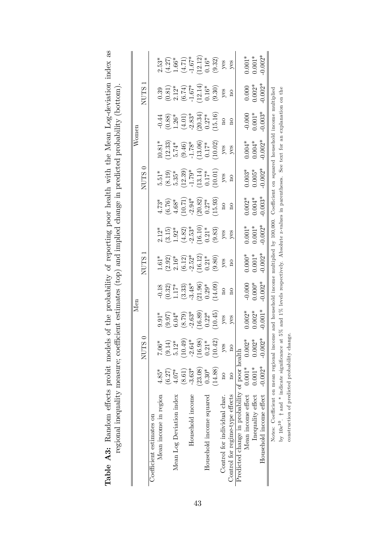|                                                                                                                                           |                         |                      |                      | Men                          |                     |                      |                       |                      |                                                                       | $\rm{Wonen}$                                                                                           |                                                 |                                                                      |
|-------------------------------------------------------------------------------------------------------------------------------------------|-------------------------|----------------------|----------------------|------------------------------|---------------------|----------------------|-----------------------|----------------------|-----------------------------------------------------------------------|--------------------------------------------------------------------------------------------------------|-------------------------------------------------|----------------------------------------------------------------------|
|                                                                                                                                           |                         | NUTS 0               |                      |                              | <b>NUTS</b>         |                      |                       | NUTS <sub>0</sub>    |                                                                       |                                                                                                        | NUTS <sub>1</sub>                               |                                                                      |
| Coefficient estimates on                                                                                                                  |                         |                      |                      |                              |                     |                      |                       |                      |                                                                       |                                                                                                        |                                                 |                                                                      |
| Mean income in region                                                                                                                     | $4.85*$                 | $7.06*$              | $9.91*$              | $-0.18$                      | $1.61*$             | $2.12*$              | $4.73*$               | $5.51*$              | $10.81*$                                                              | $-0.44$                                                                                                | 0.39                                            | $2.53*$                                                              |
|                                                                                                                                           | (6.27)                  |                      |                      |                              |                     | $(3.15)$<br>$1.92*$  |                       | $(8.19)$<br>$5.35*$  |                                                                       | (0.88)                                                                                                 |                                                 |                                                                      |
| Mean Log Deviation index                                                                                                                  | $4.07*$                 | $(9.14)$<br>$5.12*$  | $(9.97)$<br>$6.04*$  | $\left(0.32\right)$ $1.17^*$ | $(2.92)$<br>$2.16*$ |                      | $(6.76)$<br>4.68*     |                      | $(12.33)$<br>5.74*                                                    | $1.26*$                                                                                                | $\begin{array}{c} (0.81) \\ 2.12^* \end{array}$ |                                                                      |
|                                                                                                                                           | (8.61)                  | $(10.49)$<br>-2.64*  | $(8.79)$<br>$-2.63*$ | $(3.33)$<br>$-3.48*$         | $(6.12)$<br>-2.52*  | $(4.82)$<br>$-2.53*$ | $(10.71)$<br>$-2.94*$ | $(12.39)$<br>-1.79*  | $\begin{array}{c} (9.46) \\ -1.78^* \\ (13.06) \\ 0.17^* \end{array}$ | $(4.01)$<br>-2.83*                                                                                     | $(6.74)$<br>-1.67*                              | $\begin{array}{c} (4.27) \\ 1.66^* \\ (4.71) \\ -1.67^* \end{array}$ |
| Household income                                                                                                                          | $-3.63*$                |                      |                      |                              |                     |                      |                       |                      |                                                                       |                                                                                                        |                                                 |                                                                      |
|                                                                                                                                           | (23.08)                 | $(16.98)$<br>$0.21*$ | $(16.89)$<br>0.22*   | $(21.96)$<br>0.29*           | $(16.12)$<br>0.21*  | $(16.10)$<br>$0.21*$ | $(20.82)$<br>$0.27*$  | $(13.14)$<br>$0.17*$ |                                                                       | $(20.34)$<br>$0.27*$                                                                                   | $(12.14)$<br>0.16*                              | $(12.12)$<br>0.16*                                                   |
| Household income squared                                                                                                                  | $0.30*$                 |                      |                      |                              |                     |                      |                       |                      |                                                                       |                                                                                                        |                                                 |                                                                      |
|                                                                                                                                           | (14.88)                 | (10.42)              | (10.45)              | (14.09)                      | (9.80)              | (9.83)               | (15.93)               | (10.01)              | (10.02)                                                               | (15.16)                                                                                                | (9.30)                                          | (9.32)                                                               |
| Control for individual char.                                                                                                              | $\overline{a}$          | $y$ es               | yes                  | $\overline{\Omega}$          | yes                 | yes                  | $\overline{\Omega}$   | yes                  | $y$ es                                                                | $\overline{a}$                                                                                         | $y$ es                                          | yes                                                                  |
| Control for regime-type effects                                                                                                           | $\overline{\mathrm{a}}$ | $\frac{1}{2}$        | yes                  | $\overline{\mathbf{a}}$      | $\alpha$            | yes                  | $\frac{1}{2}$         | $\Omega$             | $y$ es                                                                | $\mathbf{a}$                                                                                           | $\overline{\mathbf{n}}$                         | yes                                                                  |
| Predicted change in probability of poor health                                                                                            |                         |                      |                      |                              |                     |                      |                       |                      |                                                                       |                                                                                                        |                                                 |                                                                      |
| Mean income effect                                                                                                                        | $0.001*$                | ¥<br>0.002           | $0.002*$             | $-0.000$                     | $0.000*$            | $0.001^{*}$          | $0.002*$              | $0.003*$             | $0.004*$                                                              | $-0.000$                                                                                               | 0.000                                           | $0.001*$                                                             |
| Inequality effect                                                                                                                         | $0.001*$                | $0.002*$             | $0.002*$             | $0.000*$                     | $0.001*$            | $0.001*$             | $0.004*$              | $0.005*$             | $0.004*$                                                              | $0.001*$                                                                                               | $0.002*$                                        | $0.001*$                                                             |
| Household income effect                                                                                                                   | $-0.002*$               | $-0.002*$            | $-0.001*$            | $-0.002*$                    | $-0.002*$           | $-0.002*$            | $-0.003*$             | $-0.002*$            | $-0.002*$                                                             | $-0.003*$                                                                                              | $0.002*$                                        | $0.002*$                                                             |
| Notes: Coefficient on mean regional income and household income multiplied by 100,000. Coefficient on squared household income multiplied |                         |                      |                      |                              |                     |                      |                       |                      |                                                                       |                                                                                                        |                                                 |                                                                      |
| by $10e^{10}$ . $\dagger$ and * indicate significance                                                                                     |                         |                      |                      |                              |                     |                      |                       |                      |                                                                       | at 5% and 1% levels respectively. Absolute z-values in parentheses. See text for an explanation on the |                                                 |                                                                      |
| construction of predicted probability change                                                                                              |                         |                      |                      |                              |                     |                      |                       |                      |                                                                       |                                                                                                        |                                                 |                                                                      |

| els of the probability of reporting poor health with the Mean Log-deviation index as<br>CONTRIBING AND SAFT DITO THAT AT A THE THANGET TOOL                                                                                                                                                                         | $1 - 11 - 1$                                                                                                                                                                                                                   |
|---------------------------------------------------------------------------------------------------------------------------------------------------------------------------------------------------------------------------------------------------------------------------------------------------------------------|--------------------------------------------------------------------------------------------------------------------------------------------------------------------------------------------------------------------------------|
|                                                                                                                                                                                                                                                                                                                     |                                                                                                                                                                                                                                |
|                                                                                                                                                                                                                                                                                                                     |                                                                                                                                                                                                                                |
|                                                                                                                                                                                                                                                                                                                     |                                                                                                                                                                                                                                |
|                                                                                                                                                                                                                                                                                                                     | and monumental in dimension money of the contract of the contract of the contract of the contract of the contract of the contract of the contract of the contract of the contract of the contract of the contract of the contr |
|                                                                                                                                                                                                                                                                                                                     |                                                                                                                                                                                                                                |
|                                                                                                                                                                                                                                                                                                                     |                                                                                                                                                                                                                                |
|                                                                                                                                                                                                                                                                                                                     |                                                                                                                                                                                                                                |
|                                                                                                                                                                                                                                                                                                                     |                                                                                                                                                                                                                                |
|                                                                                                                                                                                                                                                                                                                     |                                                                                                                                                                                                                                |
|                                                                                                                                                                                                                                                                                                                     |                                                                                                                                                                                                                                |
|                                                                                                                                                                                                                                                                                                                     | t actimates (tem) and implied change in prodicted probat                                                                                                                                                                       |
|                                                                                                                                                                                                                                                                                                                     | CONTINUES AND ALLEY                                                                                                                                                                                                            |
|                                                                                                                                                                                                                                                                                                                     | ۶                                                                                                                                                                                                                              |
| $\frac{1}{2}$ $\frac{1}{2}$ $\frac{1}{2}$ $\frac{1}{2}$ $\frac{1}{2}$ $\frac{1}{2}$ $\frac{1}{2}$ $\frac{1}{2}$ $\frac{1}{2}$ $\frac{1}{2}$ $\frac{1}{2}$ $\frac{1}{2}$ $\frac{1}{2}$ $\frac{1}{2}$ $\frac{1}{2}$ $\frac{1}{2}$ $\frac{1}{2}$ $\frac{1}{2}$ $\frac{1}{2}$ $\frac{1}{2}$ $\frac{1}{2}$ $\frac{1}{2}$ |                                                                                                                                                                                                                                |
| )<br>1111 - 1112                                                                                                                                                                                                                                                                                                    |                                                                                                                                                                                                                                |
| ·· Random effects probit moder<br>$\overline{\phantom{aa}}$                                                                                                                                                                                                                                                         | <b>ARTICLES CAR - 1978 - 1979 - 1979 - 1979 - 1979 - 1979 - 1979 - 1979 - 1979 - 1979 - 1979 - 1979 - 1979 - 197</b>                                                                                                           |
|                                                                                                                                                                                                                                                                                                                     |                                                                                                                                                                                                                                |
|                                                                                                                                                                                                                                                                                                                     |                                                                                                                                                                                                                                |
| Table $_{\pm}$                                                                                                                                                                                                                                                                                                      |                                                                                                                                                                                                                                |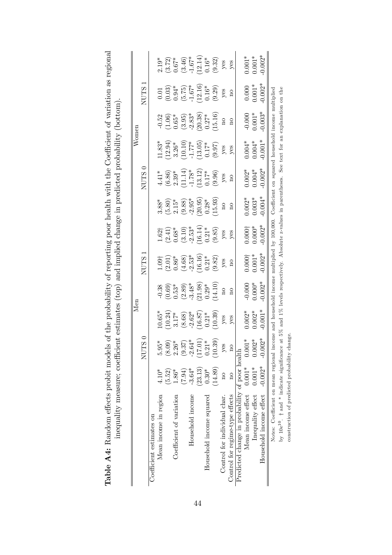|                                                                                                                                           |                         |                                                                                                                                 | Men                                                                                                          |                                                                                                |                                                                                                                    |                                                                                                                                        |                                                                                                                                 |                                                                                                           | Womer                                                                       |                                                                                  |                                                                                                                   |                                                                                                                                                                    |
|-------------------------------------------------------------------------------------------------------------------------------------------|-------------------------|---------------------------------------------------------------------------------------------------------------------------------|--------------------------------------------------------------------------------------------------------------|------------------------------------------------------------------------------------------------|--------------------------------------------------------------------------------------------------------------------|----------------------------------------------------------------------------------------------------------------------------------------|---------------------------------------------------------------------------------------------------------------------------------|-----------------------------------------------------------------------------------------------------------|-----------------------------------------------------------------------------|----------------------------------------------------------------------------------|-------------------------------------------------------------------------------------------------------------------|--------------------------------------------------------------------------------------------------------------------------------------------------------------------|
|                                                                                                                                           |                         | $\tilde{\mathbf{s}}$<br>NUT                                                                                                     |                                                                                                              |                                                                                                | NUTS.                                                                                                              |                                                                                                                                        |                                                                                                                                 | NUTS <sub>0</sub>                                                                                         |                                                                             |                                                                                  | <b>NUTS</b>                                                                                                       |                                                                                                                                                                    |
| Coefficient estimates on                                                                                                                  |                         |                                                                                                                                 |                                                                                                              |                                                                                                |                                                                                                                    |                                                                                                                                        |                                                                                                                                 |                                                                                                           |                                                                             |                                                                                  |                                                                                                                   |                                                                                                                                                                    |
| Mean income in region                                                                                                                     | $4.10*$                 |                                                                                                                                 | $10.65*$                                                                                                     |                                                                                                |                                                                                                                    |                                                                                                                                        |                                                                                                                                 |                                                                                                           |                                                                             |                                                                                  |                                                                                                                   |                                                                                                                                                                    |
|                                                                                                                                           | (5.52)                  |                                                                                                                                 |                                                                                                              |                                                                                                |                                                                                                                    |                                                                                                                                        |                                                                                                                                 |                                                                                                           |                                                                             |                                                                                  |                                                                                                                   |                                                                                                                                                                    |
| Coefficient of variation                                                                                                                  | $1.86*$                 |                                                                                                                                 |                                                                                                              |                                                                                                |                                                                                                                    |                                                                                                                                        |                                                                                                                                 |                                                                                                           |                                                                             |                                                                                  |                                                                                                                   |                                                                                                                                                                    |
|                                                                                                                                           | (7.94)                  |                                                                                                                                 |                                                                                                              |                                                                                                |                                                                                                                    |                                                                                                                                        |                                                                                                                                 |                                                                                                           |                                                                             |                                                                                  |                                                                                                                   |                                                                                                                                                                    |
| Household income                                                                                                                          | $-3.64*$                |                                                                                                                                 |                                                                                                              |                                                                                                |                                                                                                                    |                                                                                                                                        |                                                                                                                                 |                                                                                                           |                                                                             |                                                                                  |                                                                                                                   |                                                                                                                                                                    |
|                                                                                                                                           | (23.13)                 |                                                                                                                                 |                                                                                                              |                                                                                                |                                                                                                                    |                                                                                                                                        |                                                                                                                                 |                                                                                                           |                                                                             |                                                                                  |                                                                                                                   |                                                                                                                                                                    |
| Household income squared                                                                                                                  | $0.30*$                 |                                                                                                                                 |                                                                                                              |                                                                                                |                                                                                                                    |                                                                                                                                        |                                                                                                                                 |                                                                                                           |                                                                             |                                                                                  |                                                                                                                   |                                                                                                                                                                    |
|                                                                                                                                           | (14.89)                 | $\begin{array}{l} 5.95^* \\ (8.09) \\ 2.26^* \\ (9.37) \\ -2.64^* \\ (17.01) \\ (17.01) \\ (10.39) \\ \textrm{yes} \end{array}$ | $(10.24)$<br>$3.17$ *<br>$(8.68)$<br>$(16.87)$<br>$(16.87)$<br>$(10.39)$<br>yes                              | $-0.38$<br>$(0.69)$<br>$0.53^*$<br>$(2.89)$<br>$-3.48^*$<br>$(21.98)$<br>$0.29^*$<br>$(14.10)$ | $\begin{array}{l} 1.09\dagger\\ (2.01)\\ 0.86^*\\ (4.68)\\ \hline 1.6\,16)\\ (1.16)\\ (9.82)\\ \hline \end{array}$ | $\begin{array}{l} 1.621 \\ (2.41) \\ 0.68^* \\ (3.10) \\ (3.10) \\ (16.14) \\ (16.14) \\ (9.85) \\ (9.85) \\ \textrm{yes} \end{array}$ | $\begin{array}{l} 3.88^* \\ (5.80) \\ 2.15^* \\ (9.88) \\ (2.95^*) \\ (20.95^*) \\ (20.38) \\ (15.93) \\ \text{no} \end{array}$ | $4.41*$<br>$(6.86)$<br>$2.39*$<br>$2.114)$<br>$(11.14)$<br>$(13.12)$<br>$(13.12)$<br>$(9.96)$<br>$(9.96)$ | 11.83*<br>(12.94)<br>3.26*<br>3.26*<br>(10.10)<br>(15.05)<br>(9.97)<br>9.98 | $-0.52$<br>$(1.06)$<br>$0.65*$<br>$(3.95)$<br>$-2.83*$<br>$(20.38)$<br>$(15.16)$ | $\begin{array}{c} 0.01 \\ (0.03) \\ (5.75) \\ (-1.67^*) \\ (12.16) \\ (9.29) \\ (9.29) \\ \text{yes} \end{array}$ | 2.19*<br>$(3.72)$<br>$(3.46)$<br>$(3.46)$<br>$(3.46)$<br>$(3.46)$<br>$(3.46)$<br>$(3.46)$<br>$(3.46)$<br>$(1.67*)$<br>$(1.67)$<br>$(1.67)$<br>$(1.67)$<br>$(1.67)$ |
| Control for individual char.                                                                                                              | $\beta$                 |                                                                                                                                 |                                                                                                              |                                                                                                |                                                                                                                    |                                                                                                                                        |                                                                                                                                 |                                                                                                           |                                                                             |                                                                                  |                                                                                                                   |                                                                                                                                                                    |
| Control for regime-type effects                                                                                                           | $\overline{\mathrm{a}}$ |                                                                                                                                 | yes                                                                                                          | $\overline{\mathbf{n}}$                                                                        | $\overline{\mathbf{n}}$                                                                                            | yes                                                                                                                                    | $\overline{n}$                                                                                                                  | $\overline{\mathbf{n}}$                                                                                   | $y$ es                                                                      | $\overline{\mathrm{m}}$                                                          | $_{\rm n}$                                                                                                        |                                                                                                                                                                    |
| Predicted change in probability of poor health                                                                                            |                         |                                                                                                                                 |                                                                                                              |                                                                                                |                                                                                                                    |                                                                                                                                        |                                                                                                                                 |                                                                                                           |                                                                             |                                                                                  |                                                                                                                   |                                                                                                                                                                    |
| Mean income effect $0.001*$                                                                                                               |                         |                                                                                                                                 |                                                                                                              |                                                                                                |                                                                                                                    |                                                                                                                                        |                                                                                                                                 |                                                                                                           |                                                                             |                                                                                  |                                                                                                                   | $0.001*$                                                                                                                                                           |
| Inequality effect                                                                                                                         | $0.001*$                | $0.001*$<br>0.002*<br>0.002*                                                                                                    | $0.002*$                                                                                                     | $-0.000*$<br>$0.000*$<br>$0.002*$                                                              | $0.000^+$<br>$0.001^*$<br>$0.002^*$                                                                                |                                                                                                                                        | $0.002$ *<br>0.003*<br>0.004*                                                                                                   | $0.002$ *<br>$0.004$ *<br>$0.002$ *                                                                       | $0.004*$<br>$0.004*$<br>$0.001*$                                            | $-0.000$<br>$0.001*$<br>$0.003*$                                                 | $0.000$<br>$0.001*$<br>$0.002*$                                                                                   | $0.001*$<br>$0.002*$                                                                                                                                               |
| Household income effect -0.002*                                                                                                           |                         |                                                                                                                                 | $0.001*$                                                                                                     |                                                                                                |                                                                                                                    | $0.000^+$<br>$0.000^*$<br>$0.002^*$                                                                                                    |                                                                                                                                 |                                                                                                           |                                                                             |                                                                                  |                                                                                                                   |                                                                                                                                                                    |
| Notes: Coefficient on mean regional income and household income multiplied by 100,000. Coefficient on squared household income multiplied |                         |                                                                                                                                 |                                                                                                              |                                                                                                |                                                                                                                    |                                                                                                                                        |                                                                                                                                 |                                                                                                           |                                                                             |                                                                                  |                                                                                                                   |                                                                                                                                                                    |
| by 10e <sup>10</sup> . † and * indicate significance                                                                                      |                         |                                                                                                                                 | at $5\%$ and $1\%$ levels respectively. Absolute z-values in parentheses. See text for an explanation on the |                                                                                                |                                                                                                                    |                                                                                                                                        |                                                                                                                                 |                                                                                                           |                                                                             |                                                                                  |                                                                                                                   |                                                                                                                                                                    |
| construction of predicted probability ch                                                                                                  |                         | lange                                                                                                                           |                                                                                                              |                                                                                                |                                                                                                                    |                                                                                                                                        |                                                                                                                                 |                                                                                                           |                                                                             |                                                                                  |                                                                                                                   |                                                                                                                                                                    |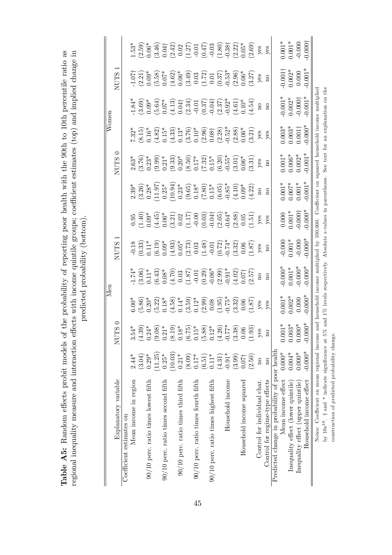| 0<br>Σ<br>$3.54*$                                                                                                                                                                                                                                                                                                                                           |                                             |                                  |                                                                                                                                                                                                                                                                                                                                                                                                  |                                                                                                                                                                                                                                                                                                                                                                                        |                                                                                                                                                                                                                                        |                                                                      | Women                                                                                                                                                                                                                                                                                     |                                                                                                                                                                                                                                                                                                                             |                                                                                                                                                                                                                                                                                                                                                                                                                                                                                                                                                                                                                                                |
|-------------------------------------------------------------------------------------------------------------------------------------------------------------------------------------------------------------------------------------------------------------------------------------------------------------------------------------------------------------|---------------------------------------------|----------------------------------|--------------------------------------------------------------------------------------------------------------------------------------------------------------------------------------------------------------------------------------------------------------------------------------------------------------------------------------------------------------------------------------------------|----------------------------------------------------------------------------------------------------------------------------------------------------------------------------------------------------------------------------------------------------------------------------------------------------------------------------------------------------------------------------------------|----------------------------------------------------------------------------------------------------------------------------------------------------------------------------------------------------------------------------------------|----------------------------------------------------------------------|-------------------------------------------------------------------------------------------------------------------------------------------------------------------------------------------------------------------------------------------------------------------------------------------|-----------------------------------------------------------------------------------------------------------------------------------------------------------------------------------------------------------------------------------------------------------------------------------------------------------------------------|------------------------------------------------------------------------------------------------------------------------------------------------------------------------------------------------------------------------------------------------------------------------------------------------------------------------------------------------------------------------------------------------------------------------------------------------------------------------------------------------------------------------------------------------------------------------------------------------------------------------------------------------|
|                                                                                                                                                                                                                                                                                                                                                             |                                             | <b>NUTS</b>                      |                                                                                                                                                                                                                                                                                                                                                                                                  |                                                                                                                                                                                                                                                                                                                                                                                        | 0<br><b>NUTS</b>                                                                                                                                                                                                                       |                                                                      |                                                                                                                                                                                                                                                                                           | <b>NUTS</b>                                                                                                                                                                                                                                                                                                                 |                                                                                                                                                                                                                                                                                                                                                                                                                                                                                                                                                                                                                                                |
|                                                                                                                                                                                                                                                                                                                                                             |                                             |                                  |                                                                                                                                                                                                                                                                                                                                                                                                  |                                                                                                                                                                                                                                                                                                                                                                                        |                                                                                                                                                                                                                                        |                                                                      |                                                                                                                                                                                                                                                                                           |                                                                                                                                                                                                                                                                                                                             |                                                                                                                                                                                                                                                                                                                                                                                                                                                                                                                                                                                                                                                |
|                                                                                                                                                                                                                                                                                                                                                             |                                             |                                  |                                                                                                                                                                                                                                                                                                                                                                                                  |                                                                                                                                                                                                                                                                                                                                                                                        |                                                                                                                                                                                                                                        |                                                                      |                                                                                                                                                                                                                                                                                           |                                                                                                                                                                                                                                                                                                                             |                                                                                                                                                                                                                                                                                                                                                                                                                                                                                                                                                                                                                                                |
|                                                                                                                                                                                                                                                                                                                                                             |                                             |                                  |                                                                                                                                                                                                                                                                                                                                                                                                  |                                                                                                                                                                                                                                                                                                                                                                                        |                                                                                                                                                                                                                                        |                                                                      |                                                                                                                                                                                                                                                                                           |                                                                                                                                                                                                                                                                                                                             |                                                                                                                                                                                                                                                                                                                                                                                                                                                                                                                                                                                                                                                |
|                                                                                                                                                                                                                                                                                                                                                             |                                             |                                  |                                                                                                                                                                                                                                                                                                                                                                                                  |                                                                                                                                                                                                                                                                                                                                                                                        |                                                                                                                                                                                                                                        |                                                                      |                                                                                                                                                                                                                                                                                           |                                                                                                                                                                                                                                                                                                                             |                                                                                                                                                                                                                                                                                                                                                                                                                                                                                                                                                                                                                                                |
|                                                                                                                                                                                                                                                                                                                                                             |                                             |                                  |                                                                                                                                                                                                                                                                                                                                                                                                  |                                                                                                                                                                                                                                                                                                                                                                                        |                                                                                                                                                                                                                                        |                                                                      |                                                                                                                                                                                                                                                                                           |                                                                                                                                                                                                                                                                                                                             |                                                                                                                                                                                                                                                                                                                                                                                                                                                                                                                                                                                                                                                |
|                                                                                                                                                                                                                                                                                                                                                             |                                             |                                  |                                                                                                                                                                                                                                                                                                                                                                                                  |                                                                                                                                                                                                                                                                                                                                                                                        |                                                                                                                                                                                                                                        |                                                                      |                                                                                                                                                                                                                                                                                           |                                                                                                                                                                                                                                                                                                                             |                                                                                                                                                                                                                                                                                                                                                                                                                                                                                                                                                                                                                                                |
|                                                                                                                                                                                                                                                                                                                                                             |                                             |                                  |                                                                                                                                                                                                                                                                                                                                                                                                  |                                                                                                                                                                                                                                                                                                                                                                                        |                                                                                                                                                                                                                                        |                                                                      |                                                                                                                                                                                                                                                                                           |                                                                                                                                                                                                                                                                                                                             | $\begin{array}{l} 1.53^*\\ 1.69^*\\ 2.69^*\\ 3.69^*\\ 2.42\\ 2.50\\ 2.42\\ 2.51\\ 2.52\\ 2.53\\ 2.54\\ 2.55\\ 2.56\\ 2.57\\ 2.57\\ 2.57\\ 2.57\\ 2.57\\ 2.57\\ 2.57\\ 2.57\\ 2.57\\ 2.59\\ 2.59\\ 2.59\\ 2.59\\ 2.58\\ 2.59\\ 2.59\\ 2.59\\ 2.59\\ 2.59\\ 2.59\\ 2.59\\ $                                                                                                                                                                                                                                                                                                                                                                      |
|                                                                                                                                                                                                                                                                                                                                                             |                                             |                                  |                                                                                                                                                                                                                                                                                                                                                                                                  |                                                                                                                                                                                                                                                                                                                                                                                        |                                                                                                                                                                                                                                        |                                                                      |                                                                                                                                                                                                                                                                                           |                                                                                                                                                                                                                                                                                                                             |                                                                                                                                                                                                                                                                                                                                                                                                                                                                                                                                                                                                                                                |
|                                                                                                                                                                                                                                                                                                                                                             |                                             |                                  |                                                                                                                                                                                                                                                                                                                                                                                                  |                                                                                                                                                                                                                                                                                                                                                                                        |                                                                                                                                                                                                                                        |                                                                      |                                                                                                                                                                                                                                                                                           |                                                                                                                                                                                                                                                                                                                             |                                                                                                                                                                                                                                                                                                                                                                                                                                                                                                                                                                                                                                                |
|                                                                                                                                                                                                                                                                                                                                                             |                                             |                                  |                                                                                                                                                                                                                                                                                                                                                                                                  |                                                                                                                                                                                                                                                                                                                                                                                        |                                                                                                                                                                                                                                        |                                                                      |                                                                                                                                                                                                                                                                                           |                                                                                                                                                                                                                                                                                                                             |                                                                                                                                                                                                                                                                                                                                                                                                                                                                                                                                                                                                                                                |
|                                                                                                                                                                                                                                                                                                                                                             |                                             |                                  |                                                                                                                                                                                                                                                                                                                                                                                                  |                                                                                                                                                                                                                                                                                                                                                                                        |                                                                                                                                                                                                                                        |                                                                      |                                                                                                                                                                                                                                                                                           |                                                                                                                                                                                                                                                                                                                             |                                                                                                                                                                                                                                                                                                                                                                                                                                                                                                                                                                                                                                                |
|                                                                                                                                                                                                                                                                                                                                                             |                                             |                                  |                                                                                                                                                                                                                                                                                                                                                                                                  |                                                                                                                                                                                                                                                                                                                                                                                        |                                                                                                                                                                                                                                        |                                                                      |                                                                                                                                                                                                                                                                                           |                                                                                                                                                                                                                                                                                                                             |                                                                                                                                                                                                                                                                                                                                                                                                                                                                                                                                                                                                                                                |
|                                                                                                                                                                                                                                                                                                                                                             |                                             |                                  |                                                                                                                                                                                                                                                                                                                                                                                                  |                                                                                                                                                                                                                                                                                                                                                                                        |                                                                                                                                                                                                                                        |                                                                      |                                                                                                                                                                                                                                                                                           |                                                                                                                                                                                                                                                                                                                             |                                                                                                                                                                                                                                                                                                                                                                                                                                                                                                                                                                                                                                                |
|                                                                                                                                                                                                                                                                                                                                                             |                                             |                                  |                                                                                                                                                                                                                                                                                                                                                                                                  |                                                                                                                                                                                                                                                                                                                                                                                        |                                                                                                                                                                                                                                        |                                                                      |                                                                                                                                                                                                                                                                                           |                                                                                                                                                                                                                                                                                                                             |                                                                                                                                                                                                                                                                                                                                                                                                                                                                                                                                                                                                                                                |
|                                                                                                                                                                                                                                                                                                                                                             |                                             |                                  |                                                                                                                                                                                                                                                                                                                                                                                                  |                                                                                                                                                                                                                                                                                                                                                                                        |                                                                                                                                                                                                                                        |                                                                      |                                                                                                                                                                                                                                                                                           |                                                                                                                                                                                                                                                                                                                             |                                                                                                                                                                                                                                                                                                                                                                                                                                                                                                                                                                                                                                                |
|                                                                                                                                                                                                                                                                                                                                                             |                                             |                                  |                                                                                                                                                                                                                                                                                                                                                                                                  |                                                                                                                                                                                                                                                                                                                                                                                        |                                                                                                                                                                                                                                        |                                                                      |                                                                                                                                                                                                                                                                                           |                                                                                                                                                                                                                                                                                                                             |                                                                                                                                                                                                                                                                                                                                                                                                                                                                                                                                                                                                                                                |
|                                                                                                                                                                                                                                                                                                                                                             |                                             |                                  |                                                                                                                                                                                                                                                                                                                                                                                                  |                                                                                                                                                                                                                                                                                                                                                                                        |                                                                                                                                                                                                                                        |                                                                      |                                                                                                                                                                                                                                                                                           |                                                                                                                                                                                                                                                                                                                             |                                                                                                                                                                                                                                                                                                                                                                                                                                                                                                                                                                                                                                                |
|                                                                                                                                                                                                                                                                                                                                                             | $\mathbf{u}$                                |                                  | yes                                                                                                                                                                                                                                                                                                                                                                                              |                                                                                                                                                                                                                                                                                                                                                                                        |                                                                                                                                                                                                                                        |                                                                      | $\rm ^2$                                                                                                                                                                                                                                                                                  | yes                                                                                                                                                                                                                                                                                                                         |                                                                                                                                                                                                                                                                                                                                                                                                                                                                                                                                                                                                                                                |
| yes<br>$\rm ^{10}$                                                                                                                                                                                                                                                                                                                                          | $\overline{\mathrm{n}}$                     | $\mathbf{a}$                     | yes                                                                                                                                                                                                                                                                                                                                                                                              | $\overline{\mathbf{n}}$                                                                                                                                                                                                                                                                                                                                                                |                                                                                                                                                                                                                                        | yes                                                                  | $\overline{\mathbf{n}}$                                                                                                                                                                                                                                                                   | $\overline{\mathbf{n}}$                                                                                                                                                                                                                                                                                                     |                                                                                                                                                                                                                                                                                                                                                                                                                                                                                                                                                                                                                                                |
|                                                                                                                                                                                                                                                                                                                                                             |                                             |                                  |                                                                                                                                                                                                                                                                                                                                                                                                  |                                                                                                                                                                                                                                                                                                                                                                                        |                                                                                                                                                                                                                                        |                                                                      |                                                                                                                                                                                                                                                                                           |                                                                                                                                                                                                                                                                                                                             |                                                                                                                                                                                                                                                                                                                                                                                                                                                                                                                                                                                                                                                |
|                                                                                                                                                                                                                                                                                                                                                             |                                             |                                  |                                                                                                                                                                                                                                                                                                                                                                                                  |                                                                                                                                                                                                                                                                                                                                                                                        |                                                                                                                                                                                                                                        |                                                                      |                                                                                                                                                                                                                                                                                           |                                                                                                                                                                                                                                                                                                                             |                                                                                                                                                                                                                                                                                                                                                                                                                                                                                                                                                                                                                                                |
|                                                                                                                                                                                                                                                                                                                                                             |                                             |                                  |                                                                                                                                                                                                                                                                                                                                                                                                  |                                                                                                                                                                                                                                                                                                                                                                                        |                                                                                                                                                                                                                                        |                                                                      |                                                                                                                                                                                                                                                                                           |                                                                                                                                                                                                                                                                                                                             |                                                                                                                                                                                                                                                                                                                                                                                                                                                                                                                                                                                                                                                |
|                                                                                                                                                                                                                                                                                                                                                             |                                             |                                  |                                                                                                                                                                                                                                                                                                                                                                                                  |                                                                                                                                                                                                                                                                                                                                                                                        |                                                                                                                                                                                                                                        |                                                                      |                                                                                                                                                                                                                                                                                           |                                                                                                                                                                                                                                                                                                                             |                                                                                                                                                                                                                                                                                                                                                                                                                                                                                                                                                                                                                                                |
|                                                                                                                                                                                                                                                                                                                                                             |                                             |                                  |                                                                                                                                                                                                                                                                                                                                                                                                  |                                                                                                                                                                                                                                                                                                                                                                                        |                                                                                                                                                                                                                                        |                                                                      |                                                                                                                                                                                                                                                                                           |                                                                                                                                                                                                                                                                                                                             |                                                                                                                                                                                                                                                                                                                                                                                                                                                                                                                                                                                                                                                |
|                                                                                                                                                                                                                                                                                                                                                             |                                             |                                  |                                                                                                                                                                                                                                                                                                                                                                                                  |                                                                                                                                                                                                                                                                                                                                                                                        |                                                                                                                                                                                                                                        |                                                                      |                                                                                                                                                                                                                                                                                           |                                                                                                                                                                                                                                                                                                                             |                                                                                                                                                                                                                                                                                                                                                                                                                                                                                                                                                                                                                                                |
| $-0.000*$<br>$\begin{matrix} 0.001^{*} \\ 0.003^{*} \\ 0.000^{*} \end{matrix}$<br>$(1,3)\\(1,2)\\(1,0)\\(1,0)\\(1,0)\\(1,0)\\(1,0)\\(1,0)\\(1,0)\\(1,0)\\(1,0)\\(1,0)\\(1,0)\\(1,0)\\(1,0)\\(1,0)\\(1,0)\\(1,0)\\(1,0)\\(1,0)\\(1,0)\\(1,0)\\(1,0)\\(1,0)\\(1,0)\\(1,0)\\(1,0)\\(1,0)\\(1,0)\\(1,0)\\(1,0)\\(1,0)\\(1,0)\\(1,0)\\(1,0)\\(1,0)\\(1,0$<br>yes | $0.000*$<br>$0.001*$<br>$0.002*$<br>$0.000$ | $-0.000*$<br>$-0.000*$<br>0.001* | $0.000*$<br>$-0.000$<br>$0.001*$<br>$-0.000$<br>$\begin{array}{l} 28 \\ -0.33 \\ -0.53 \\ -0.53 \\ -0.53 \\ -0.53 \\ -0.53 \\ -0.53 \\ -0.53 \\ -0.53 \\ -0.53 \\ -0.53 \\ -0.53 \\ -0.53 \\ -0.53 \\ -0.53 \\ -0.53 \\ -0.53 \\ -0.53 \\ -0.53 \\ -0.53 \\ -0.53 \\ -0.53 \\ -0.53 \\ -0.53 \\ -0.53 \\ -0.53 \\ -0.53 \\ -0.53 \\ -0.53 \\ -0.53 \\ -0.53 \\ -0.53 \\ -0.53 \\ -0.53 \\ -0.53$ | $\begin{array}{c} 0.000 \\ 0.001^* \\ 0.000^+ \\ 0.000^* \end{array}$<br>$\begin{array}{l} 0.95 \\ 0.40 \\ 0.63 \\ 0.64 \\ 0.65 \\ 0.75 \\ 0.87 \\ 0.99 \\ 0.99 \\ 0.90 \\ 0.90 \\ 0.90 \\ 0.90 \\ 0.90 \\ 0.90 \\ 0.90 \\ 0.90 \\ 0.90 \\ 0.90 \\ 0.90 \\ 0.90 \\ 0.90 \\ 0.90 \\ 0.90 \\ 0.90 \\ 0.90 \\ 0.90 \\ 0.90 \\ 0.90 \\ 0.90 \\ 0.90 \\ 0.90 \\ 0.90 \\ 0.90 \\ 0.90 \\ 0.$ | $0.001*$<br>$0.001$ *<br>$0.007$ *<br>$0.001$ *<br>$2.39*\n2.260\n3.28*\n3.29*\n3.200\n3.200\n3.21*\n3.22*\n3.23*\n3.24*\n3.25*\n3.260\n3.27*\n3.29*\n3.200\n3.200\n3.21*\n3.22*\n3.23*\n3.24*\n3.25*\n3.260\n3.27*\n3.28*\n3.29*\n3.$ | $0.001*$<br>$0.001*$<br>$0.006*$<br>$0.002*$<br>$_{\rm 10}^{\rm 50}$ | $0.003$ *<br>$0.003$ *<br>$0.001$ †<br>$0.000$ *<br>$7.32^*$ $7.5^*$ $7.5^*$ $7.5^*$ $7.5^*$ $7.5^*$ $7.5^*$ $7.5^*$ $7.5^*$ $7.5^*$ $7.5^*$ $7.5^*$ $7.5^*$ $7.5^*$ $7.5^*$ $7.5^*$ $7.5^*$ $7.5^*$ $7.5^*$ $7.5^*$ $7.5^*$ $7.5^*$ $7.5^*$ $7.5^*$ $7.5^*$ $7.5^*$ $7.5^*$ $7.5$<br>yes | $0.001*$<br>$0.002*$<br>$0.0001*$<br>$0.001*$<br>$\begin{array}{l} 1.84\\ 1.96\\ 0.99\\ 0.99\\ 0.99\\ 0.99\\ 0.99\\ 0.99\\ 0.99\\ 0.99\\ 0.99\\ 0.99\\ 0.99\\ 0.99\\ 0.99\\ 0.99\\ 0.99\\ 0.99\\ 0.99\\ 0.99\\ 0.99\\ 0.99\\ 0.99\\ 0.99\\ 0.99\\ 0.99\\ 0.99\\ 0.99\\ 0.99\\ 0.99\\ 0.99\\ 0.99\\ 0.99\\ 0.99\\ 0.99\\ 0.$ | $\begin{array}{l} 0.001 \\ 0.002^* \\ 0.000 \\ 0.001^* \end{array}$<br>$\begin{array}{l} 1.071 \\ 1.21) \\ 2.68 \\ 3.69 \\ 4.61 \\ 5.71 \\ 6.62 \\ 7.72 \\ 7.73 \\ 7.74 \\ 7.75 \\ 7.79 \\ 7.79 \\ 7.79 \\ 7.79 \\ 7.79 \\ 7.79 \\ 7.79 \\ 7.79 \\ 7.79 \\ 7.79 \\ 7.79 \\ 7.79 \\ 7.79 \\ 7.79 \\ 7.79 \\ 7.79 \\ 7.79 \\ 7.79 \\ 7.79 \\ 7.79 \\ 7.79 \\ 7.79 \\ 7.79 \\ 7.79 \\ $<br>by $10e^{10}$ . † and * indicate significance at 5% and 1% levels respectively. Absolute z-values in parentheses. See text for an explanation on the<br>and household income multiplied by 100,000. Coefficient on squared household income multiplied |

construction of predicted probability change.

regional inequality measure and interaction effects with income quintile groups; coefficient estimates (top) and implied change in<br>predicted probability (bottom). Table A5: Random effects probit models of the probability of reporting poor health with the 90th to 10th percentile ratio as Table A5: Random effects probit models of the probability of reporting poor health with the 90th to 10th percentile ratio as regional inequality measure and interaction effects with income quintile groups; coefficient estimates (top) and implied change in predicted probability (bottom).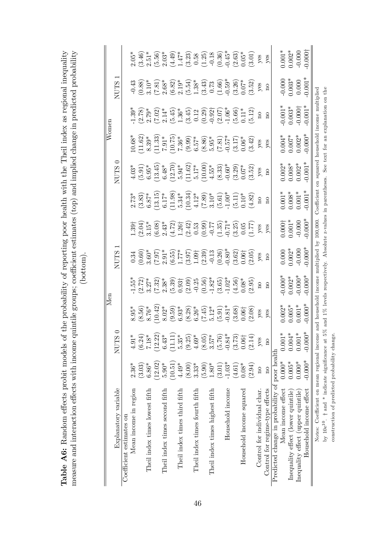|                                                                                                                                                                                                                                                                                    | Women | T CHILL<br>$\overline{C}$ |
|------------------------------------------------------------------------------------------------------------------------------------------------------------------------------------------------------------------------------------------------------------------------------------|-------|---------------------------|
| Table A6: Random effects probit models of the probability of reporting poor health with the Theil index as regional inequality<br>measure and interaction effects with income quintile groups; coefficient estimates (top) and implied change in predicted probability<br>bottom). |       | NTTTFC<br>$\overline{C}$  |
|                                                                                                                                                                                                                                                                                    |       |                           |

|                                                                                        |                         |                                                                                | Men                                                                                                                                                                                                              |                                                                                                                                                                                                                                                                                                                                                             |                                                                                                                                                                                                                                                                                                     |                                                                                                                                                                                                                                                      |                                                                                                                                                                                                                                                                                             |                                                                                                                                                                                                                                                                                                     | W <sub>onen</sub>                                                                                                                                                                                                                                              |                                                                                                                                                                                                                                                                                                               |                      |                                                                                                                                                                                                                                                                                          |
|----------------------------------------------------------------------------------------|-------------------------|--------------------------------------------------------------------------------|------------------------------------------------------------------------------------------------------------------------------------------------------------------------------------------------------------------|-------------------------------------------------------------------------------------------------------------------------------------------------------------------------------------------------------------------------------------------------------------------------------------------------------------------------------------------------------------|-----------------------------------------------------------------------------------------------------------------------------------------------------------------------------------------------------------------------------------------------------------------------------------------------------|------------------------------------------------------------------------------------------------------------------------------------------------------------------------------------------------------------------------------------------------------|---------------------------------------------------------------------------------------------------------------------------------------------------------------------------------------------------------------------------------------------------------------------------------------------|-----------------------------------------------------------------------------------------------------------------------------------------------------------------------------------------------------------------------------------------------------------------------------------------------------|----------------------------------------------------------------------------------------------------------------------------------------------------------------------------------------------------------------------------------------------------------------|---------------------------------------------------------------------------------------------------------------------------------------------------------------------------------------------------------------------------------------------------------------------------------------------------------------|----------------------|------------------------------------------------------------------------------------------------------------------------------------------------------------------------------------------------------------------------------------------------------------------------------------------|
| Explanatory variable                                                                   |                         | ¢<br>S<br>NUT                                                                  |                                                                                                                                                                                                                  |                                                                                                                                                                                                                                                                                                                                                             | <b>NUTS</b>                                                                                                                                                                                                                                                                                         |                                                                                                                                                                                                                                                      |                                                                                                                                                                                                                                                                                             | <b>NUTS</b>                                                                                                                                                                                                                                                                                         |                                                                                                                                                                                                                                                                |                                                                                                                                                                                                                                                                                                               | <b>NUTS</b>          |                                                                                                                                                                                                                                                                                          |
| Coefficient estimates on                                                               |                         |                                                                                |                                                                                                                                                                                                                  |                                                                                                                                                                                                                                                                                                                                                             |                                                                                                                                                                                                                                                                                                     |                                                                                                                                                                                                                                                      |                                                                                                                                                                                                                                                                                             |                                                                                                                                                                                                                                                                                                     |                                                                                                                                                                                                                                                                |                                                                                                                                                                                                                                                                                                               |                      |                                                                                                                                                                                                                                                                                          |
| Mean income in region                                                                  | $2.36*$                 | ⋇<br>4.91                                                                      | $8.95*$                                                                                                                                                                                                          |                                                                                                                                                                                                                                                                                                                                                             |                                                                                                                                                                                                                                                                                                     |                                                                                                                                                                                                                                                      |                                                                                                                                                                                                                                                                                             |                                                                                                                                                                                                                                                                                                     |                                                                                                                                                                                                                                                                |                                                                                                                                                                                                                                                                                                               |                      |                                                                                                                                                                                                                                                                                          |
|                                                                                        | (3.03)                  | $(6.24)$<br>7.18*                                                              |                                                                                                                                                                                                                  |                                                                                                                                                                                                                                                                                                                                                             |                                                                                                                                                                                                                                                                                                     |                                                                                                                                                                                                                                                      |                                                                                                                                                                                                                                                                                             |                                                                                                                                                                                                                                                                                                     |                                                                                                                                                                                                                                                                |                                                                                                                                                                                                                                                                                                               |                      |                                                                                                                                                                                                                                                                                          |
| Theil index times lowest fifth                                                         | $6.86*$                 |                                                                                |                                                                                                                                                                                                                  |                                                                                                                                                                                                                                                                                                                                                             |                                                                                                                                                                                                                                                                                                     |                                                                                                                                                                                                                                                      |                                                                                                                                                                                                                                                                                             |                                                                                                                                                                                                                                                                                                     |                                                                                                                                                                                                                                                                |                                                                                                                                                                                                                                                                                                               |                      |                                                                                                                                                                                                                                                                                          |
|                                                                                        | (12.02)                 | $(12.22)$<br>6.43*                                                             |                                                                                                                                                                                                                  |                                                                                                                                                                                                                                                                                                                                                             |                                                                                                                                                                                                                                                                                                     |                                                                                                                                                                                                                                                      |                                                                                                                                                                                                                                                                                             |                                                                                                                                                                                                                                                                                                     |                                                                                                                                                                                                                                                                |                                                                                                                                                                                                                                                                                                               |                      |                                                                                                                                                                                                                                                                                          |
| Theil index times second fifth                                                         | $5.90*$                 | 6.43                                                                           |                                                                                                                                                                                                                  |                                                                                                                                                                                                                                                                                                                                                             |                                                                                                                                                                                                                                                                                                     |                                                                                                                                                                                                                                                      |                                                                                                                                                                                                                                                                                             |                                                                                                                                                                                                                                                                                                     |                                                                                                                                                                                                                                                                |                                                                                                                                                                                                                                                                                                               |                      |                                                                                                                                                                                                                                                                                          |
|                                                                                        | 10.51)                  | $\overline{+}$ *<br>(11.1)                                                     |                                                                                                                                                                                                                  |                                                                                                                                                                                                                                                                                                                                                             |                                                                                                                                                                                                                                                                                                     |                                                                                                                                                                                                                                                      |                                                                                                                                                                                                                                                                                             |                                                                                                                                                                                                                                                                                                     |                                                                                                                                                                                                                                                                |                                                                                                                                                                                                                                                                                                               |                      |                                                                                                                                                                                                                                                                                          |
| Theil index times third fifth                                                          | $4.49*$                 | 5.35                                                                           |                                                                                                                                                                                                                  |                                                                                                                                                                                                                                                                                                                                                             |                                                                                                                                                                                                                                                                                                     |                                                                                                                                                                                                                                                      |                                                                                                                                                                                                                                                                                             |                                                                                                                                                                                                                                                                                                     |                                                                                                                                                                                                                                                                |                                                                                                                                                                                                                                                                                                               |                      |                                                                                                                                                                                                                                                                                          |
|                                                                                        | (8.00)                  | $(9.25)$<br>$4.69*$                                                            |                                                                                                                                                                                                                  |                                                                                                                                                                                                                                                                                                                                                             |                                                                                                                                                                                                                                                                                                     |                                                                                                                                                                                                                                                      |                                                                                                                                                                                                                                                                                             |                                                                                                                                                                                                                                                                                                     |                                                                                                                                                                                                                                                                |                                                                                                                                                                                                                                                                                                               |                      |                                                                                                                                                                                                                                                                                          |
| Theil index times fourth fifth                                                         | $3.33*$                 |                                                                                |                                                                                                                                                                                                                  |                                                                                                                                                                                                                                                                                                                                                             |                                                                                                                                                                                                                                                                                                     |                                                                                                                                                                                                                                                      |                                                                                                                                                                                                                                                                                             |                                                                                                                                                                                                                                                                                                     |                                                                                                                                                                                                                                                                |                                                                                                                                                                                                                                                                                                               |                      |                                                                                                                                                                                                                                                                                          |
|                                                                                        | (5.90)                  | $(8.05)$<br>3.57*                                                              |                                                                                                                                                                                                                  |                                                                                                                                                                                                                                                                                                                                                             |                                                                                                                                                                                                                                                                                                     |                                                                                                                                                                                                                                                      |                                                                                                                                                                                                                                                                                             |                                                                                                                                                                                                                                                                                                     |                                                                                                                                                                                                                                                                |                                                                                                                                                                                                                                                                                                               |                      |                                                                                                                                                                                                                                                                                          |
| Theil index times highest fifth                                                        | $1.80*$                 |                                                                                |                                                                                                                                                                                                                  |                                                                                                                                                                                                                                                                                                                                                             |                                                                                                                                                                                                                                                                                                     |                                                                                                                                                                                                                                                      |                                                                                                                                                                                                                                                                                             |                                                                                                                                                                                                                                                                                                     |                                                                                                                                                                                                                                                                |                                                                                                                                                                                                                                                                                                               |                      |                                                                                                                                                                                                                                                                                          |
|                                                                                        | (3.01)                  |                                                                                |                                                                                                                                                                                                                  |                                                                                                                                                                                                                                                                                                                                                             |                                                                                                                                                                                                                                                                                                     |                                                                                                                                                                                                                                                      |                                                                                                                                                                                                                                                                                             |                                                                                                                                                                                                                                                                                                     |                                                                                                                                                                                                                                                                |                                                                                                                                                                                                                                                                                                               |                      |                                                                                                                                                                                                                                                                                          |
| Household income                                                                       | $-1.03*$                |                                                                                |                                                                                                                                                                                                                  |                                                                                                                                                                                                                                                                                                                                                             |                                                                                                                                                                                                                                                                                                     |                                                                                                                                                                                                                                                      |                                                                                                                                                                                                                                                                                             |                                                                                                                                                                                                                                                                                                     |                                                                                                                                                                                                                                                                |                                                                                                                                                                                                                                                                                                               |                      |                                                                                                                                                                                                                                                                                          |
|                                                                                        | (4.61)                  |                                                                                |                                                                                                                                                                                                                  |                                                                                                                                                                                                                                                                                                                                                             |                                                                                                                                                                                                                                                                                                     |                                                                                                                                                                                                                                                      |                                                                                                                                                                                                                                                                                             |                                                                                                                                                                                                                                                                                                     |                                                                                                                                                                                                                                                                |                                                                                                                                                                                                                                                                                                               |                      |                                                                                                                                                                                                                                                                                          |
| Household income squared                                                               | $0.08*$                 |                                                                                |                                                                                                                                                                                                                  |                                                                                                                                                                                                                                                                                                                                                             |                                                                                                                                                                                                                                                                                                     |                                                                                                                                                                                                                                                      |                                                                                                                                                                                                                                                                                             |                                                                                                                                                                                                                                                                                                     |                                                                                                                                                                                                                                                                |                                                                                                                                                                                                                                                                                                               |                      |                                                                                                                                                                                                                                                                                          |
|                                                                                        | (2.94)                  | $(5.76)$<br>$(1.64)$<br>$(3.73)$<br>$(0.06)$<br>$(2.14)$                       | $(8.56)$<br>$8.76$<br>$8.02$<br>$8.02$<br>$8.02$<br>$8.02$<br>$8.02$<br>$8.02$<br>$8.02$<br>$8.02$<br>$8.02$<br>$8.02$<br>$8.02$<br>$8.02$<br>$8.02$<br>$8.02$<br>$8.02$<br>$8.02$<br>$8.02$<br>$8.02$<br>$8.02$ | $\begin{array}{l} \text{5.57} \\[-2.0ex] \text{7.27} \\[-2.0ex] \text{8.33} \\[-2.0ex] \text{9.33} \\[-2.0ex] \text{9.33} \\[-2.0ex] \text{1.33} \\[-2.0ex] \text{1.33} \\[-2.0ex] \text{1.33} \\[-2.0ex] \text{1.33} \\[-2.0ex] \text{1.33} \\[-2.0ex] \text{1.33} \\[-2.0ex] \text{1.33} \\[-2.0ex] \text{1.33} \\[-2.0ex] \text{1.33} \\[-2.0ex] \text{$ | $\begin{array}{l} 0.336 \\ 0.600 \\ 0.600 \\ 0.77 \\ 0.800 \\ 0.000 \\ 0.000 \\ 0.000 \\ 0.000 \\ 0.000 \\ 0.000 \\ 0.000 \\ 0.000 \\ 0.000 \\ 0.000 \\ 0.000 \\ 0.000 \\ 0.000 \\ 0.000 \\ 0.000 \\ 0.000 \\ 0.000 \\ 0.000 \\ 0.000 \\ 0.000 \\ 0.000 \\ 0.000 \\ 0.000 \\ 0.000 \\ 0.000 \\ 0.0$ | $1.39_{1}^{+}$ $2.1^{+}$ $3.1^{+}$ $3.1^{+}$ $3.1^{+}$ $3.1^{+}$ $3.1^{+}$ $3.1^{+}$ $3.1^{+}$ $3.1^{+}$ $3.1^{+}$ $3.1^{+}$ $3.1^{+}$ $3.1^{+}$ $3.1^{+}$ $3.1^{+}$ $3.1^{+}$ $3.1^{+}$ $3.1^{+}$ $3.1^{+}$ $3.1^{+}$ $3.1^{+}$ $3.1^{+}$ $3.1^{+}$ | 2.73*<br>3.837*<br>5.34*<br>5.34*<br>5.34*<br>5.34*<br>5.30*<br>5.00*<br>5.00*<br>7.10*<br>5.00*<br>7.10*<br>7.20*<br>7.327<br>9.10*<br>7.327<br>9.10*<br>7.327<br>9.10*<br>9.10*<br>9.10*<br>9.10*<br>9.10*<br>9.10*<br>9.10*<br>9.10*<br>9.10*<br>9.10*<br>9.10*<br>9.10*<br>9.10*<br>9.1 | $\begin{array}{l} 4.03^* \\ 4.03^* \\ 6.91 \\ 6.95^* \\ 6.48^* \\ 6.48^* \\ 6.48^* \\ 1.62^* \\ 6.94^* \\ 1.62^* \\ 1.61^* \\ 1.62^* \\ 1.63^* \\ 1.65^* \\ 6.33 \\ 6.66^* \\ 6.32 \\ 6.53^* \\ 6.52 \\ 6.52 \\ 6.53 \\ 6.54 \\ 6.54 \\ 6.55 \\ 6.56 \\ 6.57 \\ 6.58 \\ 6.59 \\ 6.52 \\ 6.54 \\ 6.$ | $\begin{array}{l} 10.63^*\\ 11.62^*\\ 8.39^*\\ 10.79^*\\ 11.39^*\\ 11.39^*\\ 12.50^*\\ 13.50^*\\ 14.50^*\\ 15.57^*\\ 16.57^*\\ 17.50^*\\ 18.50^*\\ 19.50^*\\ 10.50^*\\ 10.50^*\\ 11.50^*\\ 12.50^*\\ 13.50^*\\ 14.50^*\\ 15.50^*\\ 16.50^*\\ 17.50^*\\ 18.50^$ | $\begin{array}{l} 39\\ 7\\ 2\\ 2\\ 3\\ 4\\ 5\\ 6\\ 7\\ 8\\ 6\\ 1\\ 2\\ 1\\ 2\\ 6\\ 1\\ 2\\ 6\\ 1\\ 2\\ 6\\ 1\\ 2\\ 6\\ 1\\ 2\\ 6\\ 1\\ 2\\ 6\\ 1\\ 2\\ 3\\ 4\\ 1\\ 3\\ 4\\ 1\\ 3\\ 5\\ 4\\ 1\\ 2\\ 3\\ 1\\ 3\\ 4\\ 1\\ 3\\ 4\\ 1\\ 3\\ 1\\ 4\\ 1\\ 3\\ 1\\ 4\\ 1\\ 2\\ 3\\ 1\\ 3\\ 4\\ 1\\ 4\\ 1\\ 3\\ 1\\ 4$ |                      | $2.65^{*}$<br>$2.69^{*}$<br>$2.51^{*}$<br>$2.69^{*}$<br>$2.79^{*}$<br>$2.79^{*}$<br>$2.79^{*}$<br>$2.79^{*}$<br>$2.79^{*}$<br>$2.79^{*}$<br>$2.79^{*}$<br>$2.79^{*}$<br>$2.79^{*}$<br>$2.79^{*}$<br>$2.79^{*}$<br>$2.79^{*}$<br>$2.79^{*}$<br>$2.79^{*}$<br>$2.79^{*}$<br>$2.79^{*}$<br> |
| Control for individual char.                                                           | $\overline{\mathbf{n}}$ | yes                                                                            | $y$ es                                                                                                                                                                                                           |                                                                                                                                                                                                                                                                                                                                                             |                                                                                                                                                                                                                                                                                                     |                                                                                                                                                                                                                                                      |                                                                                                                                                                                                                                                                                             |                                                                                                                                                                                                                                                                                                     |                                                                                                                                                                                                                                                                |                                                                                                                                                                                                                                                                                                               |                      |                                                                                                                                                                                                                                                                                          |
| Control for regime-type effects                                                        | $\overline{\mathbf{n}}$ | $_{\rm n}$                                                                     | yes                                                                                                                                                                                                              | $\overline{\mathrm{n}}$                                                                                                                                                                                                                                                                                                                                     |                                                                                                                                                                                                                                                                                                     |                                                                                                                                                                                                                                                      |                                                                                                                                                                                                                                                                                             |                                                                                                                                                                                                                                                                                                     |                                                                                                                                                                                                                                                                | $\overline{\rm n}$                                                                                                                                                                                                                                                                                            |                      |                                                                                                                                                                                                                                                                                          |
| Predicted change in probability of poor health                                         |                         |                                                                                |                                                                                                                                                                                                                  |                                                                                                                                                                                                                                                                                                                                                             |                                                                                                                                                                                                                                                                                                     |                                                                                                                                                                                                                                                      |                                                                                                                                                                                                                                                                                             |                                                                                                                                                                                                                                                                                                     |                                                                                                                                                                                                                                                                |                                                                                                                                                                                                                                                                                                               |                      |                                                                                                                                                                                                                                                                                          |
| Mean income effect                                                                     | $0.000*$                |                                                                                |                                                                                                                                                                                                                  |                                                                                                                                                                                                                                                                                                                                                             |                                                                                                                                                                                                                                                                                                     |                                                                                                                                                                                                                                                      |                                                                                                                                                                                                                                                                                             |                                                                                                                                                                                                                                                                                                     |                                                                                                                                                                                                                                                                |                                                                                                                                                                                                                                                                                                               |                      |                                                                                                                                                                                                                                                                                          |
| Inequality effect (lower quintile)                                                     | $0.005*$                | $\begin{array}{c} 0.001^{*}\\ 0.004^{*}\\ 0.001^{*}\\ 0.000^{*}\\ \end{array}$ | $0.002*$<br>$0.005*$<br>$0.001*$                                                                                                                                                                                 | $-0.000*$<br>$0.002*$                                                                                                                                                                                                                                                                                                                                       | $0.000$<br>$0.002$ *<br>$-0.000$                                                                                                                                                                                                                                                                    | $0.000$ <sup>+</sup><br>0.001*<br>-0.000                                                                                                                                                                                                             | $0.001$ *<br>$0.008$ *<br>$0.001$ *                                                                                                                                                                                                                                                         | $\begin{array}{l} 0.002^{*} \\ 0.008^{*} \\ 0.002^{*} \\ 0.001^{*} \end{array}$                                                                                                                                                                                                                     | $0.004$ *<br>0.007*<br>0.002*                                                                                                                                                                                                                                  | $-0.001*$<br>$0.003*$<br>$0.0000+$<br>$0.001*$                                                                                                                                                                                                                                                                | $-0.000$<br>$0.003*$ | $0.001*$<br>$0.002*$                                                                                                                                                                                                                                                                     |
| Inequality effect (upper quintile)                                                     | $0.000*$                |                                                                                |                                                                                                                                                                                                                  |                                                                                                                                                                                                                                                                                                                                                             |                                                                                                                                                                                                                                                                                                     |                                                                                                                                                                                                                                                      |                                                                                                                                                                                                                                                                                             |                                                                                                                                                                                                                                                                                                     |                                                                                                                                                                                                                                                                |                                                                                                                                                                                                                                                                                                               |                      |                                                                                                                                                                                                                                                                                          |
| Household income effect                                                                | $-0.000*$               |                                                                                | $0.000*$                                                                                                                                                                                                         | $-0.000*$                                                                                                                                                                                                                                                                                                                                                   | $0.000*$                                                                                                                                                                                                                                                                                            | $0.000*$                                                                                                                                                                                                                                             | $0.001*$                                                                                                                                                                                                                                                                                    |                                                                                                                                                                                                                                                                                                     | $0.000*$                                                                                                                                                                                                                                                       |                                                                                                                                                                                                                                                                                                               | $0.001*$             | 0.0001                                                                                                                                                                                                                                                                                   |
| Notes: Coefficient on mean regional income and household income multiplied by 100,000. |                         |                                                                                |                                                                                                                                                                                                                  |                                                                                                                                                                                                                                                                                                                                                             |                                                                                                                                                                                                                                                                                                     |                                                                                                                                                                                                                                                      |                                                                                                                                                                                                                                                                                             |                                                                                                                                                                                                                                                                                                     |                                                                                                                                                                                                                                                                | Coefficient on squared household income multiplied                                                                                                                                                                                                                                                            |                      |                                                                                                                                                                                                                                                                                          |
| by $10e^{10}$ . $\dagger$ and * indicate significance at                               |                         |                                                                                |                                                                                                                                                                                                                  |                                                                                                                                                                                                                                                                                                                                                             | 5% and 1% levels respectively. Absolute z-values in parentheses.                                                                                                                                                                                                                                    |                                                                                                                                                                                                                                                      |                                                                                                                                                                                                                                                                                             |                                                                                                                                                                                                                                                                                                     |                                                                                                                                                                                                                                                                | See text for an explanation on the                                                                                                                                                                                                                                                                            |                      |                                                                                                                                                                                                                                                                                          |
| construction of predicted probability change                                           |                         |                                                                                |                                                                                                                                                                                                                  |                                                                                                                                                                                                                                                                                                                                                             |                                                                                                                                                                                                                                                                                                     |                                                                                                                                                                                                                                                      |                                                                                                                                                                                                                                                                                             |                                                                                                                                                                                                                                                                                                     |                                                                                                                                                                                                                                                                |                                                                                                                                                                                                                                                                                                               |                      |                                                                                                                                                                                                                                                                                          |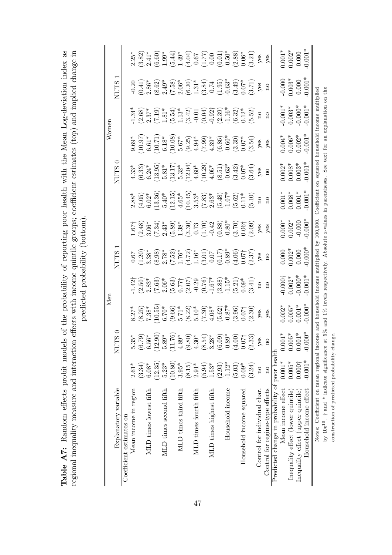|                                                                                        |                         |                                                                                                                                                                                                                                                                                           | Men                                                                                                                                             |                                                                                                                                                                                     |                                                     |                                                                                                                                                                                                                                                                                                   |                                                                                                                                                                                                       |                                                                                                                                                                                                                                                                                            | Women                                                                                                                                                                                                                                                                                                   |                                                                                                                                                                                                                                                                                                      |                                                                                                                                                                                                                                                                                                                             |                                                                              |
|----------------------------------------------------------------------------------------|-------------------------|-------------------------------------------------------------------------------------------------------------------------------------------------------------------------------------------------------------------------------------------------------------------------------------------|-------------------------------------------------------------------------------------------------------------------------------------------------|-------------------------------------------------------------------------------------------------------------------------------------------------------------------------------------|-----------------------------------------------------|---------------------------------------------------------------------------------------------------------------------------------------------------------------------------------------------------------------------------------------------------------------------------------------------------|-------------------------------------------------------------------------------------------------------------------------------------------------------------------------------------------------------|--------------------------------------------------------------------------------------------------------------------------------------------------------------------------------------------------------------------------------------------------------------------------------------------|---------------------------------------------------------------------------------------------------------------------------------------------------------------------------------------------------------------------------------------------------------------------------------------------------------|------------------------------------------------------------------------------------------------------------------------------------------------------------------------------------------------------------------------------------------------------------------------------------------------------|-----------------------------------------------------------------------------------------------------------------------------------------------------------------------------------------------------------------------------------------------------------------------------------------------------------------------------|------------------------------------------------------------------------------|
| Explanatory variable                                                                   |                         | $\circ$<br>$\Omega$<br>NUI                                                                                                                                                                                                                                                                |                                                                                                                                                 |                                                                                                                                                                                     | <b>NUTS</b>                                         |                                                                                                                                                                                                                                                                                                   |                                                                                                                                                                                                       | $\subset$<br><b>NUTS</b>                                                                                                                                                                                                                                                                   |                                                                                                                                                                                                                                                                                                         |                                                                                                                                                                                                                                                                                                      | <b>NUTS</b>                                                                                                                                                                                                                                                                                                                 |                                                                              |
| Coefficient estimates on                                                               |                         |                                                                                                                                                                                                                                                                                           |                                                                                                                                                 |                                                                                                                                                                                     |                                                     |                                                                                                                                                                                                                                                                                                   |                                                                                                                                                                                                       |                                                                                                                                                                                                                                                                                            |                                                                                                                                                                                                                                                                                                         |                                                                                                                                                                                                                                                                                                      |                                                                                                                                                                                                                                                                                                                             |                                                                              |
| Mean income in region                                                                  | $2.61*$                 | $5.35*$                                                                                                                                                                                                                                                                                   | $8.27*$                                                                                                                                         |                                                                                                                                                                                     |                                                     |                                                                                                                                                                                                                                                                                                   | $2.88*$                                                                                                                                                                                               | $4.33*$                                                                                                                                                                                                                                                                                    |                                                                                                                                                                                                                                                                                                         |                                                                                                                                                                                                                                                                                                      |                                                                                                                                                                                                                                                                                                                             | $2.25*$                                                                      |
|                                                                                        | (3.34)                  |                                                                                                                                                                                                                                                                                           | $(8.25)$<br>7.38*                                                                                                                               | $-1.42$<br>$(2.50)$<br>$2.83*$                                                                                                                                                      | $\begin{array}{c} 0.67 \\ 1.20 \\ 3.38 \end{array}$ | $\frac{1.67}{(2.48)}$<br>3.06*                                                                                                                                                                                                                                                                    |                                                                                                                                                                                                       | $(6.33)$<br>$6.24*$                                                                                                                                                                                                                                                                        |                                                                                                                                                                                                                                                                                                         | $\frac{1.34}{2.37}$                                                                                                                                                                                                                                                                                  |                                                                                                                                                                                                                                                                                                                             |                                                                              |
| MLD times lowest fifth                                                                 | $6.08*$                 |                                                                                                                                                                                                                                                                                           |                                                                                                                                                 |                                                                                                                                                                                     |                                                     |                                                                                                                                                                                                                                                                                                   |                                                                                                                                                                                                       |                                                                                                                                                                                                                                                                                            |                                                                                                                                                                                                                                                                                                         |                                                                                                                                                                                                                                                                                                      |                                                                                                                                                                                                                                                                                                                             |                                                                              |
|                                                                                        | (12.35)                 |                                                                                                                                                                                                                                                                                           | (10.55)                                                                                                                                         |                                                                                                                                                                                     |                                                     |                                                                                                                                                                                                                                                                                                   |                                                                                                                                                                                                       |                                                                                                                                                                                                                                                                                            |                                                                                                                                                                                                                                                                                                         |                                                                                                                                                                                                                                                                                                      |                                                                                                                                                                                                                                                                                                                             |                                                                              |
| MLD times second fifth                                                                 | $5.23*$                 |                                                                                                                                                                                                                                                                                           | $6.70*$                                                                                                                                         |                                                                                                                                                                                     |                                                     |                                                                                                                                                                                                                                                                                                   |                                                                                                                                                                                                       |                                                                                                                                                                                                                                                                                            |                                                                                                                                                                                                                                                                                                         |                                                                                                                                                                                                                                                                                                      |                                                                                                                                                                                                                                                                                                                             |                                                                              |
|                                                                                        | (10.80)                 |                                                                                                                                                                                                                                                                                           |                                                                                                                                                 |                                                                                                                                                                                     |                                                     |                                                                                                                                                                                                                                                                                                   |                                                                                                                                                                                                       |                                                                                                                                                                                                                                                                                            |                                                                                                                                                                                                                                                                                                         |                                                                                                                                                                                                                                                                                                      |                                                                                                                                                                                                                                                                                                                             |                                                                              |
| MLD times third fifth                                                                  | $3.95*$                 |                                                                                                                                                                                                                                                                                           |                                                                                                                                                 |                                                                                                                                                                                     |                                                     |                                                                                                                                                                                                                                                                                                   |                                                                                                                                                                                                       |                                                                                                                                                                                                                                                                                            |                                                                                                                                                                                                                                                                                                         |                                                                                                                                                                                                                                                                                                      |                                                                                                                                                                                                                                                                                                                             |                                                                              |
|                                                                                        | (8.15)                  |                                                                                                                                                                                                                                                                                           |                                                                                                                                                 |                                                                                                                                                                                     |                                                     |                                                                                                                                                                                                                                                                                                   |                                                                                                                                                                                                       |                                                                                                                                                                                                                                                                                            |                                                                                                                                                                                                                                                                                                         |                                                                                                                                                                                                                                                                                                      |                                                                                                                                                                                                                                                                                                                             |                                                                              |
| MLD times fourth fifth                                                                 | $2.91*$                 |                                                                                                                                                                                                                                                                                           |                                                                                                                                                 |                                                                                                                                                                                     |                                                     |                                                                                                                                                                                                                                                                                                   |                                                                                                                                                                                                       |                                                                                                                                                                                                                                                                                            |                                                                                                                                                                                                                                                                                                         |                                                                                                                                                                                                                                                                                                      |                                                                                                                                                                                                                                                                                                                             |                                                                              |
|                                                                                        | (5.94)                  |                                                                                                                                                                                                                                                                                           |                                                                                                                                                 | $(7.63)$ $(3.63)$ $(5.63)$ $(5.67)$ $(7.67)$ $(8.67)$ $(9.67)$ $(9.67)$ $(9.67)$ $(9.67)$ $(9.67)$ $(9.67)$ $(9.67)$ $(9.67)$ $(9.67)$ $(9.67)$ $(9.67)$ $(9.67)$ $(9.67)$ $(9.67)$ |                                                     | $\begin{array}{l} (7.34)\\ 2.43^*\\ 2.38^*\\ 2.38^*\\ (5.30)\\ (3.31)\\ (7.2)\\ (9.31)\\ (1.32)\\ (1.33)\\ (1.34)\\ (1.35)\\ (1.36)\\ (1.37)\\ (1.38)\\ (1.30)\\ (1.30)\\ (1.30)\\ (1.30)\\ (1.30)\\ (1.30)\\ (1.30)\\ (1.30)\\ (1.30)\\ (1.30)\\ (1.30)\\ (1.30)\\ (1.30)\\ (1.30)\\ (1.30)\\ ($ | $(4.05)$ (4.05)<br>$(12.15)$<br>$(12.15)$<br>$(12.15)$<br>$(12.15)$<br>$(10.45)$<br>$(10.45)$<br>$(10.35)$<br>$(10.48)$<br>$(10.62)$<br>$(10.15)$<br>$(10.15)$<br>$(10.15)$<br>$(10.15)$<br>$(10.15)$ | $\begin{array}{l} (13.95)\\ 5.81^*\\ 5.32^*\\ (13.17)\\ 5.32^*\\ (12.04)\\ (12.05)\\ (12.09)\\ (10.29)\\ (10.29)\\ (10.30)\\ (10.31)\\ (10.32)\\ (10.33)\\ (12.07)^*\\ (12.01)\\ (12.01)\\ (12.02)\\ (12.03)\\ (12.04)\\ (12.05)\\ (12.05)\\ (12.06)\\ (12.07)\\ (12.08)\\ (12.09)\\ (12.$ | $\begin{array}{l} 9.69^{*} \\ 9.097^{*} \\ 10.07^{*} \\ 6.18^{*} \\ 7.10^{*} \\ 9.00^{*} \\ 10.00^{*} \\ 10.00^{*} \\ 10.00^{*} \\ 10.00^{*} \\ 10.00^{*} \\ 10.00^{*} \\ 10.00^{*} \\ 10.00^{*} \\ 10.00^{*} \\ 10.00^{*} \\ 10.00^{*} \\ 10.00^{*} \\ 10.00^{*} \\ 10.00^{*} \\ 10.00^{*} \\ 10.00^{$ | $\begin{array}{l} (7.19)\\ (7.181)\\ (1.31)\\ (1.13)\\ (1.13)\\ (2.12)\\ (3.42)\\ (4.21)\\ (5.13)\\ (6.12)\\ (7.13)\\ (8.13)\\ (9.13)\\ (1.13)\\ (1.13)\\ (1.13)\\ (1.13)\\ (1.13)\\ (1.13)\\ (1.13)\\ (1.13)\\ (1.13)\\ (1.13)\\ (1.13)\\ (1.13)\\ (1.13)\\ (1.13)\\ (1.13)\\ (1.13)\\ (1.13)\\ (1$ |                                                                                                                                                                                                                                                                                                                             | $(3.82) \\ 2.41* \\ 2.60\\  3.9* \\ 3.44* \\ 4.61\\ 3.7\\ 3.8\\ 3.8\\ 3.21)$ |
| MLD times highest fifth                                                                | $1.53*$                 |                                                                                                                                                                                                                                                                                           |                                                                                                                                                 |                                                                                                                                                                                     |                                                     |                                                                                                                                                                                                                                                                                                   |                                                                                                                                                                                                       |                                                                                                                                                                                                                                                                                            |                                                                                                                                                                                                                                                                                                         |                                                                                                                                                                                                                                                                                                      |                                                                                                                                                                                                                                                                                                                             |                                                                              |
|                                                                                        | (2.93)                  |                                                                                                                                                                                                                                                                                           |                                                                                                                                                 |                                                                                                                                                                                     |                                                     |                                                                                                                                                                                                                                                                                                   |                                                                                                                                                                                                       |                                                                                                                                                                                                                                                                                            |                                                                                                                                                                                                                                                                                                         |                                                                                                                                                                                                                                                                                                      |                                                                                                                                                                                                                                                                                                                             |                                                                              |
| Household income                                                                       | $-1.12*$                |                                                                                                                                                                                                                                                                                           |                                                                                                                                                 |                                                                                                                                                                                     |                                                     |                                                                                                                                                                                                                                                                                                   |                                                                                                                                                                                                       |                                                                                                                                                                                                                                                                                            |                                                                                                                                                                                                                                                                                                         |                                                                                                                                                                                                                                                                                                      |                                                                                                                                                                                                                                                                                                                             |                                                                              |
|                                                                                        | (5.03)                  |                                                                                                                                                                                                                                                                                           |                                                                                                                                                 |                                                                                                                                                                                     |                                                     |                                                                                                                                                                                                                                                                                                   |                                                                                                                                                                                                       |                                                                                                                                                                                                                                                                                            |                                                                                                                                                                                                                                                                                                         |                                                                                                                                                                                                                                                                                                      |                                                                                                                                                                                                                                                                                                                             |                                                                              |
| Household income squared                                                               | $0.09*$                 |                                                                                                                                                                                                                                                                                           |                                                                                                                                                 |                                                                                                                                                                                     |                                                     |                                                                                                                                                                                                                                                                                                   |                                                                                                                                                                                                       |                                                                                                                                                                                                                                                                                            |                                                                                                                                                                                                                                                                                                         |                                                                                                                                                                                                                                                                                                      |                                                                                                                                                                                                                                                                                                                             |                                                                              |
|                                                                                        | (3.24)                  | $\begin{array}{l} (6.79)\\ 6.56^*\\ 0.2.9)\\ 1.76^*\\ (12.76)\\ (11.76)\\ (14.89^*\\ (9.80)\\ (9.81)\\ (13.30^*\\ (14.89^*\\ (15.30)\\ (16.00)\\ (16.00)\\ (16.00)\\ (16.00)\\ (16.00)\\ (16.00)\\ (16.00)\\ (16.00)\\ (16.00)\\ (16.00)\\ (16.00)\\ (16.00)\\ (16.00)\\ (16.00)\\ (16.0$ | $(9.66)$ $(9.32)$ $(5.10)$ $(7.30)$ $(7.30)$ $(7.30)$ $(7.30)$ $(7.30)$ $(7.30)$ $(7.30)$ $(7.30)$ $(7.30)$ $(7.30)$ $(7.30)$ $(7.30)$ $(7.30)$ |                                                                                                                                                                                     |                                                     | (2.09)                                                                                                                                                                                                                                                                                            |                                                                                                                                                                                                       |                                                                                                                                                                                                                                                                                            |                                                                                                                                                                                                                                                                                                         |                                                                                                                                                                                                                                                                                                      | $\begin{array}{l} 0.20 \\[-4pt] 0.41 \\[-4pt] 0.41 \\[-4pt] 0.83 \\[-4pt] 0.83 \\[-4pt] 0.83 \\[-4pt] 0.83 \\[-4pt] 0.83 \\[-4pt] 0.83 \\[-4pt] 0.83 \\[-4pt] 0.83 \\[-4pt] 0.83 \\[-4pt] 0.83 \\[-4pt] 0.83 \\[-4pt] 0.83 \\[-4pt] 0.83 \\[-4pt] 0.83 \\[-4pt] 0.83 \\[-4pt] 0.83 \\[-4pt] 0.83 \\[-4pt] 0.83 \\[-4pt] 0.$ |                                                                              |
| Control for individual char.                                                           | $\overline{\mathrm{n}}$ |                                                                                                                                                                                                                                                                                           |                                                                                                                                                 | $_{\rm n}$                                                                                                                                                                          | $y$ es                                              | yes                                                                                                                                                                                                                                                                                               | $\overline{\mathbf{n}}$                                                                                                                                                                               | yes                                                                                                                                                                                                                                                                                        |                                                                                                                                                                                                                                                                                                         | $_{\rm n}$                                                                                                                                                                                                                                                                                           | yeg                                                                                                                                                                                                                                                                                                                         | $y$ es                                                                       |
| Control for regime-type effects                                                        | $\overline{\mathbf{n}}$ |                                                                                                                                                                                                                                                                                           | $\frac{1}{2}$                                                                                                                                   | $\overline{\mathbf{n}}$                                                                                                                                                             | $\overline{\mathbf{n}}$                             | yes                                                                                                                                                                                                                                                                                               | $\overline{\mathbf{n}}$                                                                                                                                                                               | $\overline{\mathbf{n}}$                                                                                                                                                                                                                                                                    | $y$ es                                                                                                                                                                                                                                                                                                  | $\overline{\mathbf{n}}$                                                                                                                                                                                                                                                                              | $_{\rm n}$                                                                                                                                                                                                                                                                                                                  | yes                                                                          |
| Predicted change in probability of poor health                                         |                         |                                                                                                                                                                                                                                                                                           |                                                                                                                                                 |                                                                                                                                                                                     |                                                     |                                                                                                                                                                                                                                                                                                   |                                                                                                                                                                                                       |                                                                                                                                                                                                                                                                                            |                                                                                                                                                                                                                                                                                                         |                                                                                                                                                                                                                                                                                                      |                                                                                                                                                                                                                                                                                                                             |                                                                              |
| Mean income effect                                                                     | $0.001*$                | $0.001*$<br>$0.005*$<br>$0.001*$                                                                                                                                                                                                                                                          | $0.002*$                                                                                                                                        | $-0.000\dagger$                                                                                                                                                                     | $0.000\,$                                           | $0.000*$                                                                                                                                                                                                                                                                                          | $0.001*$<br>0.008*                                                                                                                                                                                    | $0.002*$                                                                                                                                                                                                                                                                                   | $0.004*0000*00000*$                                                                                                                                                                                                                                                                                     | $-0.001*$<br>0.003*                                                                                                                                                                                                                                                                                  | $-0.000$                                                                                                                                                                                                                                                                                                                    | $0.001*$                                                                     |
| Inequality effect (lower quintile)                                                     | $0.005*$                |                                                                                                                                                                                                                                                                                           | $0.005*$                                                                                                                                        | $0.002*$                                                                                                                                                                            | $0.002*$                                            | $0.002*$                                                                                                                                                                                                                                                                                          |                                                                                                                                                                                                       |                                                                                                                                                                                                                                                                                            |                                                                                                                                                                                                                                                                                                         |                                                                                                                                                                                                                                                                                                      | $0.003*$                                                                                                                                                                                                                                                                                                                    | $0.002*$                                                                     |
| Inequality effect (upper quintile)                                                     | 0.0001                  |                                                                                                                                                                                                                                                                                           | $0.001*$                                                                                                                                        | $-0.000*$                                                                                                                                                                           | 0.000                                               | $-0.000$                                                                                                                                                                                                                                                                                          | $0.001*$                                                                                                                                                                                              | $0.003*$                                                                                                                                                                                                                                                                                   | $0.002*$                                                                                                                                                                                                                                                                                                | $-0.000*$                                                                                                                                                                                                                                                                                            | $0.000\,$                                                                                                                                                                                                                                                                                                                   | $0.000\,$                                                                    |
| Household income effect                                                                | $-0.001*$               | $-0.000*$                                                                                                                                                                                                                                                                                 | $-0.000*$                                                                                                                                       | $-0.001*$                                                                                                                                                                           | $-0.000*$                                           | $-0.000*$                                                                                                                                                                                                                                                                                         | $-0.001*$                                                                                                                                                                                             | $-0.001*$                                                                                                                                                                                                                                                                                  | $0.001*$                                                                                                                                                                                                                                                                                                | $-0.001*$                                                                                                                                                                                                                                                                                            | $-0.001*$                                                                                                                                                                                                                                                                                                                   | $0.001*$                                                                     |
| Notes: Coefficient on mean regional income and household income multiplied by 100,000. |                         |                                                                                                                                                                                                                                                                                           |                                                                                                                                                 |                                                                                                                                                                                     |                                                     |                                                                                                                                                                                                                                                                                                   | Coefficient on squared household income multiplied                                                                                                                                                    |                                                                                                                                                                                                                                                                                            |                                                                                                                                                                                                                                                                                                         |                                                                                                                                                                                                                                                                                                      |                                                                                                                                                                                                                                                                                                                             |                                                                              |
| by $10e^{10}$ . $\dagger$ and $*$ indicate significance at                             |                         |                                                                                                                                                                                                                                                                                           |                                                                                                                                                 |                                                                                                                                                                                     |                                                     |                                                                                                                                                                                                                                                                                                   | $5\%$ and $1\%$ levels respectively. Absolute z-values in parentheses. See text for an explanation on the                                                                                             |                                                                                                                                                                                                                                                                                            |                                                                                                                                                                                                                                                                                                         |                                                                                                                                                                                                                                                                                                      |                                                                                                                                                                                                                                                                                                                             |                                                                              |
| construction of predicted probability change.                                          |                         |                                                                                                                                                                                                                                                                                           |                                                                                                                                                 |                                                                                                                                                                                     |                                                     |                                                                                                                                                                                                                                                                                                   |                                                                                                                                                                                                       |                                                                                                                                                                                                                                                                                            |                                                                                                                                                                                                                                                                                                         |                                                                                                                                                                                                                                                                                                      |                                                                                                                                                                                                                                                                                                                             |                                                                              |
|                                                                                        |                         |                                                                                                                                                                                                                                                                                           |                                                                                                                                                 |                                                                                                                                                                                     |                                                     |                                                                                                                                                                                                                                                                                                   |                                                                                                                                                                                                       |                                                                                                                                                                                                                                                                                            |                                                                                                                                                                                                                                                                                                         |                                                                                                                                                                                                                                                                                                      |                                                                                                                                                                                                                                                                                                                             |                                                                              |

regional inequality measure and interaction effects with income quintile groups; coefficient estimates (top) and implied change in Table A7: Random effects probit models of the probability of reporting poor health with the Mean Log-deviation index as Table A7: Random effects probit models of the probability of reporting poor health with the Mean Log-deviation index as regional inequality measure and interaction effects with income quintile groups; coefficient estimates (top) and implied change in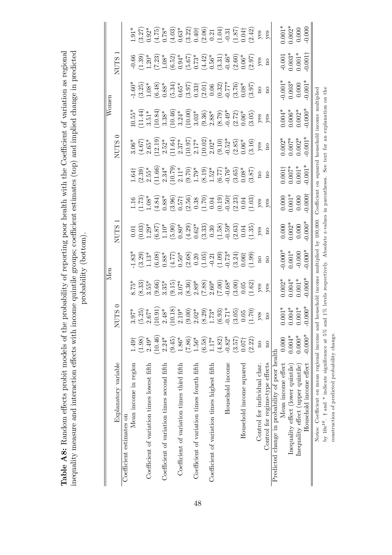|                                                                        |                         |                                                                                                                                                                                                                                                                                                                                |                                                                                           | Men                                                                                                                                                                             |                                                     |                                                                                                                                        |                                                                                                                                                                                                                                                                                          |                                                                                                                                                                                                                                                                                                                                | Women                                                                                                                                                                                                                                                             |                                                                                                                                                                                                                                                                          |                                                                                                                                                                                                                                                                                                                                  |                                                                                                                                                                                                                                                                                                               |
|------------------------------------------------------------------------|-------------------------|--------------------------------------------------------------------------------------------------------------------------------------------------------------------------------------------------------------------------------------------------------------------------------------------------------------------------------|-------------------------------------------------------------------------------------------|---------------------------------------------------------------------------------------------------------------------------------------------------------------------------------|-----------------------------------------------------|----------------------------------------------------------------------------------------------------------------------------------------|------------------------------------------------------------------------------------------------------------------------------------------------------------------------------------------------------------------------------------------------------------------------------------------|--------------------------------------------------------------------------------------------------------------------------------------------------------------------------------------------------------------------------------------------------------------------------------------------------------------------------------|-------------------------------------------------------------------------------------------------------------------------------------------------------------------------------------------------------------------------------------------------------------------|--------------------------------------------------------------------------------------------------------------------------------------------------------------------------------------------------------------------------------------------------------------------------|----------------------------------------------------------------------------------------------------------------------------------------------------------------------------------------------------------------------------------------------------------------------------------------------------------------------------------|---------------------------------------------------------------------------------------------------------------------------------------------------------------------------------------------------------------------------------------------------------------------------------------------------------------|
| Explanatory variable                                                   |                         | 0<br>SJ<br>NUT                                                                                                                                                                                                                                                                                                                 |                                                                                           |                                                                                                                                                                                 | <b>NUTS</b>                                         |                                                                                                                                        |                                                                                                                                                                                                                                                                                          | ⊂<br><b>NUTS</b>                                                                                                                                                                                                                                                                                                               |                                                                                                                                                                                                                                                                   |                                                                                                                                                                                                                                                                          | −<br><b>NUTS</b>                                                                                                                                                                                                                                                                                                                 |                                                                                                                                                                                                                                                                                                               |
| Coefficient estimates on                                               |                         |                                                                                                                                                                                                                                                                                                                                |                                                                                           |                                                                                                                                                                                 |                                                     |                                                                                                                                        |                                                                                                                                                                                                                                                                                          |                                                                                                                                                                                                                                                                                                                                |                                                                                                                                                                                                                                                                   |                                                                                                                                                                                                                                                                          |                                                                                                                                                                                                                                                                                                                                  |                                                                                                                                                                                                                                                                                                               |
| Mean income in region                                                  | 1.49 <sup>†</sup>       |                                                                                                                                                                                                                                                                                                                                | $8.75*$                                                                                   |                                                                                                                                                                                 |                                                     |                                                                                                                                        |                                                                                                                                                                                                                                                                                          | $3.06*$                                                                                                                                                                                                                                                                                                                        |                                                                                                                                                                                                                                                                   |                                                                                                                                                                                                                                                                          |                                                                                                                                                                                                                                                                                                                                  |                                                                                                                                                                                                                                                                                                               |
|                                                                        | (1.98)                  |                                                                                                                                                                                                                                                                                                                                | $(8.33)$<br>3.55*                                                                         | $\frac{33}{1}$<br>$\frac{33}{11}$<br>$\frac{3}{11}$                                                                                                                             | $\begin{array}{c} 0.01 \\ 0.03 \\ 1.29 \end{array}$ | $1.16$<br>$(1.73)$                                                                                                                     | $1.64\dagger$<br>$(2.39)\n2.55*$                                                                                                                                                                                                                                                         |                                                                                                                                                                                                                                                                                                                                |                                                                                                                                                                                                                                                                   |                                                                                                                                                                                                                                                                          |                                                                                                                                                                                                                                                                                                                                  |                                                                                                                                                                                                                                                                                                               |
| Coefficient of variation times lowest fifth                            | $2.49*$                 |                                                                                                                                                                                                                                                                                                                                |                                                                                           |                                                                                                                                                                                 |                                                     | $1.08*$                                                                                                                                |                                                                                                                                                                                                                                                                                          |                                                                                                                                                                                                                                                                                                                                |                                                                                                                                                                                                                                                                   |                                                                                                                                                                                                                                                                          | $\frac{-0.66}{(1.39)}$<br>1.20*                                                                                                                                                                                                                                                                                                  |                                                                                                                                                                                                                                                                                                               |
|                                                                        | (10.46)                 | $\begin{array}{l} 3.97^* \\ (5.25) \\ (10.91) \\ (10.10) \\ (10.10) \\ (10.10) \\ (2.10^* \\ (3.00) \\ (4.00) \\ (5.00) \\ (5.00) \\ (6.00) \\ (7.00) \\ (9.00) \\ (1.00) \\ (1.00) \\ (1.00) \\ (1.00) \\ (1.00) \\ (1.00) \\ (1.00) \\ (1.00) \\ (1.00) \\ (1.00) \\ (1.00) \\ (1.00) \\ (1.00) \\ (1.00) \\ (1.00) \\ (1.0$ | $\begin{array}{l} (9.66) \\ 3.35^* \\ (9.15) \\ 3.07^* \\ (8.36) \\ (8.36)^* \end{array}$ | $(6.08)\n0.88*\n0.50*\n0.50*\n0.20*\n0.30*\n0.31*\n0.31*\n0.32*\n0.33*\n0.34*\n0.35*\n0.36*\n0.37*\n0.39*\n0.30*\n0.30*\n0.31*\n0.32*\n0.33*\n0.34*\n0.35*\n0.36*\n0.37*\n0.38$ | $(6.87)$<br>1.10*<br>5.90)<br>5.039)<br>(4.29)      | $(4.84)$ $(3.88)$ $(3.96)$ $(3.57)$ $(3.56)$ $(3.50)$ $(3.50)$ $(3.50)$ $(3.50)$ $(3.50)$ $(3.50)$ $(3.50)$ $(3.50)$ $(3.50)$ $(3.50)$ | $\begin{array}{l} (1.66)\\2.34^{*}\\2.11^{*}\\2.11^{*}\\(2.107)\\2.11^{*}\\(3.11^{*})\\(4.19)\\-1.63^{*}\\(5.19)\\-1.65^{*}\\(6.10)\\-1.65^{*}\\(7)\\-1.65^{*}\\(8.30)\\-1.65^{*}\\(9.387)\\(1.31)\\(2.31)\\(3.327)\\(3.337)\\(3.337)\\(3.337)\\(3.337)\\(3.337)\\(3.337)\\(3.337)\\(3.$ | $\begin{array}{l} (4.67)\\2.65^{*}\\2.52^{*}\\2.52^{*}\\2.10^{*}\\2.11.64)\\2.17^{*}\\2.17^{*}\\2.17^{*}\\2.10^{*}\\2.10^{*}\\2.10^{*}\\2.10^{*}\\2.10^{*}\\2.10^{*}\\2.10^{*}\\2.10^{*}\\2.10^{*}\\2.10^{*}\\2.10^{*}\\2.10^{*}\\2.10^{*}\\2.10^{*}\\2.10^{*}\\2.10^{*}\\2.10^{*}\\2.10^{*}\\2.10^{*}\\2.10^{*}\\2.10^{*}\\2$ | $\begin{array}{l} 10.55^*\\ 11.41^*\\ 13.51^*\\ 3.38^*\\ 3.38^*\\ 3.24^*\\ 3.24^*\\ 3.24^*\\ 3.03^*\\ 3.03^*\\ 3.03^*\\ 3.03^*\\ 3.03^*\\ 3.03^*\\ 3.03^*\\ 3.03^*\\ 3.03^*\\ 3.03^*\\ 3.03^*\\ 3.03^*\\ 3.03^*\\ 3.03^*\\ 3.03^*\\ 3.03^*\\ 3.03^*\\ 3.03^*\\ 3$ | $-1.60*$<br>$-1.68*$<br>$-1.68*$<br>$-1.68*$<br>$-1.68*$<br>$-1.68*$<br>$-1.68*$<br>$-1.68*$<br>$-1.68*$<br>$-1.68*$<br>$-1.68*$<br>$-1.68*$<br>$-1.68*$<br>$-1.68*$<br>$-1.68*$<br>$-1.68*$<br>$-1.68*$<br>$-1.68*$<br>$-1.68*$<br>$-1.68*$<br>$-1.68*$<br>$-1.68*$<br> | $\begin{array}{l} (7.23)\\[-1.2mm] (-1.08\%\\[-1.2mm] (-5.52)\%\\[-1.2mm] (-5.57)\%\\[-1.2mm] (-5.57)\%\\[-1.2mm] (-5.57)\%\\[-1.2mm] (-5.57)\%\\[-1.2mm] (-5.57)\%\\[-1.2mm] (-5.57)\%\\[-1.2mm] (-5.57)\%\\[-1.2mm] (-5.57)\%\\[-1.2mm] (-5.57)\%\\[-1.2mm] (-5.57)\%\\[-1.2mm] (-5.57)\%\\[-1.2mm] (-5.57)\%\\[-1.2mm] (-5.5$ | $\begin{array}{l} 1.91^* \\ 1.27 \\ 2.37 \\ 3.47 \\ 4.57 \\ 5.67 \\ 5.63 \\ 6.37 \\ 6.37 \\ 6.37 \\ 6.37 \\ 6.37 \\ 6.37 \\ 6.37 \\ 6.37 \\ 6.37 \\ 6.37 \\ 6.37 \\ 6.37 \\ 6.37 \\ 6.37 \\ 6.37 \\ 6.37 \\ 6.37 \\ 6.37 \\ 6.37 \\ 6.37 \\ 6.37 \\ 6.37 \\ 6.37 \\ 6.37 \\ 6.37 \\ 6.37 \\ 6.37 \\ 6.37 \\ $ |
| Coefficient of variation times second fifth                            | $2.24*$                 |                                                                                                                                                                                                                                                                                                                                |                                                                                           |                                                                                                                                                                                 |                                                     |                                                                                                                                        |                                                                                                                                                                                                                                                                                          |                                                                                                                                                                                                                                                                                                                                |                                                                                                                                                                                                                                                                   |                                                                                                                                                                                                                                                                          |                                                                                                                                                                                                                                                                                                                                  |                                                                                                                                                                                                                                                                                                               |
|                                                                        | (9.45)                  |                                                                                                                                                                                                                                                                                                                                |                                                                                           |                                                                                                                                                                                 |                                                     |                                                                                                                                        |                                                                                                                                                                                                                                                                                          |                                                                                                                                                                                                                                                                                                                                |                                                                                                                                                                                                                                                                   |                                                                                                                                                                                                                                                                          |                                                                                                                                                                                                                                                                                                                                  |                                                                                                                                                                                                                                                                                                               |
| Coefficient of variation times third fifth                             | $1.86*$                 |                                                                                                                                                                                                                                                                                                                                |                                                                                           |                                                                                                                                                                                 |                                                     |                                                                                                                                        |                                                                                                                                                                                                                                                                                          |                                                                                                                                                                                                                                                                                                                                |                                                                                                                                                                                                                                                                   |                                                                                                                                                                                                                                                                          |                                                                                                                                                                                                                                                                                                                                  |                                                                                                                                                                                                                                                                                                               |
|                                                                        | (7.86)                  |                                                                                                                                                                                                                                                                                                                                |                                                                                           |                                                                                                                                                                                 |                                                     |                                                                                                                                        |                                                                                                                                                                                                                                                                                          |                                                                                                                                                                                                                                                                                                                                |                                                                                                                                                                                                                                                                   |                                                                                                                                                                                                                                                                          |                                                                                                                                                                                                                                                                                                                                  |                                                                                                                                                                                                                                                                                                               |
| Coefficient of variation times fourth fifth                            | $1.56*$                 |                                                                                                                                                                                                                                                                                                                                |                                                                                           |                                                                                                                                                                                 |                                                     |                                                                                                                                        |                                                                                                                                                                                                                                                                                          |                                                                                                                                                                                                                                                                                                                                |                                                                                                                                                                                                                                                                   |                                                                                                                                                                                                                                                                          |                                                                                                                                                                                                                                                                                                                                  |                                                                                                                                                                                                                                                                                                               |
|                                                                        | (6.58)                  |                                                                                                                                                                                                                                                                                                                                |                                                                                           |                                                                                                                                                                                 |                                                     |                                                                                                                                        |                                                                                                                                                                                                                                                                                          |                                                                                                                                                                                                                                                                                                                                |                                                                                                                                                                                                                                                                   |                                                                                                                                                                                                                                                                          |                                                                                                                                                                                                                                                                                                                                  |                                                                                                                                                                                                                                                                                                               |
| Coefficient of variation times highest fifth                           | $1.17*$                 |                                                                                                                                                                                                                                                                                                                                |                                                                                           |                                                                                                                                                                                 |                                                     |                                                                                                                                        |                                                                                                                                                                                                                                                                                          |                                                                                                                                                                                                                                                                                                                                |                                                                                                                                                                                                                                                                   |                                                                                                                                                                                                                                                                          |                                                                                                                                                                                                                                                                                                                                  |                                                                                                                                                                                                                                                                                                               |
|                                                                        | (4.82)                  |                                                                                                                                                                                                                                                                                                                                | $\begin{array}{l} (7.88) \\ 2.60^* \\ (7.00) \\ -0.68^* \\ (3.00) \\ 0.05 \end{array}$    |                                                                                                                                                                                 | $(3.33)$<br>0.30<br>(1.59)<br>0.59*                 |                                                                                                                                        |                                                                                                                                                                                                                                                                                          |                                                                                                                                                                                                                                                                                                                                |                                                                                                                                                                                                                                                                   |                                                                                                                                                                                                                                                                          |                                                                                                                                                                                                                                                                                                                                  |                                                                                                                                                                                                                                                                                                               |
| Household income                                                       | $-0.82*$                |                                                                                                                                                                                                                                                                                                                                |                                                                                           |                                                                                                                                                                                 |                                                     |                                                                                                                                        |                                                                                                                                                                                                                                                                                          |                                                                                                                                                                                                                                                                                                                                |                                                                                                                                                                                                                                                                   |                                                                                                                                                                                                                                                                          |                                                                                                                                                                                                                                                                                                                                  |                                                                                                                                                                                                                                                                                                               |
|                                                                        | (3.57)                  |                                                                                                                                                                                                                                                                                                                                |                                                                                           |                                                                                                                                                                                 | $(3.35)$<br>$(1.35)$                                |                                                                                                                                        |                                                                                                                                                                                                                                                                                          |                                                                                                                                                                                                                                                                                                                                |                                                                                                                                                                                                                                                                   |                                                                                                                                                                                                                                                                          |                                                                                                                                                                                                                                                                                                                                  |                                                                                                                                                                                                                                                                                                               |
| Household income squared                                               | $0.07\dagger$           |                                                                                                                                                                                                                                                                                                                                |                                                                                           |                                                                                                                                                                                 |                                                     |                                                                                                                                        |                                                                                                                                                                                                                                                                                          |                                                                                                                                                                                                                                                                                                                                |                                                                                                                                                                                                                                                                   |                                                                                                                                                                                                                                                                          |                                                                                                                                                                                                                                                                                                                                  |                                                                                                                                                                                                                                                                                                               |
|                                                                        | (2.22)                  |                                                                                                                                                                                                                                                                                                                                |                                                                                           |                                                                                                                                                                                 |                                                     |                                                                                                                                        |                                                                                                                                                                                                                                                                                          |                                                                                                                                                                                                                                                                                                                                |                                                                                                                                                                                                                                                                   |                                                                                                                                                                                                                                                                          |                                                                                                                                                                                                                                                                                                                                  |                                                                                                                                                                                                                                                                                                               |
| Control for individual char.                                           | $\overline{\mathbf{n}}$ | yes                                                                                                                                                                                                                                                                                                                            | yes                                                                                       | $\rm ^{10}$                                                                                                                                                                     | yes                                                 | yes                                                                                                                                    | $\rm ^{10}$                                                                                                                                                                                                                                                                              | yes                                                                                                                                                                                                                                                                                                                            | yes                                                                                                                                                                                                                                                               | $\rm ^{o}$                                                                                                                                                                                                                                                               | $y$ es                                                                                                                                                                                                                                                                                                                           | $y$ es                                                                                                                                                                                                                                                                                                        |
| Control for regime-type effects                                        | $\overline{\mathbf{n}}$ | $\rm ^{10}$                                                                                                                                                                                                                                                                                                                    | yes                                                                                       | $\overline{\mathbf{n}}$                                                                                                                                                         | $\mathbf{p}$                                        | yes                                                                                                                                    | $_{\rm n}$                                                                                                                                                                                                                                                                               | $\mathbf{n}$                                                                                                                                                                                                                                                                                                                   | yes                                                                                                                                                                                                                                                               | $\rm ^{10}$                                                                                                                                                                                                                                                              | $\mathbf{n}$                                                                                                                                                                                                                                                                                                                     | yes                                                                                                                                                                                                                                                                                                           |
| Predicted change in probability of poor health                         |                         |                                                                                                                                                                                                                                                                                                                                |                                                                                           |                                                                                                                                                                                 |                                                     |                                                                                                                                        |                                                                                                                                                                                                                                                                                          |                                                                                                                                                                                                                                                                                                                                |                                                                                                                                                                                                                                                                   |                                                                                                                                                                                                                                                                          |                                                                                                                                                                                                                                                                                                                                  |                                                                                                                                                                                                                                                                                                               |
| Mean income effect                                                     | 0.000                   |                                                                                                                                                                                                                                                                                                                                | $0.002*$                                                                                  | $0.000*$                                                                                                                                                                        | $0.000$<br>$0.002*$                                 | $0.000$<br>$0.001*$                                                                                                                    |                                                                                                                                                                                                                                                                                          | $0.002*$                                                                                                                                                                                                                                                                                                                       | $0.004*00.006*$                                                                                                                                                                                                                                                   |                                                                                                                                                                                                                                                                          |                                                                                                                                                                                                                                                                                                                                  | $0.001*$                                                                                                                                                                                                                                                                                                      |
| Inequality effect (lower quintile)                                     | $0.004*$                | $\begin{array}{c} 0.001^{*} \\ 0.004^{*} \\ 0.001^{*} \end{array}$                                                                                                                                                                                                                                                             | $0.004*$                                                                                  | $0.001*$                                                                                                                                                                        |                                                     |                                                                                                                                        | $\begin{array}{c} 0.001 \\ + \\ 0.007 \\ \end{array}$                                                                                                                                                                                                                                    |                                                                                                                                                                                                                                                                                                                                |                                                                                                                                                                                                                                                                   | $0.001*$<br>$0.003*$<br>0.000                                                                                                                                                                                                                                            | $-0.001$<br>$0.003*$<br>$0.001*$                                                                                                                                                                                                                                                                                                 | $0.002*$                                                                                                                                                                                                                                                                                                      |
| Inequality effect (upper quintile)                                     | $0.000*$                |                                                                                                                                                                                                                                                                                                                                | $0.001*$                                                                                  | $-0.000$                                                                                                                                                                        | $0.000$                                             | $0.000\,$                                                                                                                              |                                                                                                                                                                                                                                                                                          | $0.002*$                                                                                                                                                                                                                                                                                                                       | $0.002*$                                                                                                                                                                                                                                                          |                                                                                                                                                                                                                                                                          |                                                                                                                                                                                                                                                                                                                                  |                                                                                                                                                                                                                                                                                                               |
| Household income effect                                                | $-0.000*$               | $-0.000*$                                                                                                                                                                                                                                                                                                                      | $0.000*$                                                                                  | $-0.000*$                                                                                                                                                                       | $0.000*$                                            | $-0.000$                                                                                                                               | $-0.001*$                                                                                                                                                                                                                                                                                | $-0.001*$                                                                                                                                                                                                                                                                                                                      | $0.000*$                                                                                                                                                                                                                                                          | $0.001*$                                                                                                                                                                                                                                                                 | $-0.001$                                                                                                                                                                                                                                                                                                                         | 0.000                                                                                                                                                                                                                                                                                                         |
| Notes: Coefficient on mean regional income and ho                      |                         |                                                                                                                                                                                                                                                                                                                                |                                                                                           | pusehold income multiplied by 100,000.                                                                                                                                          |                                                     |                                                                                                                                        |                                                                                                                                                                                                                                                                                          |                                                                                                                                                                                                                                                                                                                                | Coefficient on squared household income multiplied                                                                                                                                                                                                                |                                                                                                                                                                                                                                                                          |                                                                                                                                                                                                                                                                                                                                  |                                                                                                                                                                                                                                                                                                               |
| by 10e <sup>10</sup> . $\dagger$ and * indicate significance at 5% and |                         |                                                                                                                                                                                                                                                                                                                                |                                                                                           |                                                                                                                                                                                 |                                                     |                                                                                                                                        |                                                                                                                                                                                                                                                                                          |                                                                                                                                                                                                                                                                                                                                | 1% levels respectively. Absolute z-values in parentheses. See text for an explanation on the                                                                                                                                                                      |                                                                                                                                                                                                                                                                          |                                                                                                                                                                                                                                                                                                                                  |                                                                                                                                                                                                                                                                                                               |
|                                                                        |                         |                                                                                                                                                                                                                                                                                                                                |                                                                                           |                                                                                                                                                                                 |                                                     |                                                                                                                                        |                                                                                                                                                                                                                                                                                          |                                                                                                                                                                                                                                                                                                                                |                                                                                                                                                                                                                                                                   |                                                                                                                                                                                                                                                                          |                                                                                                                                                                                                                                                                                                                                  |                                                                                                                                                                                                                                                                                                               |
| construction of predicted probability change.                          |                         |                                                                                                                                                                                                                                                                                                                                |                                                                                           |                                                                                                                                                                                 |                                                     |                                                                                                                                        |                                                                                                                                                                                                                                                                                          |                                                                                                                                                                                                                                                                                                                                |                                                                                                                                                                                                                                                                   |                                                                                                                                                                                                                                                                          |                                                                                                                                                                                                                                                                                                                                  |                                                                                                                                                                                                                                                                                                               |

inequality measure and interaction effects with income quintile groups; coefficient estimates (top) and implied change in predicted  $_{\text{model}}$ Table A8: Random effects probit models of the probability of reporting poor health with the Coefficient of variation as regional Table A8: Random effects probit models of the probability of reporting poor health with the Coefficient of variation as regional inequality measure and interaction effects with income quintile groups; coefficient estimates (top) and implied change in predicted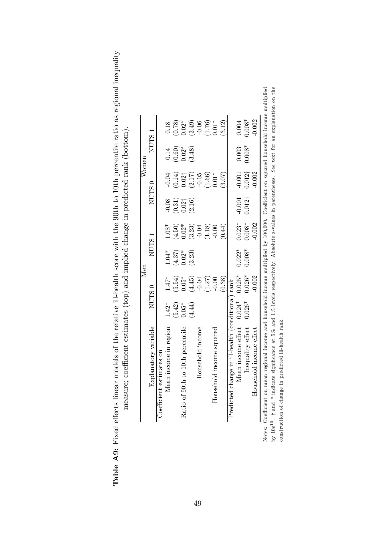| (1.18)<br>$1.08*$<br>(4.50)<br>$0.02*$<br>$(3.23)$<br>-0.04<br>(64.0)<br>$-0.00$<br>NUTS <sub>1</sub><br>$1.04*$<br>$(4.37)$<br>0.02*<br>(3.23)<br>$1.47^{\ast}$<br>(5.54)<br>(1.27)<br>(4.45)<br>(0.38)<br>$0.05*$<br>$-0.00$<br>$-0.04$<br>Predicted change in ill-health (conditional) rank<br>NUTS <sub>0</sub><br>$1.42*$<br>(5.42)<br>(4.44)<br>$0.05*$<br>Explanatory variable<br>Mean income in region<br>Ratio of 90th to 10th percentile<br>Household income<br>Household income squared<br>Coefficient estimates on | NUTS <sub>0</sub>                                                                                 |                                            |
|--------------------------------------------------------------------------------------------------------------------------------------------------------------------------------------------------------------------------------------------------------------------------------------------------------------------------------------------------------------------------------------------------------------------------------------------------------------------------------------------------------------------------------|---------------------------------------------------------------------------------------------------|--------------------------------------------|
|                                                                                                                                                                                                                                                                                                                                                                                                                                                                                                                                |                                                                                                   | NUTS <sub>1</sub>                          |
|                                                                                                                                                                                                                                                                                                                                                                                                                                                                                                                                |                                                                                                   |                                            |
|                                                                                                                                                                                                                                                                                                                                                                                                                                                                                                                                | $-0.04$<br>$-0.08$                                                                                | 0.18<br>0.14                               |
|                                                                                                                                                                                                                                                                                                                                                                                                                                                                                                                                | (0.31)                                                                                            | (0.78)<br>$(0.60)$<br>$0.02*$              |
|                                                                                                                                                                                                                                                                                                                                                                                                                                                                                                                                |                                                                                                   | $0.02*$                                    |
|                                                                                                                                                                                                                                                                                                                                                                                                                                                                                                                                | $\begin{array}{c} (0.14) \\ 0.02 \dagger \\ (2.17) \\ -0.05 \end{array}$<br>$\frac{0.02}{(2.16)}$ | (3.48)                                     |
|                                                                                                                                                                                                                                                                                                                                                                                                                                                                                                                                |                                                                                                   |                                            |
|                                                                                                                                                                                                                                                                                                                                                                                                                                                                                                                                | $(1.66)$<br>0.01*                                                                                 | $(3.49)$<br>$-0.06$<br>$(1.76)$<br>$0.01*$ |
|                                                                                                                                                                                                                                                                                                                                                                                                                                                                                                                                |                                                                                                   |                                            |
|                                                                                                                                                                                                                                                                                                                                                                                                                                                                                                                                | (3.07)                                                                                            | (3.12)                                     |
|                                                                                                                                                                                                                                                                                                                                                                                                                                                                                                                                |                                                                                                   |                                            |
| $0.023*$<br>$0.022*$<br>$0.025*$<br>Lean income effect $0.024*$                                                                                                                                                                                                                                                                                                                                                                                                                                                                | $-0.001$<br>$-0.001$                                                                              | 0.004                                      |
| $0.008*$<br>$0.008^{*}$<br>$0.026*$<br>$0.026*$<br>Inequality effect                                                                                                                                                                                                                                                                                                                                                                                                                                                           | $0.012\dagger$<br>$0.012\dagger$                                                                  | $0.008*$<br>$0.003$<br>$0.008*$            |
| $-0.002$<br>$-0.002$<br>Household income effect                                                                                                                                                                                                                                                                                                                                                                                                                                                                                | $-0.002$                                                                                          | $-0.002$                                   |

49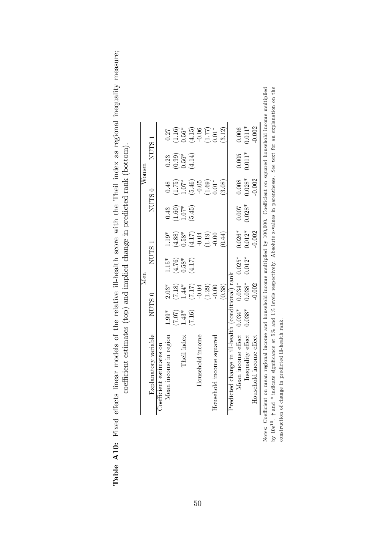| is of the relative ill-health score with the Theil index as regional inequality measure:<br>$\sim$<br>)<br> }<br>!<br>ていい<br>)<br>1<br>$\frac{1}{2}$<br>able | mates (top) and unplied change in predicted roots (bottom<br>where you are a second the product of the product of the production of the production of the product of the product of the product of the product of the product of the product of the product of the product of the product o |
|--------------------------------------------------------------------------------------------------------------------------------------------------------------|---------------------------------------------------------------------------------------------------------------------------------------------------------------------------------------------------------------------------------------------------------------------------------------------|

|                                                                                                                                                                 |          |                   | Men               |                   |          |                      | Women               |                     |  |
|-----------------------------------------------------------------------------------------------------------------------------------------------------------------|----------|-------------------|-------------------|-------------------|----------|----------------------|---------------------|---------------------|--|
| Explanatory variable                                                                                                                                            |          | NUTS <sub>0</sub> | NUTS <sub>1</sub> |                   |          | $NUTS$ 0             |                     | NUTS <sub>1</sub>   |  |
| Coefficient estimates on                                                                                                                                        |          |                   |                   |                   |          |                      |                     |                     |  |
| Mean income in region                                                                                                                                           | $1.99*$  | $2.03*$           | $1.15*$           | $1.19*$           | 0.43     | 0.48                 | 0.23                | 0.27                |  |
|                                                                                                                                                                 | (7.07)   | $(7.18)$<br>1.44* | $(4.76)$<br>0.58* | (4.88)            | (1.60)   | 1.75)                | $(0.99)$<br>$0.56*$ | (1.16)              |  |
| Theil index                                                                                                                                                     | $1.43*$  |                   |                   | $0.58*$           | $1.07*$  | $-5.0$               |                     | $0.56*$             |  |
|                                                                                                                                                                 | (7.16)   | $(7.17)$          | (4.17)            | $(4.17)$<br>-0.04 | (5.45)   | $(5.46)$<br>$-0.05$  | (4.14)              | $(4.15)$<br>-0.06   |  |
| Household income                                                                                                                                                |          | $-0.04$           |                   |                   |          |                      |                     |                     |  |
|                                                                                                                                                                 |          | (1.29)            |                   | (1.19)            |          | $(1.69)$<br>0.01*    |                     | $(1.77)$<br>0.01*   |  |
| Household income squared                                                                                                                                        |          | $-0.00$           |                   | $-0.00$           |          |                      |                     |                     |  |
|                                                                                                                                                                 |          | (0.38)            |                   | (64.0)            |          | (3.08)               |                     | (3.12)              |  |
| Predicted change in ill-health (conditional) rank                                                                                                               |          |                   |                   |                   |          |                      |                     |                     |  |
| Mean income effect $0.034*$                                                                                                                                     |          | $0.034*$          | $0.025*$          | $0.026*$          | 0.007    |                      |                     |                     |  |
| Inequality effect                                                                                                                                               | $0.038*$ | $0.038*$          | $0.012*$          | $0.012*$          | $0.028*$ | $0.008$<br>$0.028$ * | $0.005$<br>$0.011*$ | $0.006$<br>$0.011*$ |  |
| ld income effect<br>Househol                                                                                                                                    |          | $-0.002$          |                   | $-0.002$          |          | $-0.002$             |                     | $-0.002$            |  |
| Notes: Coefficient on mean regional income and household income multiplied by 100,000. Coefficient on squared household income multiplied                       |          |                   |                   |                   |          |                      |                     |                     |  |
| by $10e^{10}$ . $\uparrow$ and $*$ indicate significance at 5% and 1% levels respectively. Absolute z-values in parentheses. See text for an explanation on the |          |                   |                   |                   |          |                      |                     |                     |  |
| predicted ill-health rank.<br>construction of change in                                                                                                         |          |                   |                   |                   |          |                      |                     |                     |  |

50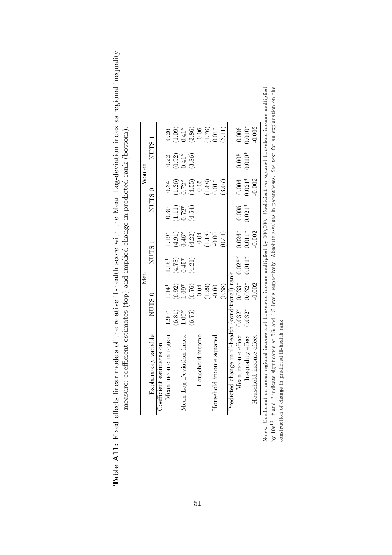| by $10e^{10}$ . † and * indicate significance at 5% and 1% levels respectively. Absolute z-values in parentheses. See text for an explanation on the<br>Notes: Coefficient on mean regional income and household income multiplied by 100,000. Coefficient on squared household income multiplied<br>$0.010*$<br>$-0.002$<br>(3.11)<br>0.006<br>$\begin{array}{c} (3.86) \\ -0.06 \\ (1.76) \\ 0.01* \end{array}$<br>(1.09)<br>$0.41*$<br>0.26<br>NUTS 1<br>0.005<br>$0.010*$<br>$(0.92)$<br>$0.41*$<br>(3.86)<br>0.22<br>0.006<br>$0.021*$<br>$-0.002$<br>(1.68)<br>(1.26)<br>$0.72*$<br>$0.01*$<br>(4.55)<br>$-0.05$<br>(3.07)<br>0.34<br>$NUTS$ $0$<br>$0.021*$<br>0.005<br>$(1.11)$<br>$0.72*$<br>(4.54)<br>0.30<br>$0.026*$<br>$0.011*$<br>$-0.002$<br>(4.91)<br>(1.18)<br>$1.19*$<br>$(4.22)$<br>-0.04<br>(64.0)<br>$0.46*$<br>$-0.00$<br>$NUTS$ 1<br>$0.025*$<br>$0.011*$<br>$1.15*$<br>(4.78)<br>(4.21)<br>$0.45*$<br>Predicted change in ill-health (conditional) rank<br>$0.033*$<br>$0.032*$<br>$-0.002$<br>$1.94*$<br>(0.38)<br>$(6.92)$<br>(1.29)<br>$1.09*$<br>$(6.76)$<br>$-0.04$<br>$-0.00$<br>NUTS <sub>0</sub><br>Mean income effect $0.032*$<br>$0.032*$<br>(6.81)<br>$1.90*$<br>$1.09*$<br>(6.75)<br>predicted ill-health rank.<br>nequality effect<br>Explanatory variable<br>Mean income in region<br>Deviation index<br>Household income<br>Household income squared<br>Household income effect<br>Coefficient estimates on<br>Mean Log <sub>1</sub><br>construction of change in |  | Men |  | Women |  |
|----------------------------------------------------------------------------------------------------------------------------------------------------------------------------------------------------------------------------------------------------------------------------------------------------------------------------------------------------------------------------------------------------------------------------------------------------------------------------------------------------------------------------------------------------------------------------------------------------------------------------------------------------------------------------------------------------------------------------------------------------------------------------------------------------------------------------------------------------------------------------------------------------------------------------------------------------------------------------------------------------------------------------------------------------------------------------------------------------------------------------------------------------------------------------------------------------------------------------------------------------------------------------------------------------------------------------------------------------------------------------------------------------------------------------------------------------------------------------------------------------------|--|-----|--|-------|--|
|                                                                                                                                                                                                                                                                                                                                                                                                                                                                                                                                                                                                                                                                                                                                                                                                                                                                                                                                                                                                                                                                                                                                                                                                                                                                                                                                                                                                                                                                                                          |  |     |  |       |  |
|                                                                                                                                                                                                                                                                                                                                                                                                                                                                                                                                                                                                                                                                                                                                                                                                                                                                                                                                                                                                                                                                                                                                                                                                                                                                                                                                                                                                                                                                                                          |  |     |  |       |  |
|                                                                                                                                                                                                                                                                                                                                                                                                                                                                                                                                                                                                                                                                                                                                                                                                                                                                                                                                                                                                                                                                                                                                                                                                                                                                                                                                                                                                                                                                                                          |  |     |  |       |  |
|                                                                                                                                                                                                                                                                                                                                                                                                                                                                                                                                                                                                                                                                                                                                                                                                                                                                                                                                                                                                                                                                                                                                                                                                                                                                                                                                                                                                                                                                                                          |  |     |  |       |  |
|                                                                                                                                                                                                                                                                                                                                                                                                                                                                                                                                                                                                                                                                                                                                                                                                                                                                                                                                                                                                                                                                                                                                                                                                                                                                                                                                                                                                                                                                                                          |  |     |  |       |  |
|                                                                                                                                                                                                                                                                                                                                                                                                                                                                                                                                                                                                                                                                                                                                                                                                                                                                                                                                                                                                                                                                                                                                                                                                                                                                                                                                                                                                                                                                                                          |  |     |  |       |  |
|                                                                                                                                                                                                                                                                                                                                                                                                                                                                                                                                                                                                                                                                                                                                                                                                                                                                                                                                                                                                                                                                                                                                                                                                                                                                                                                                                                                                                                                                                                          |  |     |  |       |  |
|                                                                                                                                                                                                                                                                                                                                                                                                                                                                                                                                                                                                                                                                                                                                                                                                                                                                                                                                                                                                                                                                                                                                                                                                                                                                                                                                                                                                                                                                                                          |  |     |  |       |  |
|                                                                                                                                                                                                                                                                                                                                                                                                                                                                                                                                                                                                                                                                                                                                                                                                                                                                                                                                                                                                                                                                                                                                                                                                                                                                                                                                                                                                                                                                                                          |  |     |  |       |  |
|                                                                                                                                                                                                                                                                                                                                                                                                                                                                                                                                                                                                                                                                                                                                                                                                                                                                                                                                                                                                                                                                                                                                                                                                                                                                                                                                                                                                                                                                                                          |  |     |  |       |  |
|                                                                                                                                                                                                                                                                                                                                                                                                                                                                                                                                                                                                                                                                                                                                                                                                                                                                                                                                                                                                                                                                                                                                                                                                                                                                                                                                                                                                                                                                                                          |  |     |  |       |  |
|                                                                                                                                                                                                                                                                                                                                                                                                                                                                                                                                                                                                                                                                                                                                                                                                                                                                                                                                                                                                                                                                                                                                                                                                                                                                                                                                                                                                                                                                                                          |  |     |  |       |  |
|                                                                                                                                                                                                                                                                                                                                                                                                                                                                                                                                                                                                                                                                                                                                                                                                                                                                                                                                                                                                                                                                                                                                                                                                                                                                                                                                                                                                                                                                                                          |  |     |  |       |  |
|                                                                                                                                                                                                                                                                                                                                                                                                                                                                                                                                                                                                                                                                                                                                                                                                                                                                                                                                                                                                                                                                                                                                                                                                                                                                                                                                                                                                                                                                                                          |  |     |  |       |  |
|                                                                                                                                                                                                                                                                                                                                                                                                                                                                                                                                                                                                                                                                                                                                                                                                                                                                                                                                                                                                                                                                                                                                                                                                                                                                                                                                                                                                                                                                                                          |  |     |  |       |  |
|                                                                                                                                                                                                                                                                                                                                                                                                                                                                                                                                                                                                                                                                                                                                                                                                                                                                                                                                                                                                                                                                                                                                                                                                                                                                                                                                                                                                                                                                                                          |  |     |  |       |  |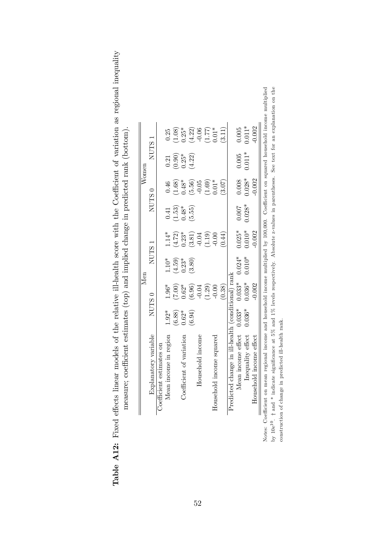| of the relative ill-health score with the Coefficient of variation as regional inequality | estimates (top) and implied change in predicted raph (bottom,<br>$1$ animity<br>have a strong of the strong control of the strong control of the strong control of the strong control of the strong control of the strong control of the strong control of the strong control of the strong control of the str |
|-------------------------------------------------------------------------------------------|----------------------------------------------------------------------------------------------------------------------------------------------------------------------------------------------------------------------------------------------------------------------------------------------------------------|
| $\sim$<br>.<br>4<br>てくりし<br>;<br>;                                                        | $\frac{1}{\zeta}$<br>i<br>i                                                                                                                                                                                                                                                                                    |

|                                                                                                                                                                 |                   |          | Men               |          |          |                   | Women             |                   |  |
|-----------------------------------------------------------------------------------------------------------------------------------------------------------------|-------------------|----------|-------------------|----------|----------|-------------------|-------------------|-------------------|--|
| Explanatory variable                                                                                                                                            | NUTS <sub>0</sub> |          | NUTS <sub>1</sub> |          |          | NUTS <sub>0</sub> | NUTS <sub>1</sub> |                   |  |
| Coefficient estimates on                                                                                                                                        |                   |          |                   |          |          |                   |                   |                   |  |
| Mean income in region                                                                                                                                           | $1.92*$           | $1.96*$  | $1.10*$           | $1.14*$  | 0.41     | 0.46              | 0.21              | 0.25              |  |
|                                                                                                                                                                 | (6.88)            | (00.7)   | $(4.59)$<br>0.23* | (4.72)   | (1.53)   | (1.68)            | (0.90)            | (1.08)            |  |
| Coefficient of variation                                                                                                                                        | $0.62*$           | $0.62*$  |                   | $0.23*$  | $0.48*$  | $0.48*$           | $0.25*$           | $0.25*$           |  |
|                                                                                                                                                                 | (6.94)            | (6.96)   | (3.80)            | (3.81)   | (5.55)   | (5.56)            | (4.22)            | $(4.22)$<br>-0.06 |  |
| Household income                                                                                                                                                |                   | $-0.04$  |                   | $-0.04$  |          | $-0.05$           |                   |                   |  |
|                                                                                                                                                                 |                   | (1.29)   |                   | (1.19)   |          | (1.69)            |                   | $(1.77)$<br>0.01* |  |
| Household income squared                                                                                                                                        |                   | $-0.00$  |                   | $-0.00$  |          | $0.01*$           |                   |                   |  |
|                                                                                                                                                                 |                   | (0.38)   |                   | (14)     |          | (3.07)            |                   | (3.11)            |  |
| Predicted change in ill-health (conditional) rank                                                                                                               |                   |          |                   |          |          |                   |                   |                   |  |
| Mean income effect $0.033*$                                                                                                                                     |                   | $0.033*$ | $0.024*$          | $0.025*$ | 0.007    | 0.008             | 0.005             | 0.005             |  |
| Inequality effect                                                                                                                                               | $0.036*$          | $0.036*$ | $0.010*$          | $0.010*$ | $0.028*$ | $0.028*$          | $0.011*$          | $0.011*$          |  |
| ld income effect<br>Househol                                                                                                                                    |                   | $-0.002$ |                   | $-0.002$ |          | $-0.002$          |                   | $-0.002$          |  |
| Notes: Coefficient on mean regional income and household income multiplied by 100,000. Coefficient on squared household income multiplied                       |                   |          |                   |          |          |                   |                   |                   |  |
| by $10e^{10}$ . $\uparrow$ and $*$ indicate significance at 5% and 1% levels respectively. Absolute z-values in parentheses. See text for an explanation on the |                   |          |                   |          |          |                   |                   |                   |  |
| predicted ill-health rank.<br>construction of change in                                                                                                         |                   |          |                   |          |          |                   |                   |                   |  |

52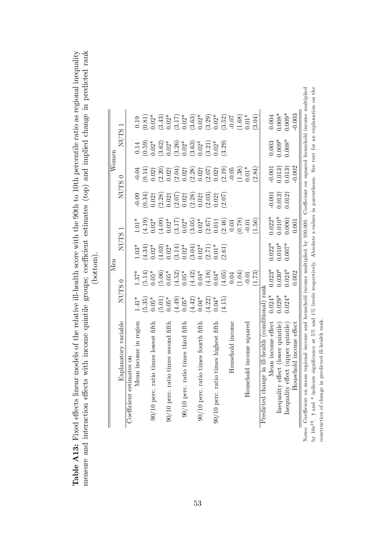|  |   | ₿              |
|--|---|----------------|
|  |   | J              |
|  | ۰ | $\overline{a}$ |
|  |   | ڊ              |
|  |   | č              |
|  |   |                |
|  |   |                |
|  |   |                |
|  |   |                |

|                                                                                                                                                                    |                     |                                                                                       | Men                                                                                                                                                                                                                                                                                                  |                                                                                 |                                                                                                     |                                                                                                                                                                                                                                                                                                      | Women                                                                                                                                                                                                                                                                                                |                                                                                                                                                                                                                                                                                                               |  |
|--------------------------------------------------------------------------------------------------------------------------------------------------------------------|---------------------|---------------------------------------------------------------------------------------|------------------------------------------------------------------------------------------------------------------------------------------------------------------------------------------------------------------------------------------------------------------------------------------------------|---------------------------------------------------------------------------------|-----------------------------------------------------------------------------------------------------|------------------------------------------------------------------------------------------------------------------------------------------------------------------------------------------------------------------------------------------------------------------------------------------------------|------------------------------------------------------------------------------------------------------------------------------------------------------------------------------------------------------------------------------------------------------------------------------------------------------|---------------------------------------------------------------------------------------------------------------------------------------------------------------------------------------------------------------------------------------------------------------------------------------------------------------|--|
| Explanatory variable                                                                                                                                               | <b>NUTS</b>         | 0                                                                                     | <b>NUTS</b>                                                                                                                                                                                                                                                                                          |                                                                                 |                                                                                                     | NUTS <sub>0</sub>                                                                                                                                                                                                                                                                                    | <b>NUTS</b>                                                                                                                                                                                                                                                                                          |                                                                                                                                                                                                                                                                                                               |  |
| Coefficient estimates on                                                                                                                                           |                     |                                                                                       |                                                                                                                                                                                                                                                                                                      |                                                                                 |                                                                                                     |                                                                                                                                                                                                                                                                                                      |                                                                                                                                                                                                                                                                                                      |                                                                                                                                                                                                                                                                                                               |  |
| Mean income in region                                                                                                                                              | $1.41*$             | $1.37*$                                                                               | $1.03*$                                                                                                                                                                                                                                                                                              | $1.01*$                                                                         |                                                                                                     | $-0.04$                                                                                                                                                                                                                                                                                              | 0.14                                                                                                                                                                                                                                                                                                 |                                                                                                                                                                                                                                                                                                               |  |
|                                                                                                                                                                    |                     |                                                                                       |                                                                                                                                                                                                                                                                                                      |                                                                                 |                                                                                                     |                                                                                                                                                                                                                                                                                                      |                                                                                                                                                                                                                                                                                                      |                                                                                                                                                                                                                                                                                                               |  |
| 90/10 perc. ratio times lowest fifth                                                                                                                               | $(5.35)$<br>$0.05*$ | $(5.14)$<br>0.05*                                                                     |                                                                                                                                                                                                                                                                                                      | $(4.19)$<br>0.02*                                                               |                                                                                                     |                                                                                                                                                                                                                                                                                                      | $(0.59)$<br>$0.02*$                                                                                                                                                                                                                                                                                  |                                                                                                                                                                                                                                                                                                               |  |
|                                                                                                                                                                    |                     | $(5.06)$<br>0.05*                                                                     | $\begin{array}{l} (4.34)\\ (4.03)\\ (4.03)\\ (5.02)\\ (7.4)\\ (8.03)\\ (9.02)\\ (1.03)\\ (1.03)\\ (2.03)\\ (3.04)\\ (4.03)\\ (5.03)\\ (6.1)\\ (7.01)\\ (9.01)\\ (1.01)\\ (2.01)\\ (1.01)\\ (2.01)\\ (3.01)\\ (4.01)\\ (4.01)\\ (5.01)\\ (6.01)\\ (7.01)\\ (9.01)\\ (1.01)\\ (1.01)\\ (1.01)\\ (2.01$ | (4.09)                                                                          | $\begin{array}{c} -0.09 \\ 0.34) \\ 0.027 \\ 0.28) \\ 0.021 \end{array}$                            | $\begin{array}{l} (0.14)\\ (0.027)\\ (2.20)\\ (2.04)\\ (2.05)\\ (2.04)\\ (2.05)\\ (2.07)\\ (2.07)\\ (2.07)\\ (2.07)\\ (2.08)\\ (2.07)\\ (2.09)\\ (2.01)\\ (2.01)\\ (2.01)\\ (2.01)\\ (2.01)\\ (2.01)\\ (2.01)\\ (2.01)\\ (2.01)\\ (2.01)\\ (2.01)\\ (2.01)\\ (2.01)\\ (2.01)\\ (2.01)\\ (2.01)\\ (2$ |                                                                                                                                                                                                                                                                                                      | $\begin{array}{l} 0.19 \\ 0.81 \\ 0.92 \\ 0.02 \\ 0.03 \\ 0.04 \\ 0.05 \\ 0.07 \\ 0.07 \\ 0.07 \\ 0.07 \\ 0.07 \\ 0.07 \\ 0.07 \\ 0.07 \\ 0.07 \\ 0.07 \\ 0.07 \\ 0.07 \\ 0.07 \\ 0.07 \\ 0.07 \\ 0.07 \\ 0.07 \\ 0.07 \\ 0.07 \\ 0.07 \\ 0.07 \\ 0.07 \\ 0.07 \\ 0.07 \\ 0.07 \\ 0.07 \\ 0.07 \\ 0.07 \\ 0.$ |  |
| io times second fifth<br>$90/10$ perc. rati                                                                                                                        | $(5.01)$<br>$0.05*$ |                                                                                       |                                                                                                                                                                                                                                                                                                      |                                                                                 |                                                                                                     |                                                                                                                                                                                                                                                                                                      |                                                                                                                                                                                                                                                                                                      |                                                                                                                                                                                                                                                                                                               |  |
|                                                                                                                                                                    | $(4.49)$<br>0.05*   | $(4.52)$<br>0.05*                                                                     |                                                                                                                                                                                                                                                                                                      |                                                                                 |                                                                                                     |                                                                                                                                                                                                                                                                                                      |                                                                                                                                                                                                                                                                                                      |                                                                                                                                                                                                                                                                                                               |  |
| $90/10$ perc. ratio times third fifth                                                                                                                              |                     |                                                                                       |                                                                                                                                                                                                                                                                                                      |                                                                                 |                                                                                                     |                                                                                                                                                                                                                                                                                                      |                                                                                                                                                                                                                                                                                                      |                                                                                                                                                                                                                                                                                                               |  |
|                                                                                                                                                                    | $(4.42)$<br>0.04*   |                                                                                       |                                                                                                                                                                                                                                                                                                      | $\begin{array}{c} 0.02^* \\ (3.17) \\ 0.02^* \\ (3.05) \\ (3.05)^* \end{array}$ |                                                                                                     |                                                                                                                                                                                                                                                                                                      |                                                                                                                                                                                                                                                                                                      |                                                                                                                                                                                                                                                                                                               |  |
| io times fourth fifth<br>$90/10$ perc. rat                                                                                                                         |                     |                                                                                       |                                                                                                                                                                                                                                                                                                      |                                                                                 |                                                                                                     |                                                                                                                                                                                                                                                                                                      |                                                                                                                                                                                                                                                                                                      |                                                                                                                                                                                                                                                                                                               |  |
|                                                                                                                                                                    | (4.22)              | $\begin{array}{l} (4.42) \\ 0.04* \\ (4.18) \\ 0.04* \\ (4.05) \\ (4.05) \end{array}$ |                                                                                                                                                                                                                                                                                                      |                                                                                 | $\begin{array}{c} (2.07) \\ 0.02 \dagger \\ (2.28) \\ 0.02 \dagger \\ (2.03) \\ (2.03) \end{array}$ |                                                                                                                                                                                                                                                                                                      | $\begin{array}{l} (3.62)\\ (3.26)\\ (3.26)\\ (3.63)\\ (3.63)\\ (3.61)\\ (3.62)\\ (3.61)\\ (3.21)\\ (3.22)\\ (3.23)\\ (3.24)\\ (3.25)\\ (3.27)\\ (3.28)\\ (3.29)\\ (3.21)\\ (3.21)\\ (3.22)\\ (3.23)\\ (3.24)\\ (3.25)\\ (3.25)\\ (3.27)\\ (3.28)\\ (3.29)\\ (3.21)\\ (3.21)\\ (3.21)\\ (3.21)\\ (3.$ |                                                                                                                                                                                                                                                                                                               |  |
| $90/10$ perc. ratio times highest fifth                                                                                                                            | $0.04*$             |                                                                                       |                                                                                                                                                                                                                                                                                                      |                                                                                 |                                                                                                     |                                                                                                                                                                                                                                                                                                      |                                                                                                                                                                                                                                                                                                      |                                                                                                                                                                                                                                                                                                               |  |
|                                                                                                                                                                    | (4.15)              |                                                                                       |                                                                                                                                                                                                                                                                                                      | $(2.67)$<br>0.01†<br>0.03<br>0.03                                               | (2.07)                                                                                              |                                                                                                                                                                                                                                                                                                      | (3.29)                                                                                                                                                                                                                                                                                               |                                                                                                                                                                                                                                                                                                               |  |
| Household income                                                                                                                                                   |                     |                                                                                       |                                                                                                                                                                                                                                                                                                      |                                                                                 |                                                                                                     |                                                                                                                                                                                                                                                                                                      |                                                                                                                                                                                                                                                                                                      |                                                                                                                                                                                                                                                                                                               |  |
|                                                                                                                                                                    |                     | (1.04)                                                                                |                                                                                                                                                                                                                                                                                                      | (0.78)                                                                          |                                                                                                     | $(1.38)$<br>0.01*                                                                                                                                                                                                                                                                                    |                                                                                                                                                                                                                                                                                                      | (1.68)                                                                                                                                                                                                                                                                                                        |  |
| nold income squared<br>$_{\rm Housel}$                                                                                                                             |                     | $-0.01$                                                                               |                                                                                                                                                                                                                                                                                                      | $-0.01$                                                                         |                                                                                                     |                                                                                                                                                                                                                                                                                                      |                                                                                                                                                                                                                                                                                                      | $0.01*$                                                                                                                                                                                                                                                                                                       |  |
|                                                                                                                                                                    |                     | (1.73)                                                                                |                                                                                                                                                                                                                                                                                                      | (1.56)                                                                          |                                                                                                     | (2.84)                                                                                                                                                                                                                                                                                               |                                                                                                                                                                                                                                                                                                      | (3.04)                                                                                                                                                                                                                                                                                                        |  |
| Predicted change in ill-health (conditional) rani                                                                                                                  |                     |                                                                                       |                                                                                                                                                                                                                                                                                                      |                                                                                 |                                                                                                     |                                                                                                                                                                                                                                                                                                      |                                                                                                                                                                                                                                                                                                      |                                                                                                                                                                                                                                                                                                               |  |
| Mean income effect                                                                                                                                                 | $0.024*$            | $0.023*$                                                                              | $0.022*$                                                                                                                                                                                                                                                                                             | $0.022*$                                                                        |                                                                                                     | $-0.001$                                                                                                                                                                                                                                                                                             | 0.003                                                                                                                                                                                                                                                                                                |                                                                                                                                                                                                                                                                                                               |  |
| Inequality effect (lower quintile)                                                                                                                                 | $0.029*$            | $0.030*$                                                                              | $0.010*$                                                                                                                                                                                                                                                                                             | $0.010*$                                                                        | $-0.001$<br>$0.013\dagger$                                                                          |                                                                                                                                                                                                                                                                                                      | $0.009*$                                                                                                                                                                                                                                                                                             | $0.004$<br>$0.008*$                                                                                                                                                                                                                                                                                           |  |
| Inequality effect (upper quintile)                                                                                                                                 | $0.024*$            | $0.024*$                                                                              | $0.007*$                                                                                                                                                                                                                                                                                             | $0.006\dagger$                                                                  | $0.012\dagger$                                                                                      | $0.013\dagger$<br>$0.013\dagger$                                                                                                                                                                                                                                                                     | $0.008*$                                                                                                                                                                                                                                                                                             | $0.009*$                                                                                                                                                                                                                                                                                                      |  |
| Household income effect                                                                                                                                            |                     | 0.002                                                                                 |                                                                                                                                                                                                                                                                                                      | 0.001                                                                           |                                                                                                     | $-0.002$                                                                                                                                                                                                                                                                                             |                                                                                                                                                                                                                                                                                                      | 0.003                                                                                                                                                                                                                                                                                                         |  |
| Notes: Coefficient on mean regional income and household income multiplied by 100,000. Coefficient on squared household income multiplied                          |                     |                                                                                       |                                                                                                                                                                                                                                                                                                      |                                                                                 |                                                                                                     |                                                                                                                                                                                                                                                                                                      |                                                                                                                                                                                                                                                                                                      |                                                                                                                                                                                                                                                                                                               |  |
| e significance at 5% and 1% levels respectively. Absolute z-values in parentheses. See text for an explanation on the<br>by $10e^{10}$ . $\dagger$ and $*$ indicat |                     |                                                                                       |                                                                                                                                                                                                                                                                                                      |                                                                                 |                                                                                                     |                                                                                                                                                                                                                                                                                                      |                                                                                                                                                                                                                                                                                                      |                                                                                                                                                                                                                                                                                                               |  |
| predicted ill-health rank.<br>construction of change in                                                                                                            |                     |                                                                                       |                                                                                                                                                                                                                                                                                                      |                                                                                 |                                                                                                     |                                                                                                                                                                                                                                                                                                      |                                                                                                                                                                                                                                                                                                      |                                                                                                                                                                                                                                                                                                               |  |
|                                                                                                                                                                    |                     |                                                                                       |                                                                                                                                                                                                                                                                                                      |                                                                                 |                                                                                                     |                                                                                                                                                                                                                                                                                                      |                                                                                                                                                                                                                                                                                                      |                                                                                                                                                                                                                                                                                                               |  |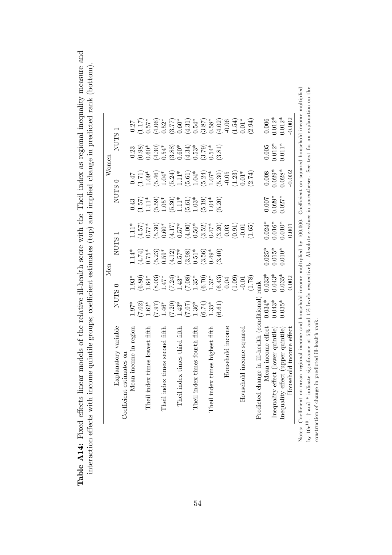| ive ill-health score with the Theil index as regional inequality measure and | o groupe: coofficient octive dee (ten) and implied change in prodicted rapic (bottom |
|------------------------------------------------------------------------------|--------------------------------------------------------------------------------------|
| こうそう しょうりょう ものとし こうこう はせつけい                                                  |                                                                                      |
|                                                                              |                                                                                      |
| THE ATTACK                                                                   |                                                                                      |
|                                                                              | ł                                                                                    |
|                                                                              |                                                                                      |
|                                                                              |                                                                                      |
| MINITITY TILE TO<br>$\sim$ f + $\sim$                                        | j                                                                                    |
|                                                                              |                                                                                      |
| さくらう そこくろ ニ ひそくてまく                                                           |                                                                                      |
| C<br>C<br>C<br>C<br>C<br>C<br>C<br>C<br>C<br>C<br>C<br>                      |                                                                                      |
| $\frac{1}{2}$<br>İ.                                                          | nococococo de la futbolidad de la futbolidad                                         |
| ><br>مام<br>₿                                                                |                                                                                      |

|                                                 |                                                                                         |         | <b>NUTS</b>                                                                                           |                                                                                                                                                                                 | <b>NUTS</b>                                           | Women                                                                                                 |                                                                     |                                                                                                                                                                                                                                                                                                                       |
|-------------------------------------------------|-----------------------------------------------------------------------------------------|---------|-------------------------------------------------------------------------------------------------------|---------------------------------------------------------------------------------------------------------------------------------------------------------------------------------|-------------------------------------------------------|-------------------------------------------------------------------------------------------------------|---------------------------------------------------------------------|-----------------------------------------------------------------------------------------------------------------------------------------------------------------------------------------------------------------------------------------------------------------------------------------------------------------------|
| Explanatory variable                            | NUTS (                                                                                  |         |                                                                                                       |                                                                                                                                                                                 |                                                       |                                                                                                       |                                                                     | NUTS.                                                                                                                                                                                                                                                                                                                 |
| Coefficient estimates on                        |                                                                                         |         |                                                                                                       |                                                                                                                                                                                 |                                                       |                                                                                                       |                                                                     |                                                                                                                                                                                                                                                                                                                       |
| Mean income in region                           | $1.97*$                                                                                 | $1.93*$ | $.14*$                                                                                                | $11*$                                                                                                                                                                           | 0.43                                                  | 0.47                                                                                                  | 0.23                                                                |                                                                                                                                                                                                                                                                                                                       |
|                                                 |                                                                                         |         |                                                                                                       | $(1.57)$<br>0.77*                                                                                                                                                               |                                                       | $1.71$ )<br>$1.09*$                                                                                   |                                                                     |                                                                                                                                                                                                                                                                                                                       |
| times lowest fifth<br>Theil index               | $(6.80)$<br>1.64*<br>$(7.02)$<br>1.62*                                                  |         | $(4.74)$<br>0.75*                                                                                     |                                                                                                                                                                                 | $1.57$<br>$1.11*$                                     |                                                                                                       |                                                                     | $\frac{0.27}{(1.17)}$<br>0.57*                                                                                                                                                                                                                                                                                        |
|                                                 | $(8.03)$<br>1.47*<br>(26.7)                                                             |         | $\begin{array}{l} (5.23)\\0.59^*\\0.51^*\\0.57^*\\0.51^*\\(3.98)\\0.51^*\\(3.56)\\0.49^* \end{array}$ | $\begin{array}{l} (5.30)\\[-4pt] 0.60^*\\[-4pt] 0.57^*\\[-4pt] 0.50^*\\[-4pt] 0.50^*\\[-4pt] 0.50^*\\[-4pt] 0.320\\[-4pt] 0.47^*\\[-4pt] 0.31\\[-4pt] 0.03\\[-4pt] \end{array}$ | $(5.59)$<br>1.05*                                     | $(5.46)$<br>1.04*                                                                                     | $\begin{array}{c} (0.98) \\ 0.60^* \\ (4.30) \\ 0.54^* \end{array}$ | $\begin{array}{l} (4.06)\\[-4pt] (4.52^*\\[-4pt] (3.77)^*\\[-4pt] (3.31)\\[-4pt] (3.41)\\[-4pt] (3.81)\\[-4pt] (3.81)\\[-4pt] (3.81)\\[-4pt] (3.81)\\[-4pt] (3.81)\\[-4pt] (3.81)\\[-4pt] (3.81)\\[-4pt] (3.81)\\[-4pt] (3.81)\\[-4pt] (3.81)\\[-4pt] (3.81)\\[-4pt] (3.81)\\[-4pt] (3.81)\\[-4pt] (3.81)\\[-4pt] (3$ |
| times second fifth<br>Theil index               | $46*$                                                                                   |         |                                                                                                       |                                                                                                                                                                                 |                                                       |                                                                                                       |                                                                     |                                                                                                                                                                                                                                                                                                                       |
|                                                 | (07.7)                                                                                  |         |                                                                                                       |                                                                                                                                                                                 |                                                       |                                                                                                       |                                                                     |                                                                                                                                                                                                                                                                                                                       |
| Theil index times third fifth                   | $(7.24)$<br>1.43*<br>$1.43*$                                                            |         |                                                                                                       |                                                                                                                                                                                 |                                                       |                                                                                                       |                                                                     |                                                                                                                                                                                                                                                                                                                       |
|                                                 | $\begin{array}{l} (7.08) \\ 1.35^* \\ (6.70) \\ 1.32^* \\ (6.43) \\ (6.44) \end{array}$ |         |                                                                                                       |                                                                                                                                                                                 | $(5.30)$<br>1.11*<br>5.61)<br>5.03*<br>5.19)<br>1.04* | $(5.24)$<br>$1.11$ <sup>*</sup><br>$(5.61)$<br>$1.04$ <sup>*</sup><br>$(5.24)$<br>$1.07$ <sup>*</sup> | $(3.88)$<br>0.60*<br>0.53*<br>0.53*<br>0.54*                        |                                                                                                                                                                                                                                                                                                                       |
| times fourth fifth<br>Theil index               | $(20.7)$<br>$(20.7)$                                                                    |         |                                                                                                       |                                                                                                                                                                                 |                                                       |                                                                                                       |                                                                     |                                                                                                                                                                                                                                                                                                                       |
|                                                 | $(6.74)$<br>1.35*                                                                       |         |                                                                                                       |                                                                                                                                                                                 |                                                       |                                                                                                       |                                                                     |                                                                                                                                                                                                                                                                                                                       |
| Theil index times highest fifth                 |                                                                                         |         |                                                                                                       |                                                                                                                                                                                 |                                                       |                                                                                                       |                                                                     |                                                                                                                                                                                                                                                                                                                       |
|                                                 | $\left(5.3\right)$                                                                      |         | (3.40)                                                                                                |                                                                                                                                                                                 | (5.20)                                                | $(5.30)$<br>$-0.05$                                                                                   | 3.81                                                                |                                                                                                                                                                                                                                                                                                                       |
| Household income                                |                                                                                         |         |                                                                                                       |                                                                                                                                                                                 |                                                       |                                                                                                       |                                                                     |                                                                                                                                                                                                                                                                                                                       |
|                                                 | (1.09)                                                                                  |         |                                                                                                       | (16.01)                                                                                                                                                                         |                                                       | $(1.23)$<br>$0.01*$                                                                                   |                                                                     |                                                                                                                                                                                                                                                                                                                       |
| d income squared<br>Househol                    |                                                                                         |         |                                                                                                       |                                                                                                                                                                                 |                                                       |                                                                                                       |                                                                     |                                                                                                                                                                                                                                                                                                                       |
|                                                 | (1.78)                                                                                  |         |                                                                                                       | 1.65                                                                                                                                                                            |                                                       | (2.74)                                                                                                |                                                                     | (5.94)                                                                                                                                                                                                                                                                                                                |
| ge in ill-health (conditional<br>Predicted chan | rank                                                                                    |         |                                                                                                       |                                                                                                                                                                                 |                                                       |                                                                                                       |                                                                     |                                                                                                                                                                                                                                                                                                                       |
| Mean income effect                              | $0.033*$<br>$0.034*$                                                                    |         | $0.025*$                                                                                              | $0.024*$                                                                                                                                                                        | 0.007                                                 |                                                                                                       |                                                                     | 0.006                                                                                                                                                                                                                                                                                                                 |
| Inequality effect (lower quintile)              | $0.043*$<br>$0.043*$                                                                    |         | $0.015*$                                                                                              | $0.016*$<br>$0.010*$                                                                                                                                                            | $0.029*$                                              | $0.008$<br>$0.029*$                                                                                   | $0.005$<br>$0.012*$                                                 | $0.012*$<br>$0.012*$                                                                                                                                                                                                                                                                                                  |
| Inequality effect (upper quintile)              | $0.035*$<br>$0.035*$                                                                    |         | $0.010*$                                                                                              |                                                                                                                                                                                 | $0.027*$                                              | $0.028*$                                                                                              | $0.011*$                                                            |                                                                                                                                                                                                                                                                                                                       |
| Household income effect                         | 0.002                                                                                   |         |                                                                                                       | 0.001                                                                                                                                                                           |                                                       | $-0.002$                                                                                              |                                                                     | $-0.002$                                                                                                                                                                                                                                                                                                              |

Notes: Coefficient on mean regional income and household income multiplied by 100,000. Coefficient on squared household income multiplied by  $10e^{10}$ .  $\dagger$  and  $*$  indicate significance at 5% and 1% levels respectively. Absolute z-values in parentheses. See text for an explanation on the construction of change in predicted ill-health rank.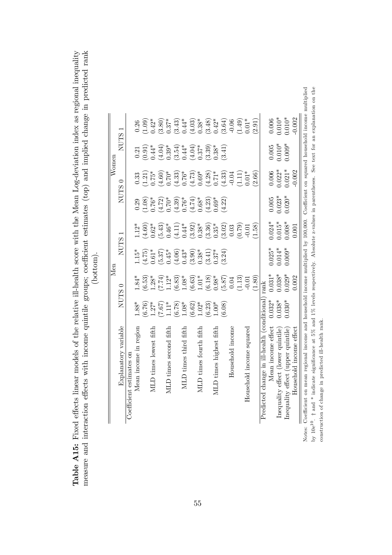|   | Ξ   |  |
|---|-----|--|
|   |     |  |
|   |     |  |
|   | ֚֬֕ |  |
|   |     |  |
|   |     |  |
|   |     |  |
|   | ŕ   |  |
|   |     |  |
|   |     |  |
|   |     |  |
|   | Ξ   |  |
|   |     |  |
|   |     |  |
|   |     |  |
|   |     |  |
|   | Ξ   |  |
|   |     |  |
| ł |     |  |
|   |     |  |
|   |     |  |
|   |     |  |
|   |     |  |
|   |     |  |
|   |     |  |

|                                                   |                      | Men                                           |                                |                                      |                                                                                                                                                                                    |                                                                     | $\bar{W}$ omen                                                                             |                                                                                                                                                                                                                                                                                                                             |
|---------------------------------------------------|----------------------|-----------------------------------------------|--------------------------------|--------------------------------------|------------------------------------------------------------------------------------------------------------------------------------------------------------------------------------|---------------------------------------------------------------------|--------------------------------------------------------------------------------------------|-----------------------------------------------------------------------------------------------------------------------------------------------------------------------------------------------------------------------------------------------------------------------------------------------------------------------------|
| Explanatory variable                              | NUTS <sub>0</sub>    |                                               | <b>NUTS</b>                    | $\overline{ }$                       | NUTS <sub>0</sub>                                                                                                                                                                  |                                                                     | <b>NUTS</b>                                                                                |                                                                                                                                                                                                                                                                                                                             |
|                                                   |                      |                                               |                                |                                      |                                                                                                                                                                                    |                                                                     |                                                                                            |                                                                                                                                                                                                                                                                                                                             |
| Mean income in region                             | $1.88*$              | $1.84*$                                       | $1.15*$                        |                                      |                                                                                                                                                                                    | 0.33                                                                |                                                                                            |                                                                                                                                                                                                                                                                                                                             |
|                                                   | (9.76)               | $\binom{6.53}{1.28^*}$                        | $(4.75)$<br>$(0.61)$           | $1.12*$<br>$(4.60)$<br>$0.62*$       |                                                                                                                                                                                    | $(1.21)$<br>$(1.5*$<br>$(4.60)$<br>$(1.60)$                         | $\begin{array}{c} 0.21 \\ 0.91 \\ 0.44^* \\ 4.04 \end{array}$                              |                                                                                                                                                                                                                                                                                                                             |
| MLD times lowest fifth                            | $1.27*$              |                                               |                                |                                      |                                                                                                                                                                                    |                                                                     |                                                                                            |                                                                                                                                                                                                                                                                                                                             |
|                                                   |                      |                                               |                                |                                      |                                                                                                                                                                                    |                                                                     |                                                                                            |                                                                                                                                                                                                                                                                                                                             |
| MLD times second fifth                            | $7.67$<br>1.11*      |                                               | $(5.37)$<br>0.45*              | $(5.43)$<br>$0.46*$                  |                                                                                                                                                                                    |                                                                     |                                                                                            |                                                                                                                                                                                                                                                                                                                             |
|                                                   | $\frac{6.78}{1.08*}$ |                                               |                                |                                      |                                                                                                                                                                                    |                                                                     |                                                                                            |                                                                                                                                                                                                                                                                                                                             |
| MLD times third fifth                             |                      |                                               |                                |                                      |                                                                                                                                                                                    |                                                                     |                                                                                            |                                                                                                                                                                                                                                                                                                                             |
|                                                   | $(6.62)$<br>1.02*    | $(7.74)$<br>1.12*<br>1.083)<br>1.08*<br>6.63) | $(4.06)$<br>$0.43*$<br>$0.33*$ | $(4.11)$<br>0.44*<br>0.392)<br>0.38* | $\begin{array}{c} 0.29 \\[-4pt] 0.108 \\[-4pt] 0.76^* \\[-4pt] 0.70^* \\[-4pt] 0.70^* \\[-4pt] 0.70^* \\[-4pt] 0.70^* \\[-4pt] 0.76^* \\[-4pt] 0.68^* \\[-4pt] 0.68^* \end{array}$ | $\begin{array}{c} (4.33) \\ 0.76^* \\ (4.73) \\ 0.69^* \end{array}$ | $\begin{array}{c} (3.54) \\ (1.04) \\ (1.04) \\ (1.07) \\ (1.01) \\ (2.37) \\ \end{array}$ |                                                                                                                                                                                                                                                                                                                             |
| MLD times fourth fifth                            |                      |                                               |                                |                                      |                                                                                                                                                                                    |                                                                     |                                                                                            |                                                                                                                                                                                                                                                                                                                             |
|                                                   | 6.23)                | $(6.18)$<br>0.98*                             | $(3.41)$<br>$0.37*$            | $(3.36)$<br>0.35*                    | $(4.23)$<br>$0.69*$                                                                                                                                                                |                                                                     | $(3.39)$<br>0.38*                                                                          |                                                                                                                                                                                                                                                                                                                             |
| MLD times highest fifth                           | $1.00*$              |                                               |                                |                                      |                                                                                                                                                                                    |                                                                     |                                                                                            |                                                                                                                                                                                                                                                                                                                             |
|                                                   | 6.08)                | $(5.87)$<br>0.04                              | 3.24                           | $(3.02)$<br>$(0.79)$<br>$(0.79)$     | 4.22                                                                                                                                                                               | $(4.28)$<br>0.71*<br>0.4.33)<br>0.04                                | 3.41                                                                                       | $\begin{array}{l} 0.26 \\[-4pt] 0.09 \\[-4pt] 0.43 \\[-4pt] 0.09 \\[-4pt] 0.09 \\[-4pt] 0.09 \\[-4pt] 0.09 \\[-4pt] 0.09 \\[-4pt] 0.09 \\[-4pt] 0.09 \\[-4pt] 0.09 \\[-4pt] 0.09 \\[-4pt] 0.09 \\[-4pt] 0.09 \\[-4pt] 0.09 \\[-4pt] 0.09 \\[-4pt] 0.09 \\[-4pt] 0.09 \\[-4pt] 0.09 \\[-4pt] 0.09 \\[-4pt] 0.09 \\[-4pt] 0.$ |
| Household income                                  |                      |                                               |                                |                                      |                                                                                                                                                                                    |                                                                     |                                                                                            |                                                                                                                                                                                                                                                                                                                             |
|                                                   |                      | (1.13)                                        |                                |                                      |                                                                                                                                                                                    | $1.11$ )<br>$0.01*$                                                 |                                                                                            |                                                                                                                                                                                                                                                                                                                             |
| Household income squared                          |                      |                                               |                                |                                      |                                                                                                                                                                                    |                                                                     |                                                                                            |                                                                                                                                                                                                                                                                                                                             |
|                                                   |                      | (1.80)                                        |                                | (1.58)                               |                                                                                                                                                                                    | (2.66)                                                              |                                                                                            | (2.91)                                                                                                                                                                                                                                                                                                                      |
| Predicted change in ill-health (conditional) rank |                      |                                               |                                |                                      |                                                                                                                                                                                    |                                                                     |                                                                                            |                                                                                                                                                                                                                                                                                                                             |
| Mean income effect                                | $0.032*$             | $0.031*$                                      | $0.025*$                       | $0.024*$                             | 0.005                                                                                                                                                                              | 0.006                                                               | 0.005                                                                                      | 0.006                                                                                                                                                                                                                                                                                                                       |
| Inequality effect (lower quintile)                | $0.038*$             | $0.038*$                                      | $0.014*$                       | $0.015*$<br>$0.008*$                 | $0.023*$                                                                                                                                                                           | $0.022*$<br>$0.021*$                                                | $0.010*$                                                                                   | $0.010*$                                                                                                                                                                                                                                                                                                                    |
| Inequality effect (upper quintile)                | $0.030*$             | $0.029*$                                      | $0.009*$                       |                                      | $0.020*$                                                                                                                                                                           |                                                                     | $0.009*$                                                                                   | $0.010*$                                                                                                                                                                                                                                                                                                                    |
| Household income effect                           |                      | 0.002                                         |                                | 0.001                                |                                                                                                                                                                                    | 0.002                                                               |                                                                                            | 0.002                                                                                                                                                                                                                                                                                                                       |

Notes: Coefficient on mean regional income and household income multiplied by 100,000. Coefficient on squared household income multiplied by  $10e^{10}$ .  $\dagger$  and  $*$  indicate significance at 5% and 1% levels respectively. Absolute z-values in parentheses. See text for an explanation on the construction of change in predicted ill-health rank.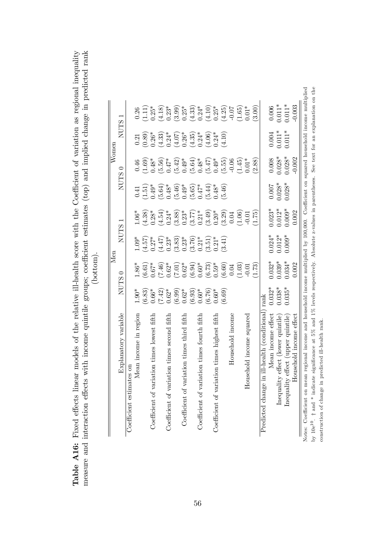Table A16: Fixed effects linear models of the relative ill-health score with the Coefficient of variation as regional inequality measure and interaction effects with income quintile groups; coefficient estimates (top) and implied change in predicted rank Table **A16:** Fixed effects linear models of the relative ill-health score with the Coefficient of variation as regional inequality measure and interaction effects with income quintile groups; coefficient estimates (top) an

|                                                                                                                                                                    |                     |                                                                                                                                                                                                                                                                                                                | Men                                                                 |                                                                     |                                                          | Women                                                   |                                                                                                                                                                                                                                                                                               |                                                                                                                                                                                                                                                                                                      |
|--------------------------------------------------------------------------------------------------------------------------------------------------------------------|---------------------|----------------------------------------------------------------------------------------------------------------------------------------------------------------------------------------------------------------------------------------------------------------------------------------------------------------|---------------------------------------------------------------------|---------------------------------------------------------------------|----------------------------------------------------------|---------------------------------------------------------|-----------------------------------------------------------------------------------------------------------------------------------------------------------------------------------------------------------------------------------------------------------------------------------------------|------------------------------------------------------------------------------------------------------------------------------------------------------------------------------------------------------------------------------------------------------------------------------------------------------|
| Explanatory variable                                                                                                                                               | <b>NUTS</b>         | 0                                                                                                                                                                                                                                                                                                              | <b>NUTS</b>                                                         |                                                                     | <b>NUTS</b>                                              |                                                         | <b>NUTS</b>                                                                                                                                                                                                                                                                                   |                                                                                                                                                                                                                                                                                                      |
| TO SO.<br>Coefficient estimat                                                                                                                                      |                     |                                                                                                                                                                                                                                                                                                                |                                                                     |                                                                     |                                                          |                                                         |                                                                                                                                                                                                                                                                                               |                                                                                                                                                                                                                                                                                                      |
| Mean income in region                                                                                                                                              | $1.90*$             |                                                                                                                                                                                                                                                                                                                | $1.09^{*}$                                                          |                                                                     |                                                          |                                                         | 0.21                                                                                                                                                                                                                                                                                          |                                                                                                                                                                                                                                                                                                      |
|                                                                                                                                                                    |                     | $\frac{1.86^*}{(6.61)}$<br>0.67*                                                                                                                                                                                                                                                                               |                                                                     | $\begin{array}{c} 1.06^* \\ (4.38) \\ 0.28^* \end{array}$           | $\begin{array}{c} 0.41 \\ -1.51 \end{array}$<br>$0.49^*$ | $\begin{array}{c} 0.46 \\ (1.69) \\ 0.48^* \end{array}$ |                                                                                                                                                                                                                                                                                               | $\begin{array}{c} 0.26 \\ (1.11) \\ 0.25^* \end{array}$                                                                                                                                                                                                                                              |
| iation times lowest fifth<br>Coefficient of var                                                                                                                    | $^{(6.83)}_{0.66*}$ |                                                                                                                                                                                                                                                                                                                | $(4.57)$<br>0.27*                                                   |                                                                     |                                                          |                                                         |                                                                                                                                                                                                                                                                                               |                                                                                                                                                                                                                                                                                                      |
|                                                                                                                                                                    | $(7.42)$<br>0.62*   | $\begin{array}{l} (7.46)\\[-4.8ex] -0.62\\[-4.8ex] -0.63\\[-4.8ex] -0.63\\[-4.8ex] -0.63\\[-4.8ex] -0.63\\[-4.8ex] -0.63\\[-4.8ex] -0.63\\[-4.8ex] -0.64\\[-4.8ex] -0.64\\[-4.8ex] -0.64\\[-4.8ex] -0.64\\[-4.8ex] -0.64\\[-4.8ex] -0.60\\[-4.8ex] -0.60\\[-4.8ex] -0.60\\[-4.8ex] -0.60\\[-4.8ex] -0.60\\[-4$ | $(4.47)$<br>0.23*                                                   | $(4.54)$<br>0.24*                                                   | $(5.64)$<br>0.48*                                        | $(5.56)$<br>0.47*                                       | $\begin{array}{l} (0.89)\\[-4pt] 0.26^*\\[-4pt] 0.24^*\\[-4pt] 0.24^*\\[-4pt] 0.26^*\\[-4pt] 0.26^*\\[-4pt] 0.26^*\\[-4pt] 0.24^*\\[-4pt] 0.24^*\\[-4pt] 0.24^*\\[-4pt] 0.24^*\\[-4pt] 0.24^*\\[-4pt] 0.24^*\\[-4pt] 0.24^*\\[-4pt] 0.24^*\\[-4pt] 0.24^*\\[-4pt] 0.24^*\\[-4pt] 0.24^*\\[-4$ | $\begin{array}{l} (4.18)\\ (4.33)\\ (3.99)\\ (3.31)\\ (4.32)\\ (5.33)\\ (6.31)\\ (7.32)\\ (8.33)\\ (9.33)\\ (1.10)\\ (1.01)\\ (1.05)\\ (1.01)\\ (1.01)\\ (1.01)\\ (1.01)\\ (1.01)\\ (1.01)\\ (1.01)\\ (1.01)\\ (1.01)\\ (1.01)\\ (1.01)\\ (1.01)\\ (1.01)\\ (1.01)\\ (1.01)\\ (1.01)\\ (1.01)\\ (1.$ |
| ation times second fifth<br>Coefficient of vari                                                                                                                    |                     |                                                                                                                                                                                                                                                                                                                |                                                                     |                                                                     |                                                          |                                                         |                                                                                                                                                                                                                                                                                               |                                                                                                                                                                                                                                                                                                      |
|                                                                                                                                                                    | $(6.99)$<br>0.62*   |                                                                                                                                                                                                                                                                                                                | $\begin{array}{c} (3.83) \\ 0.23^* \\ (3.76) \\ 0.21^* \end{array}$ | $\begin{array}{c} (3.88) \\ 0.23^* \\ (3.77) \\ 0.21^* \end{array}$ | $(5.46)$<br>0.49*<br>0.55)<br>0.47*<br>5.44)             | $(5.42)$<br>0.49*<br>0.48*<br>0.48*<br>5.47)            |                                                                                                                                                                                                                                                                                               |                                                                                                                                                                                                                                                                                                      |
| Coefficient of variation times third fifth                                                                                                                         |                     |                                                                                                                                                                                                                                                                                                                |                                                                     |                                                                     |                                                          |                                                         |                                                                                                                                                                                                                                                                                               |                                                                                                                                                                                                                                                                                                      |
|                                                                                                                                                                    | $(6.93)$<br>0.60*   |                                                                                                                                                                                                                                                                                                                |                                                                     |                                                                     |                                                          |                                                         |                                                                                                                                                                                                                                                                                               |                                                                                                                                                                                                                                                                                                      |
| Coefficient of variation times fourth fifth                                                                                                                        |                     |                                                                                                                                                                                                                                                                                                                |                                                                     |                                                                     |                                                          |                                                         |                                                                                                                                                                                                                                                                                               |                                                                                                                                                                                                                                                                                                      |
|                                                                                                                                                                    | $^{(6.76)}_{0.60*}$ |                                                                                                                                                                                                                                                                                                                | $(3.51)$<br>$0.21*$                                                 |                                                                     |                                                          |                                                         |                                                                                                                                                                                                                                                                                               |                                                                                                                                                                                                                                                                                                      |
| Coefficient of variation times highest fifth                                                                                                                       |                     |                                                                                                                                                                                                                                                                                                                |                                                                     |                                                                     |                                                          |                                                         |                                                                                                                                                                                                                                                                                               |                                                                                                                                                                                                                                                                                                      |
|                                                                                                                                                                    | (6.69)              |                                                                                                                                                                                                                                                                                                                | (3.41)                                                              | $(3.49)$<br>$0.20*$<br>$0.304$                                      | (5.46)                                                   | $(5.55)$<br>$-0.06$                                     |                                                                                                                                                                                                                                                                                               |                                                                                                                                                                                                                                                                                                      |
| Household income                                                                                                                                                   |                     |                                                                                                                                                                                                                                                                                                                |                                                                     |                                                                     |                                                          |                                                         |                                                                                                                                                                                                                                                                                               |                                                                                                                                                                                                                                                                                                      |
|                                                                                                                                                                    |                     | (1.03)                                                                                                                                                                                                                                                                                                         |                                                                     | $\frac{(1.06)}{0.01}$                                               |                                                          | $(1.45)$<br>$0.01*$                                     |                                                                                                                                                                                                                                                                                               |                                                                                                                                                                                                                                                                                                      |
| Household income squared                                                                                                                                           |                     |                                                                                                                                                                                                                                                                                                                |                                                                     |                                                                     |                                                          |                                                         |                                                                                                                                                                                                                                                                                               |                                                                                                                                                                                                                                                                                                      |
|                                                                                                                                                                    |                     | (1.73)                                                                                                                                                                                                                                                                                                         |                                                                     | (1.75)                                                              |                                                          | (2.88)                                                  |                                                                                                                                                                                                                                                                                               | (3.00)                                                                                                                                                                                                                                                                                               |
| in ill-health (conditional<br>Predicted change                                                                                                                     | rank                |                                                                                                                                                                                                                                                                                                                |                                                                     |                                                                     |                                                          |                                                         |                                                                                                                                                                                                                                                                                               |                                                                                                                                                                                                                                                                                                      |
| Mean income effect                                                                                                                                                 | $0.032*$            | $0.032*$                                                                                                                                                                                                                                                                                                       | $0.024*$                                                            | $0.023*$                                                            | 0.007                                                    | 0.008                                                   |                                                                                                                                                                                                                                                                                               | 0.006                                                                                                                                                                                                                                                                                                |
| Inequality effect (lower quintile)                                                                                                                                 | $0.038*$            | $0.039*$                                                                                                                                                                                                                                                                                                       | $0.012*$                                                            | $0.012*$                                                            | $0.028*$                                                 | $0.028*$                                                | $0.004$<br>$0.011*$                                                                                                                                                                                                                                                                           | $0.011*$                                                                                                                                                                                                                                                                                             |
| Inequality effect (upper quintile)                                                                                                                                 | $0.035*$            | $0.034*$                                                                                                                                                                                                                                                                                                       | $0.009*$                                                            | $0.009*$                                                            | $0.028*$                                                 | $0.028*$                                                | $0.011*$                                                                                                                                                                                                                                                                                      | $0.011*$                                                                                                                                                                                                                                                                                             |
| Household income effect                                                                                                                                            |                     | 0.002                                                                                                                                                                                                                                                                                                          |                                                                     | 0.002                                                               |                                                          | 0.002                                                   |                                                                                                                                                                                                                                                                                               | 0.003                                                                                                                                                                                                                                                                                                |
| Notes: Coefficient on mean regional income and household income multiplied by 100,000. Coefficient on squared household income multiplied                          |                     |                                                                                                                                                                                                                                                                                                                |                                                                     |                                                                     |                                                          |                                                         |                                                                                                                                                                                                                                                                                               |                                                                                                                                                                                                                                                                                                      |
| te significance at 5% and 1% levels respectively. Absolute z-values in parentheses. See text for an explanation on the<br>by $10e^{10}$ . $\dagger$ and $*$ indica |                     |                                                                                                                                                                                                                                                                                                                |                                                                     |                                                                     |                                                          |                                                         |                                                                                                                                                                                                                                                                                               |                                                                                                                                                                                                                                                                                                      |
| predicted ill-health rank<br>construction of change in                                                                                                             |                     |                                                                                                                                                                                                                                                                                                                |                                                                     |                                                                     |                                                          |                                                         |                                                                                                                                                                                                                                                                                               |                                                                                                                                                                                                                                                                                                      |

56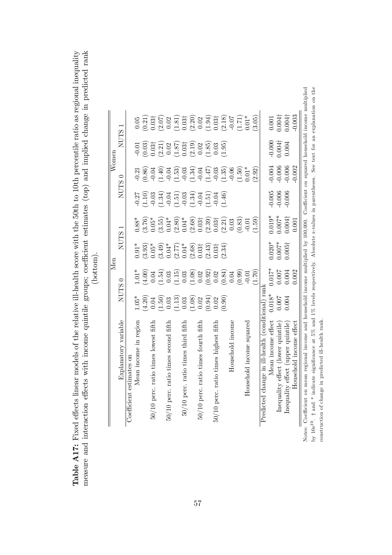| i the relative ill-health score with the 50th to 10th percentile ratio as regional ine | ome quintile groups; coefficient estimates (top) and implied change in predicted rank |  |
|----------------------------------------------------------------------------------------|---------------------------------------------------------------------------------------|--|
| Table A17: Fixed effects linear models of                                              | measure and interaction effects with inco                                             |  |

|  | ì |   |
|--|---|---|
|  |   | 2 |
|  | Ĵ |   |
|  |   |   |
|  | ≏ |   |
|  | J |   |
|  |   |   |
|  |   |   |

|                                                                                                                                                                    |                                              | Men      |                                                                                                                                                                                                                                                                                                                                 |                                                                                                                                                                                            |                      | $W$ omen             |                                                                                                                                                                                                                                                                                                               |                                                                                                                                                                                                                                                                                              |
|--------------------------------------------------------------------------------------------------------------------------------------------------------------------|----------------------------------------------|----------|---------------------------------------------------------------------------------------------------------------------------------------------------------------------------------------------------------------------------------------------------------------------------------------------------------------------------------|--------------------------------------------------------------------------------------------------------------------------------------------------------------------------------------------|----------------------|----------------------|---------------------------------------------------------------------------------------------------------------------------------------------------------------------------------------------------------------------------------------------------------------------------------------------------------------|----------------------------------------------------------------------------------------------------------------------------------------------------------------------------------------------------------------------------------------------------------------------------------------------|
| Explanatory variable                                                                                                                                               | <b>NUTS</b>                                  |          | <b>NUTS</b>                                                                                                                                                                                                                                                                                                                     | $\overline{\phantom{0}}$                                                                                                                                                                   | <b>NUTS</b>          |                      | NUTS.                                                                                                                                                                                                                                                                                                         |                                                                                                                                                                                                                                                                                              |
| Coefficient estimates on                                                                                                                                           |                                              |          |                                                                                                                                                                                                                                                                                                                                 |                                                                                                                                                                                            |                      |                      |                                                                                                                                                                                                                                                                                                               |                                                                                                                                                                                                                                                                                              |
| Mean income in region                                                                                                                                              | $1.05*$                                      |          | $0.91*$                                                                                                                                                                                                                                                                                                                         |                                                                                                                                                                                            |                      |                      |                                                                                                                                                                                                                                                                                                               | $0.05\,$                                                                                                                                                                                                                                                                                     |
|                                                                                                                                                                    | $(4.20)$<br>0.04                             |          |                                                                                                                                                                                                                                                                                                                                 |                                                                                                                                                                                            |                      |                      |                                                                                                                                                                                                                                                                                                               |                                                                                                                                                                                                                                                                                              |
| 50/10 perc. ratio times lowest fifth                                                                                                                               |                                              |          | $(3.93)$<br>0.05*                                                                                                                                                                                                                                                                                                               |                                                                                                                                                                                            |                      |                      |                                                                                                                                                                                                                                                                                                               |                                                                                                                                                                                                                                                                                              |
|                                                                                                                                                                    | $(1.50)$<br>$(1.30)$<br>$(1.30)$<br>$(1.30)$ |          |                                                                                                                                                                                                                                                                                                                                 | $0.88$<br>$0.76$<br>$0.55$<br>$0.67$<br>$0.67$<br>$0.67$<br>$0.67$<br>$0.67$<br>$0.67$<br>$0.67$<br>$0.67$<br>$0.67$<br>$0.67$<br>$0.67$<br>$0.67$<br>$0.67$<br>$0.67$<br>$0.67$<br>$0.67$ |                      |                      | $\begin{array}{l} 0.01 \\ 0.03 \\ 0.03 \\ 0.03 \\ 0.01 \\ 0.02 \\ 0.03 \\ 0.01 \\ 0.03 \\ 0.03 \\ 0.03 \\ 0.03 \\ 0.03 \\ 0.03 \\ 0.03 \\ 0.03 \\ 0.03 \\ 0.03 \\ 0.03 \\ 0.03 \\ 0.03 \\ 0.03 \\ 0.03 \\ 0.03 \\ 0.03 \\ 0.03 \\ 0.03 \\ 0.03 \\ 0.03 \\ 0.03 \\ 0.03 \\ 0.03 \\ 0.03 \\ 0.03 \\ 0.03 \\ 0.$ | $\begin{array}{l} (0.21)\\ (0.337)\\ (0.310)\\ (0.310)\\ (0.310)\\ (0.320)\\ (0.331)\\ (0.331)\\ (0.331)\\ (0.331)\\ (0.331)\\ (0.331)\\ (0.331)\\ (0.331)\\ (0.331)\\ (0.331)\\ (0.331)\\ (0.331)\\ (0.331)\\ (0.331)\\ (0.331)\\ (0.331)\\ (0.331)\\ (0.331)\\ (0.331)\\ (0.331)\\ (0.331$ |
| io times second fifth<br>$50/10$ perc. rat                                                                                                                         |                                              |          |                                                                                                                                                                                                                                                                                                                                 |                                                                                                                                                                                            |                      |                      |                                                                                                                                                                                                                                                                                                               |                                                                                                                                                                                                                                                                                              |
|                                                                                                                                                                    |                                              |          |                                                                                                                                                                                                                                                                                                                                 |                                                                                                                                                                                            |                      |                      |                                                                                                                                                                                                                                                                                                               |                                                                                                                                                                                                                                                                                              |
| 50/10 perc. ratio times third fifth                                                                                                                                |                                              |          |                                                                                                                                                                                                                                                                                                                                 |                                                                                                                                                                                            |                      |                      |                                                                                                                                                                                                                                                                                                               |                                                                                                                                                                                                                                                                                              |
|                                                                                                                                                                    | $\begin{pmatrix} 1.08 \\ 0.02 \end{pmatrix}$ |          |                                                                                                                                                                                                                                                                                                                                 |                                                                                                                                                                                            |                      |                      |                                                                                                                                                                                                                                                                                                               |                                                                                                                                                                                                                                                                                              |
| 50/10 perc. ratio times fourth fifth                                                                                                                               |                                              |          |                                                                                                                                                                                                                                                                                                                                 |                                                                                                                                                                                            |                      |                      |                                                                                                                                                                                                                                                                                                               |                                                                                                                                                                                                                                                                                              |
|                                                                                                                                                                    | (66.0)                                       |          | $\begin{array}{l} (3.49)\\[-4pt] 0.04^{*}\\[-4pt] 0.04^{*}\\[-4pt] 0.03^{*}\\[-4pt] 0.03^{*}\\[-4pt] 0.03^{*}\\[-4pt] 0.03^{*}\\[-4pt] 0.03^{*}\\[-4pt] 0.03^{*}\\[-4pt] 0.03^{*}\\[-4pt] 0.03^{*}\\[-4pt] 0.03^{*}\\[-4pt] 0.03^{*}\\[-4pt] 0.03^{*}\\[-4pt] 0.03^{*}\\[-4pt] 0.03^{*}\\[-4pt] 0.03^{*}\\[-4pt] 0.03^{*}\\[-4$ |                                                                                                                                                                                            |                      |                      |                                                                                                                                                                                                                                                                                                               |                                                                                                                                                                                                                                                                                              |
| 50/10 perc. ratio times highest fifth                                                                                                                              | 0.02                                         |          |                                                                                                                                                                                                                                                                                                                                 |                                                                                                                                                                                            |                      |                      |                                                                                                                                                                                                                                                                                                               |                                                                                                                                                                                                                                                                                              |
|                                                                                                                                                                    | (0.90)                                       |          |                                                                                                                                                                                                                                                                                                                                 |                                                                                                                                                                                            |                      |                      | (1.95)                                                                                                                                                                                                                                                                                                        |                                                                                                                                                                                                                                                                                              |
| Household income                                                                                                                                                   |                                              |          |                                                                                                                                                                                                                                                                                                                                 |                                                                                                                                                                                            |                      |                      |                                                                                                                                                                                                                                                                                                               |                                                                                                                                                                                                                                                                                              |
|                                                                                                                                                                    |                                              |          |                                                                                                                                                                                                                                                                                                                                 | (0.83)                                                                                                                                                                                     |                      |                      |                                                                                                                                                                                                                                                                                                               |                                                                                                                                                                                                                                                                                              |
| Household income squared                                                                                                                                           |                                              |          |                                                                                                                                                                                                                                                                                                                                 |                                                                                                                                                                                            |                      |                      |                                                                                                                                                                                                                                                                                                               |                                                                                                                                                                                                                                                                                              |
|                                                                                                                                                                    |                                              | (1.70)   |                                                                                                                                                                                                                                                                                                                                 | (0.59)                                                                                                                                                                                     |                      | (2.92)               |                                                                                                                                                                                                                                                                                                               | (3.05)                                                                                                                                                                                                                                                                                       |
| Predicted change in ill-health (conditional) rank                                                                                                                  |                                              |          |                                                                                                                                                                                                                                                                                                                                 |                                                                                                                                                                                            |                      |                      |                                                                                                                                                                                                                                                                                                               |                                                                                                                                                                                                                                                                                              |
| Mean income effect                                                                                                                                                 | $0.018*$                                     | $0.017*$ | $0.020*$<br>0.007*                                                                                                                                                                                                                                                                                                              |                                                                                                                                                                                            |                      |                      |                                                                                                                                                                                                                                                                                                               |                                                                                                                                                                                                                                                                                              |
| Inequality effect (lower quintile)                                                                                                                                 | 0.007                                        | 0.007    |                                                                                                                                                                                                                                                                                                                                 | $0.019*0.007*0.004\dagger$                                                                                                                                                                 | $-0.005$<br>$-0.006$ | $-0.004$<br>$-0.006$ | $-0.000$<br>0.004†                                                                                                                                                                                                                                                                                            | $\begin{array}{c} 0.001 \\ 0.004\dagger \\ 0.004\dagger \end{array}$                                                                                                                                                                                                                         |
| Inequality effect (upper quintile)                                                                                                                                 | 0.004                                        | 0.004    | $0.005\dagger$                                                                                                                                                                                                                                                                                                                  |                                                                                                                                                                                            | $-0.006$             | $-0.006$             | 0.004                                                                                                                                                                                                                                                                                                         |                                                                                                                                                                                                                                                                                              |
| Household income effect                                                                                                                                            |                                              | 0.002    |                                                                                                                                                                                                                                                                                                                                 | 0.001                                                                                                                                                                                      |                      | 0.002                |                                                                                                                                                                                                                                                                                                               | 0.003                                                                                                                                                                                                                                                                                        |
| Notes: Coefficient on mean regional income and household income multiplied by 100,000. Coefficient on squared household income multiplied                          |                                              |          |                                                                                                                                                                                                                                                                                                                                 |                                                                                                                                                                                            |                      |                      |                                                                                                                                                                                                                                                                                                               |                                                                                                                                                                                                                                                                                              |
| e significance at 5% and 1% levels respectively. Absolute z-values in parentheses. See text for an explanation on the<br>by $10e^{10}$ . $\dagger$ and $*$ indicat |                                              |          |                                                                                                                                                                                                                                                                                                                                 |                                                                                                                                                                                            |                      |                      |                                                                                                                                                                                                                                                                                                               |                                                                                                                                                                                                                                                                                              |
|                                                                                                                                                                    |                                              |          |                                                                                                                                                                                                                                                                                                                                 |                                                                                                                                                                                            |                      |                      |                                                                                                                                                                                                                                                                                                               |                                                                                                                                                                                                                                                                                              |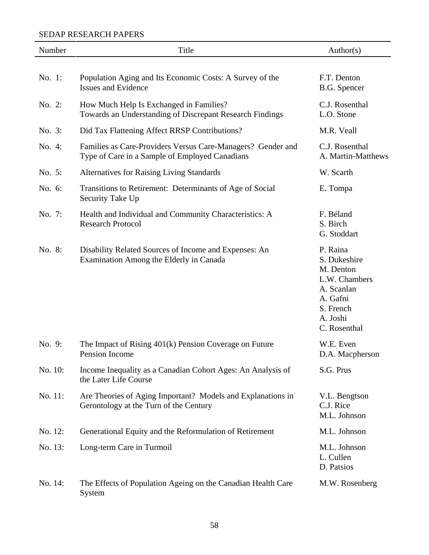| Number  | Title                                                                                                         | Author(s)                                                                                                                 |
|---------|---------------------------------------------------------------------------------------------------------------|---------------------------------------------------------------------------------------------------------------------------|
|         |                                                                                                               |                                                                                                                           |
| No. 1:  | Population Aging and Its Economic Costs: A Survey of the<br><b>Issues and Evidence</b>                        | F.T. Denton<br>B.G. Spencer                                                                                               |
| No. 2:  | How Much Help Is Exchanged in Families?<br>Towards an Understanding of Discrepant Research Findings           | C.J. Rosenthal<br>L.O. Stone                                                                                              |
| No. 3:  | Did Tax Flattening Affect RRSP Contributions?                                                                 | M.R. Veall                                                                                                                |
| No. 4:  | Families as Care-Providers Versus Care-Managers? Gender and<br>Type of Care in a Sample of Employed Canadians | C.J. Rosenthal<br>A. Martin-Matthews                                                                                      |
| No. 5:  | <b>Alternatives for Raising Living Standards</b>                                                              | W. Scarth                                                                                                                 |
| No. 6:  | Transitions to Retirement: Determinants of Age of Social<br>Security Take Up                                  | E. Tompa                                                                                                                  |
| No. 7:  | Health and Individual and Community Characteristics: A<br><b>Research Protocol</b>                            | F. Béland<br>S. Birch<br>G. Stoddart                                                                                      |
| No. 8:  | Disability Related Sources of Income and Expenses: An<br>Examination Among the Elderly in Canada              | P. Raina<br>S. Dukeshire<br>M. Denton<br>L.W. Chambers<br>A. Scanlan<br>A. Gafni<br>S. French<br>A. Joshi<br>C. Rosenthal |
| No. 9:  | The Impact of Rising $401(k)$ Pension Coverage on Future<br>Pension Income                                    | W.E. Even<br>D.A. Macpherson                                                                                              |
| No. 10: | Income Inequality as a Canadian Cohort Ages: An Analysis of<br>the Later Life Course                          | S.G. Prus                                                                                                                 |
| No. 11: | Are Theories of Aging Important? Models and Explanations in<br>Gerontology at the Turn of the Century         | V.L. Bengtson<br>C.J. Rice<br>M.L. Johnson                                                                                |
| No. 12: | Generational Equity and the Reformulation of Retirement                                                       | M.L. Johnson                                                                                                              |
| No. 13: | Long-term Care in Turmoil                                                                                     | M.L. Johnson<br>L. Cullen<br>D. Patsios                                                                                   |
| No. 14: | The Effects of Population Ageing on the Canadian Health Care<br>System                                        | M.W. Rosenberg                                                                                                            |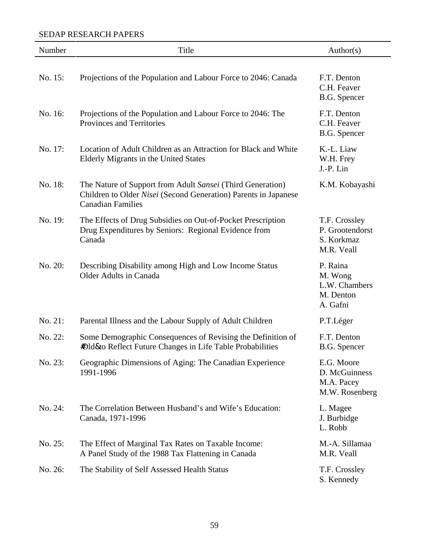| Number  | Title                                                                                                                                                     | Author(s)                                                     |
|---------|-----------------------------------------------------------------------------------------------------------------------------------------------------------|---------------------------------------------------------------|
| No. 15: | Projections of the Population and Labour Force to 2046: Canada                                                                                            | F.T. Denton<br>C.H. Feaver<br>B.G. Spencer                    |
| No. 16: | Projections of the Population and Labour Force to 2046: The<br>Provinces and Territories                                                                  | F.T. Denton<br>C.H. Feaver<br>B.G. Spencer                    |
| No. 17: | Location of Adult Children as an Attraction for Black and White<br>Elderly Migrants in the United States                                                  | K.-L. Liaw<br>W.H. Frey<br>J.-P. Lin                          |
| No. 18: | The Nature of Support from Adult Sansei (Third Generation)<br>Children to Older Nisei (Second Generation) Parents in Japanese<br><b>Canadian Families</b> | K.M. Kobayashi                                                |
| No. 19: | The Effects of Drug Subsidies on Out-of-Pocket Prescription<br>Drug Expenditures by Seniors: Regional Evidence from<br>Canada                             | T.F. Crossley<br>P. Grootendorst<br>S. Korkmaz<br>M.R. Veall  |
| No. 20: | Describing Disability among High and Low Income Status<br><b>Older Adults in Canada</b>                                                                   | P. Raina<br>M. Wong<br>L.W. Chambers<br>M. Denton<br>A. Gafni |
| No. 21: | Parental Illness and the Labour Supply of Adult Children                                                                                                  | P.T.Léger                                                     |
| No. 22: | Some Demographic Consequences of Revising the Definition of<br><b>#Dld&amp;o</b> Reflect Future Changes in Life Table Probabilities                       | F.T. Denton<br>B.G. Spencer                                   |
| No. 23: | Geographic Dimensions of Aging: The Canadian Experience<br>1991-1996                                                                                      | E.G. Moore<br>D. McGuinness<br>M.A. Pacey<br>M.W. Rosenberg   |
| No. 24: | The Correlation Between Husband's and Wife's Education:<br>Canada, 1971-1996                                                                              | L. Magee<br>J. Burbidge<br>L. Robb                            |
| No. 25: | The Effect of Marginal Tax Rates on Taxable Income:<br>A Panel Study of the 1988 Tax Flattening in Canada                                                 | M.-A. Sillamaa<br>M.R. Veall                                  |
| No. 26: | The Stability of Self Assessed Health Status                                                                                                              | T.F. Crossley<br>S. Kennedy                                   |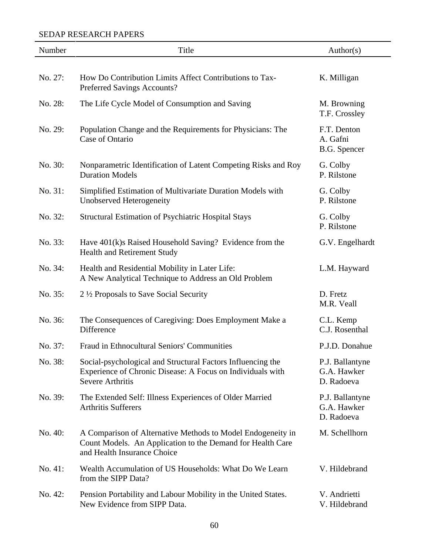| Number  | Title                                                                                                                                                    | Author(s)                                      |
|---------|----------------------------------------------------------------------------------------------------------------------------------------------------------|------------------------------------------------|
| No. 27: | How Do Contribution Limits Affect Contributions to Tax-<br>Preferred Savings Accounts?                                                                   | K. Milligan                                    |
| No. 28: | The Life Cycle Model of Consumption and Saving                                                                                                           | M. Browning<br>T.F. Crossley                   |
| No. 29: | Population Change and the Requirements for Physicians: The<br>Case of Ontario                                                                            | F.T. Denton<br>A. Gafni<br><b>B.G.</b> Spencer |
| No. 30: | Nonparametric Identification of Latent Competing Risks and Roy<br><b>Duration Models</b>                                                                 | G. Colby<br>P. Rilstone                        |
| No. 31: | Simplified Estimation of Multivariate Duration Models with<br>Unobserved Heterogeneity                                                                   | G. Colby<br>P. Rilstone                        |
| No. 32: | Structural Estimation of Psychiatric Hospital Stays                                                                                                      | G. Colby<br>P. Rilstone                        |
| No. 33: | Have 401(k)s Raised Household Saving? Evidence from the<br>Health and Retirement Study                                                                   | G.V. Engelhardt                                |
| No. 34: | Health and Residential Mobility in Later Life:<br>A New Analytical Technique to Address an Old Problem                                                   | L.M. Hayward                                   |
| No. 35: | 2 1/2 Proposals to Save Social Security                                                                                                                  | D. Fretz<br>M.R. Veall                         |
| No. 36: | The Consequences of Caregiving: Does Employment Make a<br>Difference                                                                                     | C.L. Kemp<br>C.J. Rosenthal                    |
| No. 37: | Fraud in Ethnocultural Seniors' Communities                                                                                                              | P.J.D. Donahue                                 |
| No. 38: | Social-psychological and Structural Factors Influencing the<br>Experience of Chronic Disease: A Focus on Individuals with<br><b>Severe Arthritis</b>     | P.J. Ballantyne<br>G.A. Hawker<br>D. Radoeva   |
| No. 39: | The Extended Self: Illness Experiences of Older Married<br><b>Arthritis Sufferers</b>                                                                    | P.J. Ballantyne<br>G.A. Hawker<br>D. Radoeva   |
| No. 40: | A Comparison of Alternative Methods to Model Endogeneity in<br>Count Models. An Application to the Demand for Health Care<br>and Health Insurance Choice | M. Schellhorn                                  |
| No. 41: | Wealth Accumulation of US Households: What Do We Learn<br>from the SIPP Data?                                                                            | V. Hildebrand                                  |
| No. 42: | Pension Portability and Labour Mobility in the United States.<br>New Evidence from SIPP Data.                                                            | V. Andrietti<br>V. Hildebrand                  |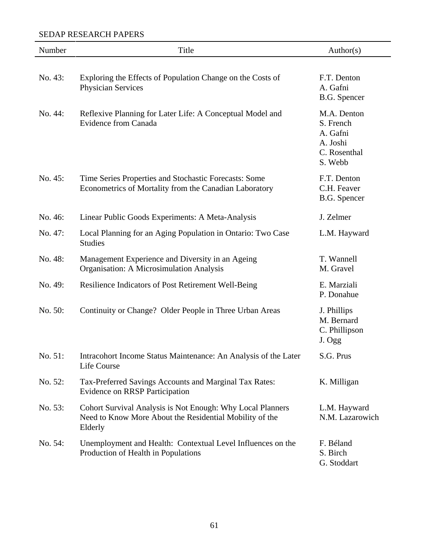| Number  | Title                                                                                                                            | Author(s)                                                                   |
|---------|----------------------------------------------------------------------------------------------------------------------------------|-----------------------------------------------------------------------------|
| No. 43: | Exploring the Effects of Population Change on the Costs of<br>Physician Services                                                 | F.T. Denton<br>A. Gafni<br>B.G. Spencer                                     |
| No. 44: | Reflexive Planning for Later Life: A Conceptual Model and<br><b>Evidence from Canada</b>                                         | M.A. Denton<br>S. French<br>A. Gafni<br>A. Joshi<br>C. Rosenthal<br>S. Webb |
| No. 45: | Time Series Properties and Stochastic Forecasts: Some<br>Econometrics of Mortality from the Canadian Laboratory                  | F.T. Denton<br>C.H. Feaver<br>B.G. Spencer                                  |
| No. 46: | Linear Public Goods Experiments: A Meta-Analysis                                                                                 | J. Zelmer                                                                   |
| No. 47: | Local Planning for an Aging Population in Ontario: Two Case<br><b>Studies</b>                                                    | L.M. Hayward                                                                |
| No. 48: | Management Experience and Diversity in an Ageing<br>Organisation: A Microsimulation Analysis                                     | T. Wannell<br>M. Gravel                                                     |
| No. 49: | Resilience Indicators of Post Retirement Well-Being                                                                              | E. Marziali<br>P. Donahue                                                   |
| No. 50: | Continuity or Change? Older People in Three Urban Areas                                                                          | J. Phillips<br>M. Bernard<br>C. Phillipson<br>J. Ogg                        |
| No. 51: | Intracohort Income Status Maintenance: An Analysis of the Later<br>Life Course                                                   | S.G. Prus                                                                   |
| No. 52: | Tax-Preferred Savings Accounts and Marginal Tax Rates:<br><b>Evidence on RRSP Participation</b>                                  | K. Milligan                                                                 |
| No. 53: | Cohort Survival Analysis is Not Enough: Why Local Planners<br>Need to Know More About the Residential Mobility of the<br>Elderly | L.M. Hayward<br>N.M. Lazarowich                                             |
| No. 54: | Unemployment and Health: Contextual Level Influences on the<br>Production of Health in Populations                               | F. Béland<br>S. Birch<br>G. Stoddart                                        |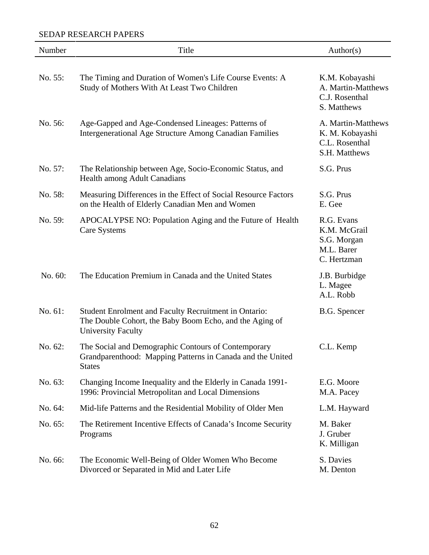| Number  | Title                                                                                                                                                | Author(s)                                                                |
|---------|------------------------------------------------------------------------------------------------------------------------------------------------------|--------------------------------------------------------------------------|
| No. 55: | The Timing and Duration of Women's Life Course Events: A<br>Study of Mothers With At Least Two Children                                              | K.M. Kobayashi<br>A. Martin-Matthews<br>C.J. Rosenthal<br>S. Matthews    |
| No. 56: | Age-Gapped and Age-Condensed Lineages: Patterns of<br><b>Intergenerational Age Structure Among Canadian Families</b>                                 | A. Martin-Matthews<br>K. M. Kobayashi<br>C.L. Rosenthal<br>S.H. Matthews |
| No. 57: | The Relationship between Age, Socio-Economic Status, and<br>Health among Adult Canadians                                                             | S.G. Prus                                                                |
| No. 58: | Measuring Differences in the Effect of Social Resource Factors<br>on the Health of Elderly Canadian Men and Women                                    | S.G. Prus<br>E. Gee                                                      |
| No. 59: | APOCALYPSE NO: Population Aging and the Future of Health<br>Care Systems                                                                             | R.G. Evans<br>K.M. McGrail<br>S.G. Morgan<br>M.L. Barer<br>C. Hertzman   |
| No. 60: | The Education Premium in Canada and the United States                                                                                                | J.B. Burbidge<br>L. Magee<br>A.L. Robb                                   |
| No. 61: | <b>Student Enrolment and Faculty Recruitment in Ontario:</b><br>The Double Cohort, the Baby Boom Echo, and the Aging of<br><b>University Faculty</b> | B.G. Spencer                                                             |
| No. 62: | The Social and Demographic Contours of Contemporary<br>Grandparenthood: Mapping Patterns in Canada and the United<br><b>States</b>                   | C.L. Kemp                                                                |
| No. 63: | Changing Income Inequality and the Elderly in Canada 1991-<br>1996: Provincial Metropolitan and Local Dimensions                                     | E.G. Moore<br>M.A. Pacey                                                 |
| No. 64: | Mid-life Patterns and the Residential Mobility of Older Men                                                                                          | L.M. Hayward                                                             |
| No. 65: | The Retirement Incentive Effects of Canada's Income Security<br>Programs                                                                             | M. Baker<br>J. Gruber<br>K. Milligan                                     |
| No. 66: | The Economic Well-Being of Older Women Who Become<br>Divorced or Separated in Mid and Later Life                                                     | S. Davies<br>M. Denton                                                   |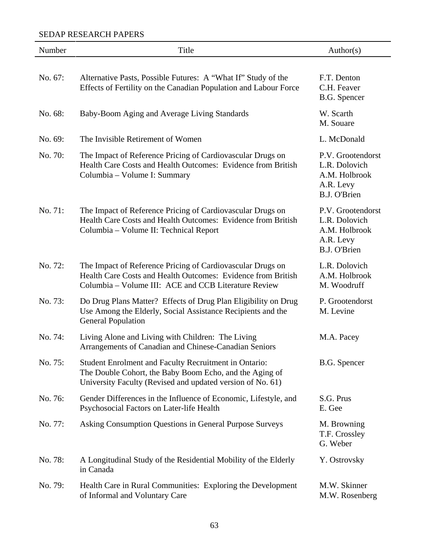| Number  | Title                                                                                                                                                                              | Author(s)                                                                               |
|---------|------------------------------------------------------------------------------------------------------------------------------------------------------------------------------------|-----------------------------------------------------------------------------------------|
| No. 67: | Alternative Pasts, Possible Futures: A "What If" Study of the<br>Effects of Fertility on the Canadian Population and Labour Force                                                  | F.T. Denton<br>C.H. Feaver<br>B.G. Spencer                                              |
| No. 68: | Baby-Boom Aging and Average Living Standards                                                                                                                                       | W. Scarth<br>M. Souare                                                                  |
| No. 69: | The Invisible Retirement of Women                                                                                                                                                  | L. McDonald                                                                             |
| No. 70: | The Impact of Reference Pricing of Cardiovascular Drugs on<br>Health Care Costs and Health Outcomes: Evidence from British<br>Columbia – Volume I: Summary                         | P.V. Grootendorst<br>L.R. Dolovich<br>A.M. Holbrook<br>A.R. Levy<br><b>B.J. O'Brien</b> |
| No. 71: | The Impact of Reference Pricing of Cardiovascular Drugs on<br>Health Care Costs and Health Outcomes: Evidence from British<br>Columbia - Volume II: Technical Report               | P.V. Grootendorst<br>L.R. Dolovich<br>A.M. Holbrook<br>A.R. Levy<br>B.J. O'Brien        |
| No. 72: | The Impact of Reference Pricing of Cardiovascular Drugs on<br>Health Care Costs and Health Outcomes: Evidence from British<br>Columbia - Volume III: ACE and CCB Literature Review | L.R. Dolovich<br>A.M. Holbrook<br>M. Woodruff                                           |
| No. 73: | Do Drug Plans Matter? Effects of Drug Plan Eligibility on Drug<br>Use Among the Elderly, Social Assistance Recipients and the<br><b>General Population</b>                         | P. Grootendorst<br>M. Levine                                                            |
| No. 74: | Living Alone and Living with Children: The Living<br>Arrangements of Canadian and Chinese-Canadian Seniors                                                                         | M.A. Pacey                                                                              |
| No. 75: | Student Enrolment and Faculty Recruitment in Ontario:<br>The Double Cohort, the Baby Boom Echo, and the Aging of<br>University Faculty (Revised and updated version of No. 61)     | B.G. Spencer                                                                            |
| No. 76: | Gender Differences in the Influence of Economic, Lifestyle, and<br>Psychosocial Factors on Later-life Health                                                                       | S.G. Prus<br>E. Gee                                                                     |
| No. 77: | Asking Consumption Questions in General Purpose Surveys                                                                                                                            | M. Browning<br>T.F. Crossley<br>G. Weber                                                |
| No. 78: | A Longitudinal Study of the Residential Mobility of the Elderly<br>in Canada                                                                                                       | Y. Ostrovsky                                                                            |
| No. 79: | Health Care in Rural Communities: Exploring the Development<br>of Informal and Voluntary Care                                                                                      | M.W. Skinner<br>M.W. Rosenberg                                                          |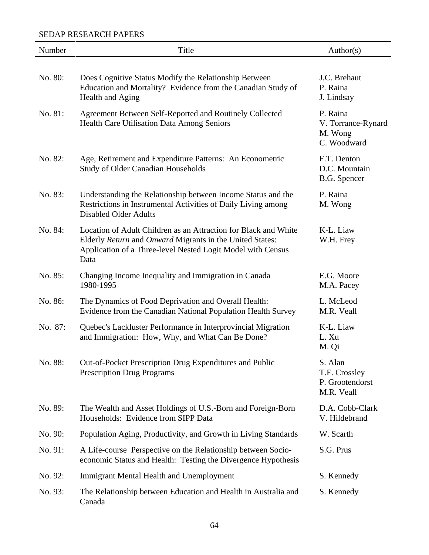| Number  | Title                                                                                                                                                                                              | Author(s)                                                 |
|---------|----------------------------------------------------------------------------------------------------------------------------------------------------------------------------------------------------|-----------------------------------------------------------|
|         |                                                                                                                                                                                                    |                                                           |
| No. 80: | Does Cognitive Status Modify the Relationship Between<br>Education and Mortality? Evidence from the Canadian Study of<br>Health and Aging                                                          | J.C. Brehaut<br>P. Raina<br>J. Lindsay                    |
| No. 81: | Agreement Between Self-Reported and Routinely Collected<br>Health Care Utilisation Data Among Seniors                                                                                              | P. Raina<br>V. Torrance-Rynard<br>M. Wong<br>C. Woodward  |
| No. 82: | Age, Retirement and Expenditure Patterns: An Econometric<br><b>Study of Older Canadian Households</b>                                                                                              | F.T. Denton<br>D.C. Mountain<br>B.G. Spencer              |
| No. 83: | Understanding the Relationship between Income Status and the<br>Restrictions in Instrumental Activities of Daily Living among<br><b>Disabled Older Adults</b>                                      | P. Raina<br>M. Wong                                       |
| No. 84: | Location of Adult Children as an Attraction for Black and White<br>Elderly Return and Onward Migrants in the United States:<br>Application of a Three-level Nested Logit Model with Census<br>Data | K-L. Liaw<br>W.H. Frey                                    |
| No. 85: | Changing Income Inequality and Immigration in Canada<br>1980-1995                                                                                                                                  | E.G. Moore<br>M.A. Pacey                                  |
| No. 86: | The Dynamics of Food Deprivation and Overall Health:<br>Evidence from the Canadian National Population Health Survey                                                                               | L. McLeod<br>M.R. Veall                                   |
| No. 87: | Quebec's Lackluster Performance in Interprovincial Migration<br>and Immigration: How, Why, and What Can Be Done?                                                                                   | K-L. Liaw<br>L. Xu<br>M. Qi                               |
| No. 88: | Out-of-Pocket Prescription Drug Expenditures and Public<br><b>Prescription Drug Programs</b>                                                                                                       | S. Alan<br>T.F. Crossley<br>P. Grootendorst<br>M.R. Veall |
| No. 89: | The Wealth and Asset Holdings of U.S.-Born and Foreign-Born<br>Households: Evidence from SIPP Data                                                                                                 | D.A. Cobb-Clark<br>V. Hildebrand                          |
| No. 90: | Population Aging, Productivity, and Growth in Living Standards                                                                                                                                     | W. Scarth                                                 |
| No. 91: | A Life-course Perspective on the Relationship between Socio-<br>economic Status and Health: Testing the Divergence Hypothesis                                                                      | S.G. Prus                                                 |
| No. 92: | Immigrant Mental Health and Unemployment                                                                                                                                                           | S. Kennedy                                                |
| No. 93: | The Relationship between Education and Health in Australia and<br>Canada                                                                                                                           | S. Kennedy                                                |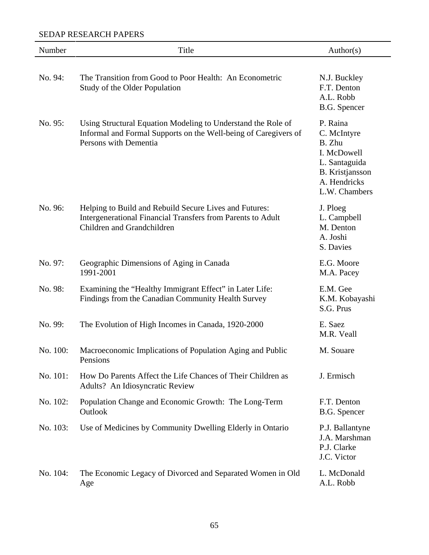| Number   | Title                                                                                                                                                    | Author(s)                                                                                                                    |
|----------|----------------------------------------------------------------------------------------------------------------------------------------------------------|------------------------------------------------------------------------------------------------------------------------------|
| No. 94:  | The Transition from Good to Poor Health: An Econometric<br>Study of the Older Population                                                                 | N.J. Buckley<br>F.T. Denton<br>A.L. Robb<br>B.G. Spencer                                                                     |
| No. 95:  | Using Structural Equation Modeling to Understand the Role of<br>Informal and Formal Supports on the Well-being of Caregivers of<br>Persons with Dementia | P. Raina<br>C. McIntyre<br>B. Zhu<br>I. McDowell<br>L. Santaguida<br><b>B.</b> Kristjansson<br>A. Hendricks<br>L.W. Chambers |
| No. 96:  | Helping to Build and Rebuild Secure Lives and Futures:<br>Intergenerational Financial Transfers from Parents to Adult<br>Children and Grandchildren      | J. Ploeg<br>L. Campbell<br>M. Denton<br>A. Joshi<br>S. Davies                                                                |
| No. 97:  | Geographic Dimensions of Aging in Canada<br>1991-2001                                                                                                    | E.G. Moore<br>M.A. Pacey                                                                                                     |
| No. 98:  | Examining the "Healthy Immigrant Effect" in Later Life:<br>Findings from the Canadian Community Health Survey                                            | E.M. Gee<br>K.M. Kobayashi<br>S.G. Prus                                                                                      |
| No. 99:  | The Evolution of High Incomes in Canada, 1920-2000                                                                                                       | E. Saez<br>M.R. Veall                                                                                                        |
| No. 100: | Macroeconomic Implications of Population Aging and Public<br>Pensions                                                                                    | M. Souare                                                                                                                    |
| No. 101: | How Do Parents Affect the Life Chances of Their Children as<br>Adults? An Idiosyncratic Review                                                           | J. Ermisch                                                                                                                   |
| No. 102: | Population Change and Economic Growth: The Long-Term<br>Outlook                                                                                          | F.T. Denton<br>B.G. Spencer                                                                                                  |
| No. 103: | Use of Medicines by Community Dwelling Elderly in Ontario                                                                                                | P.J. Ballantyne<br>J.A. Marshman<br>P.J. Clarke<br>J.C. Victor                                                               |
| No. 104: | The Economic Legacy of Divorced and Separated Women in Old<br>Age                                                                                        | L. McDonald<br>A.L. Robb                                                                                                     |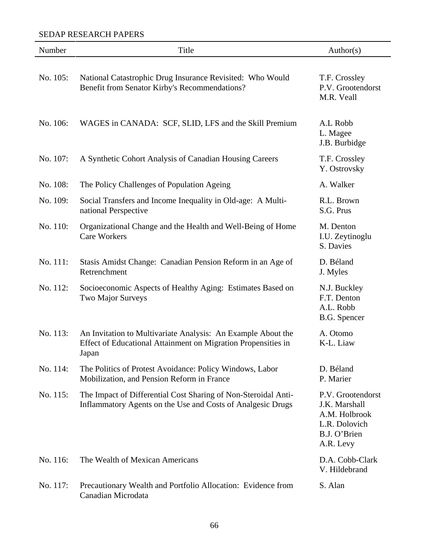| Number   | Title                                                                                                                                  | Author(s)                                                                                         |
|----------|----------------------------------------------------------------------------------------------------------------------------------------|---------------------------------------------------------------------------------------------------|
| No. 105: | National Catastrophic Drug Insurance Revisited: Who Would<br>Benefit from Senator Kirby's Recommendations?                             | T.F. Crossley<br>P.V. Grootendorst<br>M.R. Veall                                                  |
| No. 106: | WAGES in CANADA: SCF, SLID, LFS and the Skill Premium                                                                                  | A.L Robb<br>L. Magee<br>J.B. Burbidge                                                             |
| No. 107: | A Synthetic Cohort Analysis of Canadian Housing Careers                                                                                | T.F. Crossley<br>Y. Ostrovsky                                                                     |
| No. 108: | The Policy Challenges of Population Ageing                                                                                             | A. Walker                                                                                         |
| No. 109: | Social Transfers and Income Inequality in Old-age: A Multi-<br>national Perspective                                                    | R.L. Brown<br>S.G. Prus                                                                           |
| No. 110: | Organizational Change and the Health and Well-Being of Home<br><b>Care Workers</b>                                                     | M. Denton<br>I.U. Zeytinoglu<br>S. Davies                                                         |
| No. 111: | Stasis Amidst Change: Canadian Pension Reform in an Age of<br>Retrenchment                                                             | D. Béland<br>J. Myles                                                                             |
| No. 112: | Socioeconomic Aspects of Healthy Aging: Estimates Based on<br>Two Major Surveys                                                        | N.J. Buckley<br>F.T. Denton<br>A.L. Robb<br>B.G. Spencer                                          |
| No. 113: | An Invitation to Multivariate Analysis: An Example About the<br>Effect of Educational Attainment on Migration Propensities in<br>Japan | A. Otomo<br>K-L. Liaw                                                                             |
| No. 114: | The Politics of Protest Avoidance: Policy Windows, Labor<br>Mobilization, and Pension Reform in France                                 | D. Béland<br>P. Marier                                                                            |
| No. 115: | The Impact of Differential Cost Sharing of Non-Steroidal Anti-<br>Inflammatory Agents on the Use and Costs of Analgesic Drugs          | P.V. Grootendorst<br>J.K. Marshall<br>A.M. Holbrook<br>L.R. Dolovich<br>B.J. O'Brien<br>A.R. Levy |
| No. 116: | The Wealth of Mexican Americans                                                                                                        | D.A. Cobb-Clark<br>V. Hildebrand                                                                  |
| No. 117: | Precautionary Wealth and Portfolio Allocation: Evidence from<br>Canadian Microdata                                                     | S. Alan                                                                                           |